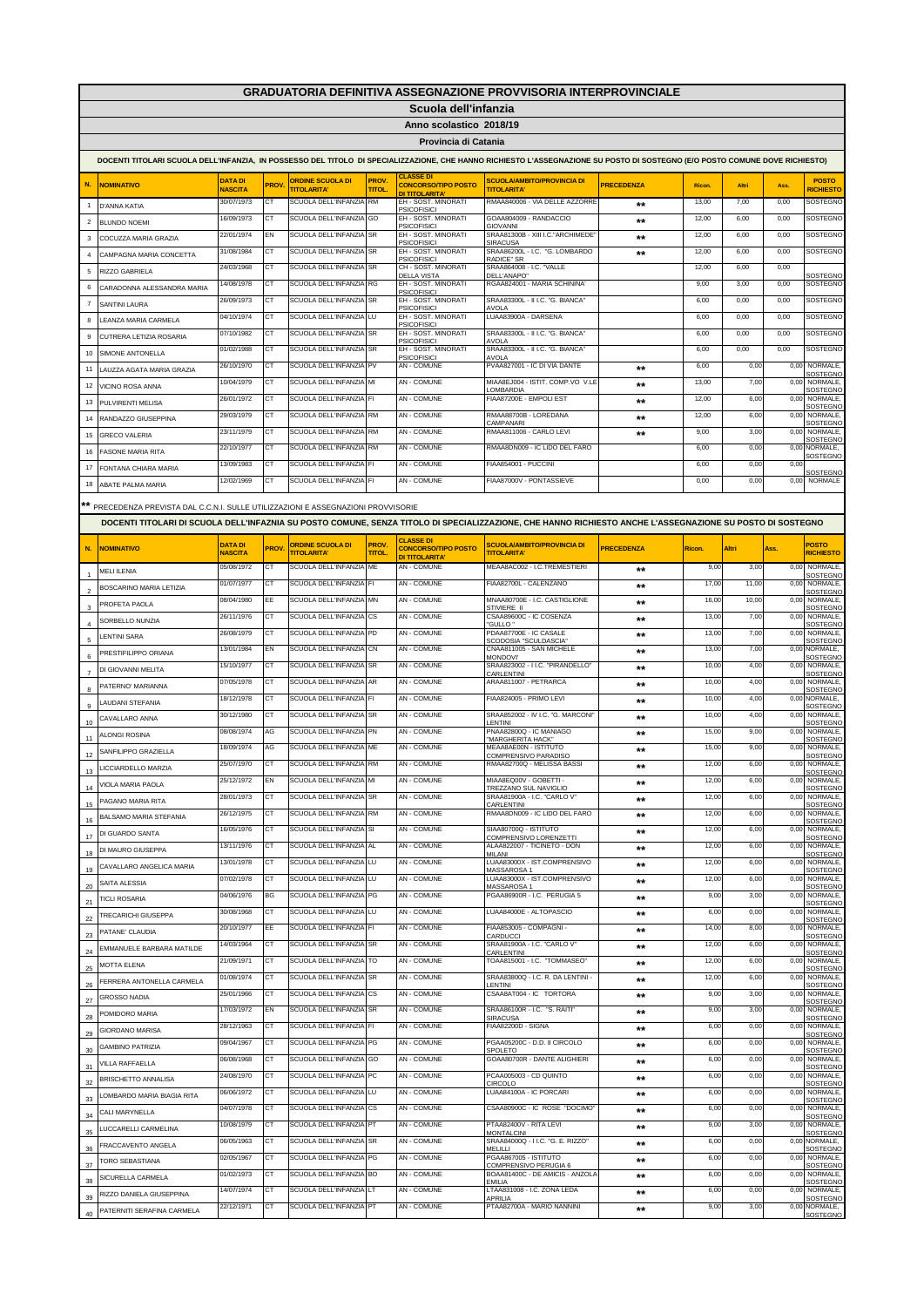|                |                                                                                                                                                                              |                                  |             |                                               |                             |                                                    | <b>GRADUATORIA DEFINITIVA ASSEGNAZIONE PROVVISORIA INTERPROVINCIALE</b> |                   |        |       |      |                                   |
|----------------|------------------------------------------------------------------------------------------------------------------------------------------------------------------------------|----------------------------------|-------------|-----------------------------------------------|-----------------------------|----------------------------------------------------|-------------------------------------------------------------------------|-------------------|--------|-------|------|-----------------------------------|
|                |                                                                                                                                                                              |                                  |             |                                               |                             | Scuola dell'infanzia                               |                                                                         |                   |        |       |      |                                   |
|                |                                                                                                                                                                              |                                  |             |                                               |                             | Anno scolastico 2018/19                            |                                                                         |                   |        |       |      |                                   |
|                |                                                                                                                                                                              |                                  |             |                                               |                             | Provincia di Catania                               |                                                                         |                   |        |       |      |                                   |
|                | DOCENTI TITOLARI SCUOLA DELL'INFANZIA, IN POSSESSO DEL TITOLO DI SPECIALIZZAZIONE, CHE HANNO RICHIESTO L'ASSEGNAZIONE SU POSTO DI SOSTEGNO (E/O POSTO COMUNE DOVE RICHIESTO) |                                  |             |                                               |                             |                                                    |                                                                         |                   |        |       |      |                                   |
|                |                                                                                                                                                                              |                                  |             |                                               |                             | <b>CLASSE DI</b>                                   |                                                                         |                   |        |       |      |                                   |
| N.             | <b>NOMINATIVO</b>                                                                                                                                                            | <b>DATA DI</b><br><b>NASCITA</b> | <b>PROV</b> | <b>ORDINE SCUOLA DI</b><br><b>TITOLARITA'</b> | PROV.<br><b>TITOL</b>       | <b>CONCORSO/TIPO POSTO</b><br><b>DI TITOLARITA</b> | <b>SCUOLA/AMBITO/PROVINCIA DI</b><br><b>TITOLARITA'</b>                 | <b>PRECEDENZA</b> | Ricon. | Altri | Ass. | <b>POSTO</b><br><b>RICHIESTO</b>  |
| $\overline{1}$ | D'ANNA KATIA                                                                                                                                                                 | 30/07/1973                       | СT          | SCUOLA DELL'INFANZIA                          | <b>RM</b>                   | EH - SOST. MINORATI<br><b>PSICOFISICI</b>          | RMAA840006 - VIA DELLE AZZORRE                                          | **                | 13,00  | 7,00  | 0,00 | SOSTEGNO                          |
| $\overline{2}$ | BI UNDO NOFMI                                                                                                                                                                | 16/09/1973                       | СT          | SCUOLA DELL'INFANZIA                          | GO                          | EH - SOST. MINORATI<br><b>PSICOFISICI</b>          | GOAA804009 - RANDACCIO<br><b>GIOVANNI</b>                               | $***$             | 12,00  | 6,00  | 0,00 | SOSTEGNO                          |
| 3              | COCUZZA MARIA GRAZIA                                                                                                                                                         | 22/01/1974                       | EN          | SCUOLA DELL'INFANZIA                          | <b>SR</b>                   | EH - SOST. MINORATI<br><b>PSICOFISICI</b>          | SRAA81300B - XIII I.C."ARCHIMEDE"                                       | $***$             | 12,00  | 6,00  | 0,00 | SOSTEGNO                          |
| $\overline{4}$ | CAMPAGNA MARIA CONCETTA                                                                                                                                                      | 31/08/1984                       | <b>CT</b>   | SCUOLA DELL'INFANZIA                          | <b>SR</b>                   | EH - SOST, MINORATI                                | <b>SIRACUSA</b><br>SRAA86200L - I.C. "G. LOMBARDO                       | $***$             | 12,00  | 6,00  | 0,00 | SOSTEGNO                          |
| 5              | RIZZO GABRIELA                                                                                                                                                               | 24/03/1968                       | <b>CT</b>   | SCUOLA DELL'INFANZIA                          | <b>SR</b>                   | <b>PSICOFISICI</b><br>CH - SOST, MINORATI          | RADICF <sup>*</sup> SR<br>SRAA864008 - I.C. "VALLE                      |                   | 12.00  | 6.00  | 0.00 |                                   |
| 6              | CARADONNA ALESSANDRA MARIA                                                                                                                                                   | 14/08/1978                       | CT          | SCUOLA DELL'INFANZIA                          | <b>RG</b>                   | DEI I A VISTA<br>EH - SOST, MINORATI               | DELL'ANAPO*<br>RGAA824001 - MARIA SCHININA'                             |                   | 9.00   | 3,00  | 0,00 | SOSTEGNO<br>SOSTEGNO              |
| $\overline{7}$ | SANTINI LAURA                                                                                                                                                                | 26/09/1973                       | СT          | SCUOLA DELL'INFANZIA                          | <b>SR</b>                   | <b>PSICOFISICI</b><br>FH - SOST, MINORATI          | SRAA83300L - II I.C. "G. BIANCA'                                        |                   | 6,00   | 0,00  | 0.00 | SOSTEGNO                          |
| 8              | LEANZA MARIA CARMELA                                                                                                                                                         | 04/10/1974                       | CT          | SCUOLA DELL'INFANZIA                          | LU                          | <b>PSICOFISICI</b><br>EH - SOST. MINORATI          | AVOI A<br>LUAA83900A - DARSENA                                          |                   | 6,00   | 0,00  | 0,00 | SOSTEGNO                          |
| 9              | CUTRERA LETIZIA ROSARIA                                                                                                                                                      | 07/10/1982                       | CT          | SCUOLA DELL'INFANZIA                          | <b>SR</b>                   | <b>PSICOFISICI</b><br>EH - SOST. MINORATI          | SRAA83300L - II I.C. "G. BIANCA"                                        |                   | 6,00   | 0,00  | 0,00 | SOSTEGNO                          |
|                |                                                                                                                                                                              | 01/02/1988                       | CT          | SCUOLA DELL'INFANZIA SR                       |                             | <b>PSICOFISICI</b><br>EH - SOST. MINORATI          | AVOLA<br>SRAA83300L - II I.C. "G. BIANCA"                               |                   | 6,00   | 0,00  | 0,00 | SOSTEGNO                          |
| 10             | SIMONE ANTONELLA                                                                                                                                                             | 26/10/1970                       | CT          | SCUOLA DELL'INFANZIA                          | PV                          | <b>PSICOFISICI</b><br>AN - COMUNE                  | AVOLA<br>PVAA827001 - IC DI VIA DANTE                                   | $\star\star$      | 6,00   | 0,00  | 0,00 | NORMALE,                          |
| 11             | LAUZZA AGATA MARIA GRAZIA                                                                                                                                                    | 10/04/1979                       | СT          | SCUOLA DELL'INFANZIA MI                       |                             | AN - COMUNE                                        | MIAA8EJ004 - ISTIT. COMP.VO V.LE                                        | $***$             | 13,00  | 7,00  | 0,00 | SOSTEGNC<br>NORMALE,              |
| 12             | VICINO ROSA ANNA                                                                                                                                                             | 26/01/1972                       | СT          | SCUOLA DELL'INFANZIA                          | FI                          | <b>AN - COMUNE</b>                                 | <b>OMBARDIA</b><br>FIAA87200E - EMPOLI EST                              | $***$             | 12,00  | 6,00  | 0.00 | SOSTEGNC<br>NORMALE.              |
| 13             | PULVIRENTI MELISA                                                                                                                                                            | 29/03/1979                       | <b>CT</b>   | SCUOLA DELL'INFANZIA                          | <b>RM</b>                   | AN - COMUNE                                        | RMAA88700B - LOREDANA                                                   | $***$             | 12,00  | 6,00  | 0,00 | SOSTEGNO<br><b>NORMALE</b>        |
| 14             | RANDAZZO GIUSEPPINA                                                                                                                                                          | 23/11/1979                       | СT          | SCUOLA DELL'INFANZIA                          | <b>RM</b>                   | <b>AN - COMUNE</b>                                 | CAMPANARI<br>RMAA811006 - CARLO LEVI                                    |                   | 9.00   | 3.00  | 0.00 | SOSTEGNO<br><b>NORMALE</b>        |
| 15             | <b>GRECO VALERIA</b>                                                                                                                                                         | 22/10/1977                       | CT          | SCUOLA DELL'INFANZIA                          | <b>RM</b>                   | <b>AN - COMUNE</b>                                 | RMAA8DN009 - IC LIDO DEL FARO                                           | $\star\star$      | 6,00   | 0,00  | 0,00 | SOSTEGNO<br>NORMALE.              |
| 16             | <b>FASONE MARIA RITA</b>                                                                                                                                                     |                                  |             | SCUOLA DELL'INFANZIA                          |                             | AN - COMUNE                                        | FIAA854001 - PUCCINI                                                    |                   | 6.00   | 0.00  |      | SOSTEGNO                          |
| 17             | FONTANA CHIARA MARIA                                                                                                                                                         | 13/09/1983                       | СT          |                                               | FI                          |                                                    |                                                                         |                   |        |       | 0,00 | SOSTEGNO                          |
| 18             | ABATE PALMA MARIA                                                                                                                                                            | 12/02/1969                       | СT          | SCUOLA DELL'INFANZIA FI                       |                             | AN - COMUNE                                        | FIAA87000V - PONTASSIEVE                                                |                   | 0,00   | 0,00  |      | 0,00 NORMALE                      |
|                | ** PRECEDENZA PREVISTA DAL C.C.N.I. SULLE UTILIZZAZIONI E ASSEGNAZIONI PROVVISORIE                                                                                           |                                  |             |                                               |                             |                                                    |                                                                         |                   |        |       |      |                                   |
|                | DOCENTI TITOLARI DI SCUOLA DELL'INFAZNIA SU POSTO COMUNE, SENZA TITOLO DI SPECIALIZZAZIONE, CHE HANNO RICHIESTO ANCHE L'ASSEGNAZIONE SU POSTO DI SOSTEGNO                    |                                  |             |                                               |                             |                                                    |                                                                         |                   |        |       |      |                                   |
|                |                                                                                                                                                                              |                                  |             |                                               |                             | <b>CLASSE DI</b>                                   |                                                                         |                   |        |       |      |                                   |
| N.             | <b>NOMINATIVO</b>                                                                                                                                                            | <b>DATA DI</b><br><b>NASCITA</b> | <b>PROV</b> | <b>ORDINE SCUOLA DI</b><br><b>TITOLARITA'</b> | <b>PROV</b><br><b>TITOL</b> | <b>CONCORSO/TIPO POSTO</b><br>DI TITOLARITA'       | SCUOLA/AMBITO/PROVINCIA DI<br><b>TITOLARITA'</b>                        | <b>PRECEDENZA</b> | Ricon. | Altri | Ass. | <b>POSTO</b><br><b>RICHIESTO</b>  |
|                | <b>MELI ILENIA</b>                                                                                                                                                           | 05/08/1972                       | CТ          | SCUOLA DELL'INFANZIA                          | ME                          | AN - COMUNE                                        | MEAA8AC002 - I.C.TREMESTIERI                                            | **                | 9,00   | 3,00  | 0,00 | NORMALE.                          |
|                | BOSCARINO MARIA LETIZIA                                                                                                                                                      | 01/07/1977                       | СT          | SCUOLA DELL'INFANZIA                          | FI                          | AN - COMUNE                                        | FIAA82700L - CALENZANO                                                  | **                | 17,00  | 11,00 | 0,00 | SOSTEGNO<br>NORMALE,              |
| $\mathbf 2$    | PROFETA PAOLA                                                                                                                                                                | 08/04/1980                       | EE          | SCUOLA DELL'INFANZIA                          | <b>MN</b>                   | AN - COMUNE                                        | MNAA80700E - I.C. CASTIGLIONE                                           | $***$             | 16,00  | 10,00 | 0,00 | SOSTEGNO<br>NORMALE,              |
| 3              | SORBELLO NUNZIA                                                                                                                                                              | 26/11/1976                       | СT          | SCUOLA DELL'INFANZIA                          | <b>CS</b>                   | AN - COMUNE                                        | STIVIERE II<br>CSAA89600C - IC COSENZA                                  | **                | 13,00  | 7,00  | 0,00 | <b>SOSTEGNO</b><br><b>NORMALE</b> |
|                | LENTINI SARA                                                                                                                                                                 | 26/08/1979                       | <b>CT</b>   | SCUOLA DELL'INFANZIA                          | PD                          | AN - COMUNE                                        | "GULLO"<br>PDAA87700E - IC CASALE                                       | $***$             | 13,00  | 7,00  | 0,00 | SOSTEGNO<br><b>NORMALE</b>        |
| 5              | PRESTIFILIPPO ORIANA                                                                                                                                                         | 13/01/1984                       | EN          | SCUOLA DELL'INFANZIA                          | CN                          | AN - COMUNE                                        | SCODOSIA "SCULDASCIA"<br>CNAA811005 - SAN MICHELE                       | **                | 13,00  | 7,00  | 0,00 | SOSTEGNO<br>NORMALE.              |
| 6              |                                                                                                                                                                              | 15/10/1977                       | <b>CT</b>   | SCUOLA DELL'INFANZIA                          | <b>SR</b>                   | <b>AN - COMUNE</b>                                 | <b>MONDOVI</b><br>SRAA823002 - I I.C. "PIRANDELLO"                      | $**$              | 10,00  | 4,00  | 0.00 | SOSTEGNO<br><b>NORMALE</b>        |
| $\overline{7}$ | DI GIOVANNI MELITA                                                                                                                                                           | 07/05/1978                       | C1          | SCUOLA DELL'INFANZIA                          | AR.                         | AN - COMUNE                                        | <b>CARI ENTINI</b><br>ARAA811007 - PETRARCA                             | $***$             | 10,00  | 4,00  | 0.00 | SOSTEGNO<br><b>NORMALE</b>        |
| 8              | PATERNO' MARIANNA                                                                                                                                                            | 18/12/1978                       | <b>CT</b>   | SCUOLA DELL'INFANZIA FI                       |                             | <b>AN - COMUNE</b>                                 | FIAA824005 - PRIMO LEVI                                                 | $***$             | 10,00  | 4,00  |      | SOSTEGNO<br>0,00 NORMALE,         |
| 9              | <b>LAUDANI STEFANIA</b>                                                                                                                                                      | 30/12/1980                       | <b>CT</b>   | SCUOLA DELL'INFANZIA                          | <b>SR</b>                   | AN - COMUNE                                        | SRAA852002 - IV I.C. "G. MARCONI"                                       | $***$             | 10,00  | 4,00  | 0.00 | SOSTEGNO<br>NORMALE,              |
| 10             | CAVALLARO ANNA                                                                                                                                                               | 08/08/1974                       | AG          | SCUOLA DELL'INFANZIA                          | PN                          | AN - COMUNE                                        | <b>ENTINI</b><br>PNAA82800Q - IC MANIAGO                                | $***$             | 15,00  | 9,00  | 0,00 | SOSTEGNO<br>NORMALE.              |
| 11             | ALONGI ROSINA                                                                                                                                                                | 18/09/1974                       | AG          | SCUOLA DELL'INFANZIA                          | ME                          | AN - COMUNE                                        | <b>MARGHERITA HACK"</b><br>MEAA8AE00N - ISTITUTO                        |                   | 15,00  | 9.00  | 0.00 | <b>SOSTEGNO</b><br><b>NORMALE</b> |
| 12             | SANFILIPPO GRAZIELLA                                                                                                                                                         | 25/07/1970                       | CT          | SCUOLA DELL'INFANZIA                          | <b>RM</b>                   | AN - COMUNE                                        | COMPRENSIVO PARADISO<br>RMAA82700Q - MELISSA BASSI                      | $***$             | 12,00  | 6,00  | 0.00 | SOSTEGNO<br>NORMALE,              |
| 13             | LICCIARDELLO MARZIA                                                                                                                                                          |                                  |             |                                               |                             |                                                    |                                                                         | $***$             |        |       |      | SOSTEGNO                          |
| 14             | VIOLA MARIA PAOLA                                                                                                                                                            | 25/12/1972                       | ΕN          | SCUOLA DELL'INFANZIA MI                       |                             | AN - COMUNE<br>AN - COMUNE                         | MIAA8EO00V - GOBETTI -<br>TREZZANO SUL NAVIGLIO                         | **                | 12,01  | 6,00  | 0,00 | NORMALE<br>SOSTEGNO               |
| 15             | PAGANO MARIA RITA                                                                                                                                                            | 28/01/1973                       | <b>CT</b>   | SCUOLA DELL'INFANZIA SR                       |                             |                                                    | SRAA81900A - I.C. "CARLO V"<br>CARLENTINI                               | $***$             | 12,00  | 6.00  |      | 0,00 NORMALE,<br><b>SOSTEGNO</b>  |
| 16             | BALSAMO MARIA STEFANIA                                                                                                                                                       | 26/12/1975                       | CТ          | SCUOLA DELL'INFANZIA                          | <b>RM</b>                   | AN - COMUNE                                        | RMAA8DN009 - IC LIDO DEL FARO<br>SIAA80700Q - ISTITUTO                  | $***$             | 12,00  | 6,00  | 0,00 | NORMALE.<br>SOSTEGNO              |
| 17             | DI GUARDO SANTA                                                                                                                                                              | 16/05/1976                       | <b>CT</b>   | SCUOLA DELL'INFANZIA SI                       |                             | AN - COMUNE                                        | COMPRENSIVO LORENZETTI                                                  | $\star\star$      | 12,00  | 6,00  |      | 0,00 NORMALE,<br>SOSTEGNO         |
| 18             | DI MAURO GIUSEPPA                                                                                                                                                            | 13/11/1976                       | CТ          | SCUOLA DELL'INFANZIA AL                       |                             | AN - COMUNE                                        | ALAA822007 - TICINETO - DON<br>MILANI                                   | $\star\star$      | 12,00  | 6,00  | 0,00 | NORMALE.<br>SOSTEGNO              |
| 19             | CAVALLARO ANGELICA MARIA                                                                                                                                                     | 13/01/1978                       | СT          | SCUOLA DELL'INFANZIA LU                       |                             | AN - COMUNE                                        | LUAA83000X - IST.COMPRENSIVO<br>MASSAROSA 1                             | $\star\star$      | 12,00  | 6,00  |      | 0,00 NORMALE,<br>SOSTEGNO         |
| 20             | SAITA ALESSIA                                                                                                                                                                | 07/02/1978                       | СT          | SCUOLA DELL'INFANZIA                          | LU                          | AN - COMUNE                                        | LUAA83000X - IST.COMPRENSIVO<br>MASSAROSA 1                             | $**$              | 12,00  | 6,00  | 0,00 | NORMALE.<br>SOSTEGNO              |
| 21             | <b>TICLI ROSARIA</b>                                                                                                                                                         | 04/06/1976                       | BG          | SCUOLA DELL'INFANZIA PG                       |                             | AN - COMUNE                                        | PGAA86900R - I.C. PERUGIA 5                                             | $**$              | 9,00   | 3,00  | 0,00 | NORMALE,<br>SOSTEGNO              |
| 22             | TRECARICHI GIUSEPPA                                                                                                                                                          | 30/08/1968                       | CT          | SCUOLA DELL'INFANZIA                          | LU                          | AN - COMUNE                                        | LUAA84000E - ALTOPASCIO                                                 | $**$              | 6,00   | 0,00  | 0,00 | NORMALE,<br>SOSTEGNO              |
| 23             | PATANE' CLAUDIA                                                                                                                                                              | 20/10/1977                       | EE          | SCUOLA DELL'INFANZIA FI                       |                             | AN - COMUNE                                        | FIAA853005 - COMPAGNI -<br>CARDUCCI                                     | **                | 14,00  | 8,00  | 0,00 | NORMALE,<br>SOSTEGNC              |
| 24             | EMMANUELE BARBARA MATILDE                                                                                                                                                    | 14/03/1964                       | СT          | SCUOLA DELL'INFANZIA SR                       |                             | AN - COMUNE                                        | SRAA81900A - I.C. "CARLO V"<br>CARI FNTINI                              | **                | 12,00  | 6,00  | 0,00 | NORMALE,<br>SOSTEGNO              |
| 25             | MOTTA ELENA                                                                                                                                                                  | 21/09/1971                       | CТ          | SCUOLA DELL'INFANZIA                          | TO                          | AN - COMUNE                                        | TOAA815001 - I.C. "TOMMASEO"                                            | $***$             | 12,00  | 6,00  | 0,00 | NORMALE,<br>SOSTEGNO              |
| 26             | FERRERA ANTONELLA CARMELA                                                                                                                                                    | 01/08/1974                       | CT          | SCUOLA DELL'INFANZIA SR                       |                             | AN - COMUNE                                        | SRAA83800Q - I.C. R. DA LENTINI -<br><b>FNTINI</b>                      | $***$             | 12,00  | 6,00  | 0,00 | NORMALE,<br>SOSTEGNO              |
| 27             | <b>GROSSO NADIA</b>                                                                                                                                                          | 25/01/1966                       | СT          | SCUOLA DELL'INFANZIA                          | <b>CS</b>                   | AN - COMUNE                                        | CSAA8AT004 - IC TORTORA                                                 | **                | 9,00   | 3,00  | 0,00 | NORMALE,<br>SOSTEGNO              |
| 28             | POMIDORO MARIA                                                                                                                                                               | 17/03/1972                       | EN          | SCUOLA DELL'INFANZIA SR                       |                             | AN - COMUNE                                        | SRAA86100R - I.C. "S. RAITI"<br>SIRACUSA                                | $***$             | 9,00   | 3,00  | 0,00 | NORMALE,<br>SOSTEGNO              |
| 29             | <b>GIORDANO MARISA</b>                                                                                                                                                       | 28/12/1963                       | СT          | SCUOLA DELL'INFANZIA                          | FI                          | AN - COMUNE                                        | FIAA82200D - SIGNA                                                      | $***$             | 6,00   | 0,00  | 0,00 | NORMALE,<br>SOSTEGNO              |
|                | <b>GAMBINO PATRIZIA</b>                                                                                                                                                      | 09/04/1967                       | <b>CT</b>   | SCUOLA DELL'INFANZIA PG                       |                             | AN - COMUNE                                        | PGAA05200C - D.D. II CIRCOLO                                            | $***$             | 6,00   | 0,00  |      | 0,00 NORMALE,                     |
| 30<br>31       | VILLA RAFFAELLA                                                                                                                                                              | 06/08/1968                       | СT          | SCUOLA DELL'INFANZIA                          | GO                          | AN - COMUNE                                        | SPOI FTO<br>GOAA80700R - DANTE ALIGHIERI                                | $***$             | 6,00   | 0,00  | 0,00 | SOSTEGNO<br>NORMALE,              |
|                | BRISCHETTO ANNALISA                                                                                                                                                          | 24/08/1970                       | <b>CT</b>   | SCUOLA DELL'INFANZIA PC                       |                             | AN - COMUNE                                        | PCAA005003 - CD QUINTO                                                  | $***$             | 6,00   | 0,00  | 0,00 | SOSTEGNC<br>NORMALE,              |
| 32             | LOMBARDO MARIA BIAGIA RITA                                                                                                                                                   | 06/06/1972                       | СT          | SCUOLA DELL'INFANZIA                          | LU                          | AN - COMUNE                                        | <b>CIRCOLO</b><br>LUAA84100A - IC PORCARI                               | $***$             | 6,00   | 0,00  | 0,00 | <b>SOSTEGNO</b><br>NORMALE,       |
| 33             | CALI MARYNELLA                                                                                                                                                               | 04/07/1978                       | <b>CT</b>   | SCUOLA DELL'INFANZIA CS                       |                             | AN - COMUNE                                        | CSAA80900C - IC ROSE "DOCIMO"                                           | $***$             | 6,00   | 0,00  |      | <b>SOSTEGNO</b><br>0,00 NORMALE,  |
| 34             | LUCCARELLI CARMELINA                                                                                                                                                         | 10/08/1979                       | СT          | SCUOLA DELL'INFANZIA                          | PT                          | AN - COMUNE                                        | PTAA82400V - RITA LEVI                                                  | $***$             | 9,00   | 3,00  | 0,00 | SOSTEGNO<br>NORMALE,              |
| 35             |                                                                                                                                                                              | 06/05/1963                       | <b>CT</b>   | SCUOLA DELL'INFANZIA SR                       |                             | AN - COMUNE                                        | <b>MONTALCINI</b><br>SRAA84000Q - I I.C. "G. E. RIZZO"                  | $***$             | 6,00   | 0,00  |      | SOSTEGNC<br>0,00 NORMALE,         |
| 36             | FRACCAVENTO ANGELA                                                                                                                                                           | 02/05/1967                       | СT          | SCUOLA DELL'INFANZIA                          | PG                          | AN - COMUNE                                        | MELILLI<br><b>CAA867005 - ISTITUTO</b>                                  | $***$             | 6,00   | 0,00  | 0,00 | SOSTEGNO<br>NORMALE,              |
| $37\,$         | TORO SEBASTIANA                                                                                                                                                              | 01/02/1973                       | СT          | SCUOLA DELL'INFANZIA BO                       |                             | AN - COMUNE                                        | COMPRENSIVO PERUGIA 6<br>BOAA81400C - DE AMICIS - ANZOLA                | $\star\star$      | 6,00   | 0,00  |      | SOSTEGNC<br>0,00 NORMALE,         |
| 38             | SICURELLA CARMELA                                                                                                                                                            | 14/07/1974                       | СT          | SCUOLA DELL'INFANZIA                          | LT                          | AN - COMUNE                                        | EMILIA<br>LTAA831008 - I.C. ZONA LEDA                                   | $***$             | 6,00   | 0,00  | 0,00 | SOSTEGNO<br>NORMALE.              |
| 39             | RIZZO DANIELA GIUSEPPINA                                                                                                                                                     | 22/12/1971                       | СT          | SCUOLA DELL'INFANZIA PT                       |                             | AN - COMUNE                                        | APRILIA<br>PTAA82700A - MARIO NANNINI                                   |                   | 9,00   | 3,00  |      | <b>SOSTEGNO</b><br>0,00 NORMALE,  |
| 40             | PATERNITI SERAFINA CARMELA                                                                                                                                                   |                                  |             |                                               |                             |                                                    |                                                                         | $***$             |        |       |      | SOSTEGNO                          |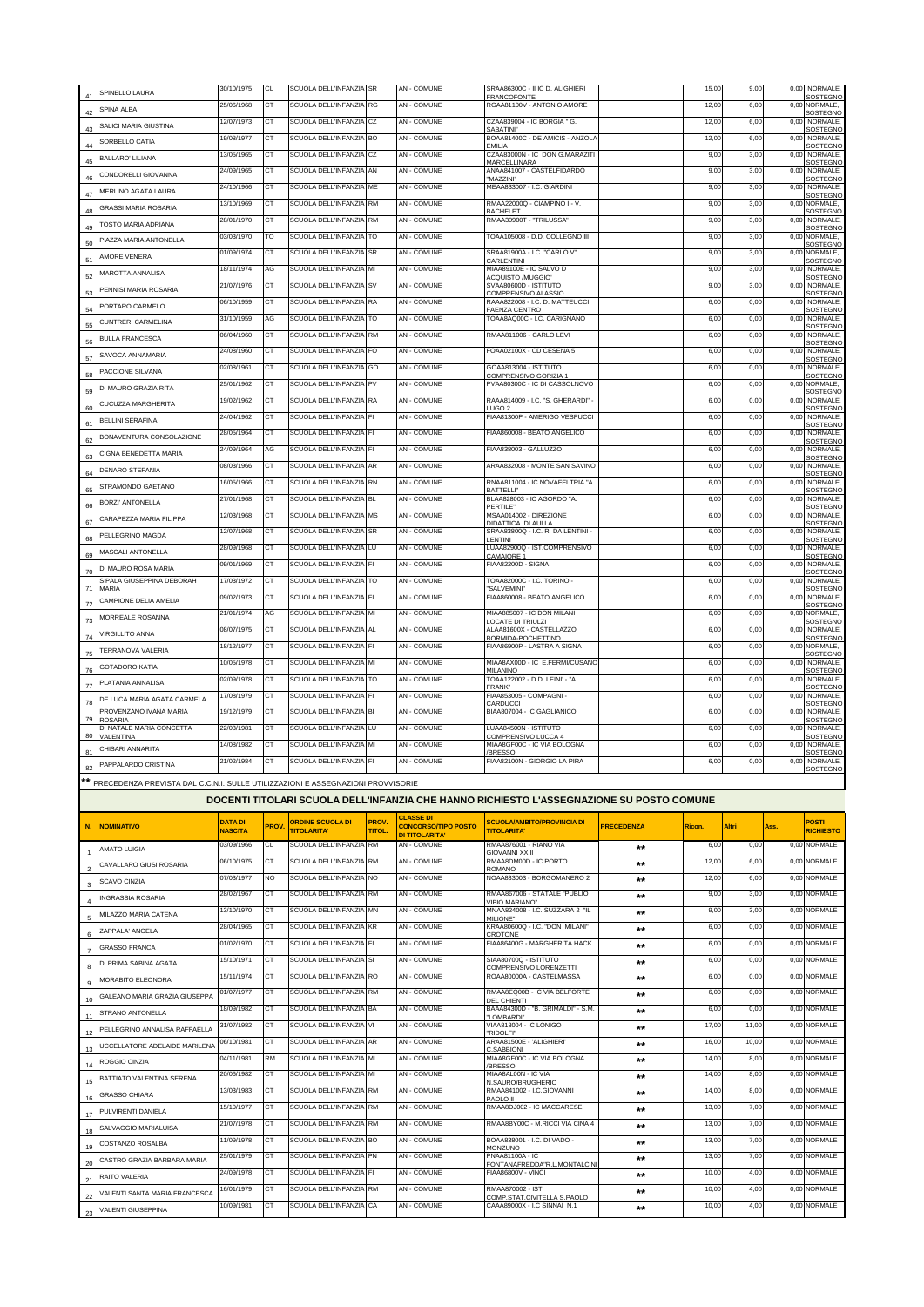|                |                                                                                            | 30/10/1975     | <b>CL</b>      | SCUOLA DELL'INFANZIA SR |              | AN - COMUNE                                    | SRAA86300C - II IC D. ALIGHIERI                                                          |                   | 15,00  | 9,00  | 0,00 | NORMALE.                          |
|----------------|--------------------------------------------------------------------------------------------|----------------|----------------|-------------------------|--------------|------------------------------------------------|------------------------------------------------------------------------------------------|-------------------|--------|-------|------|-----------------------------------|
| 41             | SPINELLO LAURA                                                                             | 25/06/1968     | СT             | SCUOLA DELL'INFANZIA RG |              | AN - COMUNE                                    | <b>FRANCOFONTE</b><br>RGAA81100V - ANTONIO AMORE                                         |                   | 12,00  | 6,00  | 0,00 | SOSTEGNO<br>NORMALE.              |
| 42             | SPINA ALBA                                                                                 |                |                |                         |              |                                                |                                                                                          |                   |        |       |      | SOSTEGNO                          |
| 43             | SALICI MARIA GIUSTINA                                                                      | 12/07/1973     | СT             | SCUOLA DELL'INFANZIA    | CZ           | AN - COMUNE                                    | CZAA839004 - IC BORGIA " G.<br>SABATINI"                                                 |                   | 12,00  | 6,00  | 0,00 | NORMALE,<br>SOSTEGNO              |
| 44             | SORBELLO CATIA                                                                             | 19/08/1977     | <b>CT</b>      | SCUOLA DELL'INFANZIA BO |              | AN - COMUNE                                    | BOAA81400C - DE AMICIS - ANZOLA<br>EMILIA                                                |                   | 12,00  | 6,00  | 0,00 | NORMALE,<br>SOSTEGNO              |
|                | <b>BALLARO' LILIANA</b>                                                                    | 13/05/1965     | <b>CT</b>      | SCUOLA DELL'INFANZIA    | CZ           | AN - COMUNE                                    | CZAA83000N - IC DON G.MARAZITI                                                           |                   | 9,00   | 3,00  | 0,00 | NORMALE.                          |
| 45             |                                                                                            | 24/09/1965     | CT             | SCUOLA DELL'INFANZIA    | AN           | AN - COMUNE                                    | <b>MARCELLINARA</b><br>ANAA841007 - CASTELFIDARDO                                        |                   | 9,00   | 3,00  | 0,00 | <b>SOSTEGNO</b><br>NORMALE,       |
| 46             | CONDORFLLI GIOVANNA                                                                        | 24/10/1966     | CT             | SCUOLA DELL'INFANZIA    | ME           | AN - COMUNE                                    | "MAZZINI"<br>MEAA833007 - I.C. GIARDINI                                                  |                   |        |       |      | <b>SOSTEGNO</b><br>NORMALE        |
| 47             | MERLINO AGATA LAURA                                                                        |                |                |                         |              |                                                |                                                                                          |                   | 9,00   | 3,00  | 0,00 | SOSTEGNO                          |
| 48             | <b>GRASSI MARIA ROSARIA</b>                                                                | 13/10/1969     | CT             | SCUOLA DELL'INFANZIA RM |              | AN - COMUNE                                    | RMAA22000Q - CIAMPINO I - V.<br><b>BACHELET</b>                                          |                   | 9,00   | 3,00  |      | 0,00 NORMALE,<br>SOSTEGNO         |
| 49             | TOSTO MARIA ADRIANA                                                                        | 28/01/1970     | CТ             | SCUOLA DELL'INFANZIA    | RM           | AN - COMUNE                                    | RMAA30900T - "TRILUSSA                                                                   |                   | 9,00   | 3,00  | 0,00 | NORMALE,                          |
|                | PIAZZA MARIA ANTONELLA                                                                     | 03/03/1970     | TO             | SCUOLA DELL'INFANZIA TO |              | AN - COMUNE                                    | TOAA105008 - D.D. COLLEGNO III                                                           |                   | 9,00   | 3,00  |      | SOST <u>EGNO</u><br>0,00 NORMALE, |
| 50             |                                                                                            | 01/09/1974     | СT             | SCUOLA DELL'INFANZIA    | SR           | AN - COMUNE                                    | SRAA81900A - I.C. "CARLO V"                                                              |                   | 9,00   | 3,00  |      | SOSTEGNO<br>0,00 NORMALE,         |
| 51             | AMORE VENERA                                                                               |                |                |                         |              |                                                | CARLENTINI                                                                               |                   |        |       |      | <b>SOSTEGNO</b>                   |
| 52             | MAROTTA ANNALISA                                                                           | 18/11/1974     | AG             | SCUOLA DELL'INFANZIA    | MI           | AN - COMUNE                                    | MIAA89100E - IC SALVO D<br>ACQUISTO /MUGGIO                                              |                   | 9,00   | 3,00  | 0,00 | NORMALE,<br>SOSTEGNO              |
| 53             | PENNISI MARIA ROSARIA                                                                      | 21/07/1976     | CT             | SCUOLA DELL'INFANZIA    | SV           | AN - COMUNE                                    | SVAA80600D - ISTITUTO<br>COMPRENSIVO ALASSIO                                             |                   | 9,00   | 3,00  | 0,00 | NORMALE,<br>SOSTEGNO              |
|                | PORTARO CARMELO                                                                            | 06/10/1959     | СT             | SCUOLA DELL'INFANZIA    | RA           | AN - COMUNE                                    | RAAA822008 - I.C. D. MATTEUCCI                                                           |                   | 6,00   | 0,00  | 0,00 | NORMALE,                          |
| 54             | CUNTRERI CARMELINA                                                                         | 31/10/1959     | AG             | SCUOLA DELL'INFANZIA    | TO           | AN - COMUNE                                    | FAENZA CENTRO<br>TOAA8AQ00C - I.C. CARIGNANO                                             |                   | 6,00   | 0,00  | 0,00 | SOSTEGNO<br>NORMALE,              |
| 55             |                                                                                            | 06/04/1960     | СT             | SCUOLA DELL'INFANZIA    | RM           | AN - COMUNE                                    | RMAA811006 - CARLO LEVI                                                                  |                   | 6,00   | 0,00  | 0,00 | SOSTEGNO<br>NORMALE,              |
| 56             | <b>BULLA FRANCESCA</b>                                                                     |                |                |                         |              |                                                |                                                                                          |                   |        |       |      | SOSTEGNO                          |
| 57             | SAVOCA ANNAMARIA                                                                           | 24/08/1960     | СT             | SCUOLA DELL'INFANZIA    | <b>FO</b>    | <b>AN - COMUNE</b>                             | FOAA02100X - CD CESENA 5                                                                 |                   | 6,00   | 0,00  | 0,00 | NORMALE,<br>SOSTEGNO              |
| 58             | PACCIONE SILVANA                                                                           | 02/08/1961     | СT             | SCUOLA DELL'INFANZIA    | GO           | AN - COMUNE                                    | GOAA813004 - ISTITUTO<br>COMPRENSIVO GORIZIA 1                                           |                   | 6,00   | 0,00  | 0,00 | NORMALE,<br>SOSTEGNO              |
|                | DI MAURO GRAZIA RITA                                                                       | 25/01/1962     | <b>CT</b>      | SCUOLA DELL'INFANZIA    | PV           | <b>AN - COMUNE</b>                             | PVAA80300C - IC DI CASSOLNOVO                                                            |                   | 6,00   | 0,00  |      | 0,00 NORMALE,                     |
| 59             |                                                                                            | 19/02/1962     | СT             | SCUOLA DELL'INFANZIA    | RA           | AN - COMUNE                                    | RAAA814009 - I.C. "S. GHERARDI" -                                                        |                   | 6,00   | 0,00  | 0,00 | SOSTEGNC<br><b>NORMALE</b>        |
| 60             | CUCUZZA MARGHERITA                                                                         | 24/04/1962     | <b>CT</b>      |                         |              | AN - COMUNE                                    | UGO <sub>2</sub><br>FIAA81300P - AMERIGO VESPUCCI                                        |                   |        |       |      | SOSTEGNO<br>NORMALE,              |
| 61             | BELLINI SERAFINA                                                                           |                |                | SCUOLA DELL'INFANZIA FI |              |                                                |                                                                                          |                   | 6,00   | 0,00  | 0,00 | <b>SOSTEGNO</b>                   |
| 62             | BONAVENTURA CONSOLAZIONE                                                                   | 28/05/1964     | CT             | SCUOLA DELL'INFANZIA FI |              | AN - COMUNE                                    | FIAA860008 - BEATO ANGELICO                                                              |                   | 6,00   | 0,00  | 0,00 | NORMALE,<br><b>SOSTEGNO</b>       |
|                | CIGNA BENEDETTA MARIA                                                                      | 24/09/1964     | AG             | SCUOLA DELL'INFANZIA FI |              | AN - COMUNE                                    | FIAA838003 - GALLUZZO                                                                    |                   | 6,00   | 0,00  | 0,00 | NORMALE.                          |
| 63             |                                                                                            | 08/03/1966     | CT             | SCUOLA DELL'INFANZIA    | AR           | AN - COMUNE                                    | ARAA832008 - MONTE SAN SAVINO                                                            |                   | 6,00   | 0,00  | 0,00 | <b>SOSTEGNO</b><br>NORMALE,       |
| 64             | <b>DENARO STEFANIA</b>                                                                     | 16/05/1966     | <b>CT</b>      | SCUOLA DELL'INFANZIA    | RN           | AN - COMUNE                                    | RNAA811004 - IC NOVAFELTRIA "A.                                                          |                   | 6,00   | 0,00  | 0,00 | SOSTEGNO<br>NORMALE,              |
| 65             | STRAMONDO GAETANO                                                                          |                |                |                         |              |                                                | BATTELLI"                                                                                |                   |        |       |      | SOSTEGNO                          |
| 66             | <b>BORZI' ANTONELLA</b>                                                                    | 27/01/1968     | СT             | SCUOLA DELL'INFANZIA    | <b>BL</b>    | AN - COMUNE                                    | BLAA828003 - IC AGORDO "A.<br>PERTILE"                                                   |                   | 6,00   | 0,00  | 0,00 | NORMALE,<br>SOSTEGNO              |
| 67             | CARAPEZZA MARIA FILIPPA                                                                    | 12/03/1968     | СT             | SCUOLA DELL'INFANZIA    | MS           | AN - COMUNE                                    | MSAA014002 - DIREZIONE                                                                   |                   | 6,00   | 0,00  | 0,00 | NORMALE,                          |
|                | PELLEGRINO MAGDA                                                                           | 12/07/1968     | CT             | SCUOLA DELL'INFANZIA    | <b>SR</b>    | AN - COMUNE                                    | DIDATTICA DI AULLA<br>SRAA83800Q - I.C. R. DA LENTINI -                                  |                   | 6,00   | 0,00  | 0,00 | <b>SOSTEGNO</b><br>NORMALE,       |
| 68             |                                                                                            | 28/09/1968     | СT             | SCUOLA DELL'INFANZIA LU |              | <b>AN - COMUNE</b>                             | <b>ENTINI</b><br>LUAA82900Q - IST.COMPRENSIVO                                            |                   | 6,00   | 0,00  | 0,00 | SOSTEGNO<br>NORMALE,              |
| 69             | MASCALI ANTONELLA                                                                          |                | <b>CT</b>      | SCUOLA DELL'INFANZIA    | FI           | AN - COMUNE                                    | CAMAIORE 1<br>FIAA82200D - SIGNA                                                         |                   |        |       |      | <b>SOSTEGNO</b>                   |
| 70             | DI MAURO ROSA MARIA                                                                        | 09/01/1969     |                |                         |              |                                                |                                                                                          |                   | 6,00   | 0,00  | 0,00 | NORMALE,<br>SOSTEGNO              |
| 71             | SIPALA GIUSEPPINA DEBORAH<br>MARIA                                                         | 17/03/1972     | <b>CT</b>      | SCUOLA DELL'INFANZIA TO |              | <b>AN - COMUNE</b>                             | TOAA82000C - I.C. TORINO -<br>"SALVEMINI"                                                |                   | 6,00   | 0,00  | 0,00 | NORMALE,<br>SOSTEGNO              |
|                | CAMPIONE DELIA AMELIA                                                                      | 09/02/1973     | СT             | SCUOLA DELL'INFANZIA    | FI           | AN - COMUNE                                    | FIAA860008 - BEATO ANGELICO                                                              |                   | 6,00   | 0,00  | 0,00 | NORMALE                           |
| 72             | MORREALE ROSANNA                                                                           | 21/01/1974     | AG             | SCUOLA DELL'INFANZIA MI |              | AN - COMUNE                                    | MIAA885007 - IC DON MILANI                                                               |                   | 6,00   | 0,00  |      | <b>SOSTEGNO</b><br>0,00 NORMALE,  |
| 73             |                                                                                            | 08/07/1975     | CT             | SCUOLA DELL'INFANZIA    | AL           | AN - COMUNE                                    | <b>OCATE DI TRIULZI</b><br>ALAA81600X - CASTELLAZZO                                      |                   | 6,00   | 0,00  | 0,00 | SOSTEGNO<br>NORMALE,              |
| 74             | VIRGILLITO ANNA                                                                            |                |                |                         |              |                                                | 3ORMIDA-POCHETTINO                                                                       |                   |        |       |      | SOSTEGNO                          |
| 75             | <b>TERRANOVA VALERIA</b>                                                                   | 18/12/1977     | CT             | SCUOLA DELL'INFANZIA FI |              | AN - COMUNE                                    | FIAA86900P - LASTRA A SIGNA                                                              |                   | 6,00   | 0,00  |      | 0,00 NORMALE,<br>SOSTEGNO         |
| 76             | GOTADORO KATIA                                                                             | 10/05/1978     | CT             | SCUOLA DELL'INFANZIA    | MI           | AN - COMUNE                                    | MIAA8AX00D - IC E.FERMI/CUSANO<br><b>MILANINO</b>                                        |                   | 6,00   | 0,00  | 0,00 | NORMALE,<br>SOSTEGNO              |
|                | PLATANIA ANNALISA                                                                          | 02/09/1978     | СT             | SCUOLA DELL'INFANZIA    | то           | AN - COMUNE                                    | TOAA122002 - D.D. LEINI' - "A.                                                           |                   | 6,00   | 0,00  | 0,00 | NORMALE,                          |
| 77             |                                                                                            | 17/08/1979     | СT             | SCUOLA DELL'INFANZIA    | FI           | AN - COMUNE                                    | FRANK"<br>FIAA853005 - COMPAGNI -                                                        |                   | 6,00   | 0,00  | 0,00 | SOSTEGNO<br>NORMALE,              |
| 78             | DE LUCA MARIA AGATA CARMELA                                                                |                |                | SCUOLA DELL'INFANZIA    | BI           |                                                | CARDUCCI                                                                                 |                   |        |       |      | SOSTEGNO                          |
| 79             | PROVENZANO IVANA MARIA<br><b>ROSARIA</b>                                                   | 19/12/1979     | СT             |                         |              | AN - COMUNE                                    | BIAA807004 - IC GAGLIANICO                                                               |                   | 6,00   | 0,00  | 0,00 | NORMALE,<br>SOSTEGNO              |
| 80             | DI NATALE MARIA CONCETTA<br>VALENTINA                                                      | 22/03/1981     | <b>CT</b>      | SCUOLA DELL'INFANZIA    | LU           | AN - COMUNE                                    | LUAA84500N - ISTITUTO                                                                    |                   | 6,00   | 0,00  | 0,00 | <b>NORMALE</b><br>SOSTEGNO        |
|                | CHISARI ANNARITA                                                                           |                |                |                         |              |                                                |                                                                                          |                   |        |       |      | NORMALE,                          |
| 81             |                                                                                            | 14/08/1982     | СT             | SCUOLA DELL'INFANZIA    | MI           | AN - COMUNE                                    | COMPRENSIVO LUCCA 4<br>MIAA8GF00C - IC VIA BOLOGNA                                       |                   | 6,00   | 0,00  | 0,00 |                                   |
| 82             |                                                                                            | 21/02/1984     | <b>CT</b>      | SCUOLA DELL'INFANZIA FI |              | AN - COMUNE                                    | <b>BRESSO</b><br>FIAA82100N - GIORGIO LA PIRA                                            |                   | 6,00   | 0,00  | 0,00 | SOSTEGNO<br>NORMALE,              |
|                | PAPPALARDO CRISTINA                                                                        |                |                |                         |              |                                                |                                                                                          |                   |        |       |      | SOSTEGNO                          |
|                | ** PRECEDENZA PREVI <u>STA DAL C.C.N.I. SULLE UTILIZZAZIONI E ASSEGNAZIONI PROVVISORIE</u> |                |                |                         |              |                                                |                                                                                          |                   |        |       |      |                                   |
|                |                                                                                            |                |                |                         |              |                                                | DOCENTI TITOLARI SCUOLA DELL'INFANZIA CHE HANNO RICHIESTO L'ASSEGNAZIONE SU POSTO COMUNE |                   |        |       |      |                                   |
|                |                                                                                            |                |                |                         |              |                                                |                                                                                          |                   |        |       |      |                                   |
| N.             | <b>NOMINATIVO</b>                                                                          | <b>DATA DI</b> | <b>PROV</b>    | <b>ORDINE SCUOLA DI</b> | PROV.        | <b>CLASSE DI</b><br><b>CONCORSO/TIPO POSTO</b> | <b>SCUOLA/AMBITO/PROVINCIA DI</b>                                                        | <b>PRECEDENZA</b> | Ricon. | Altri | Ass. | POSTI                             |
|                |                                                                                            | <b>NASCITA</b> |                | <b>TITOLARITA'</b>      | <b>TITOL</b> | DI TITOLARITA'                                 | <b>TITOLARITA'</b>                                                                       |                   |        |       |      | <b>RICHIESTO</b>                  |
| $\overline{1}$ | <b>AMATO LUIGIA</b>                                                                        | 03/09/1966     | CL             | SCUOLA DELL'INFANZIA    | <b>RM</b>    | AN - COMUNE                                    | RMAA876001 - RIANO VIA<br><b>GIOVANNI XXIII</b>                                          | $***$             | 6,00   | 0,00  |      | 0,00 NORMALE                      |
| $\sqrt{2}$     | CAVALLARO GIUSI ROSARIA                                                                    | 06/10/1975     | C1             | SCUOLA DELL'INFANZIA    | <b>RM</b>    | AN - COMUNE                                    | RMAA8DM00D - IC PORTO<br>ROMANO                                                          | $***$             | 12,00  | 6,00  |      | 0,00 NORMALE                      |
|                | <b>SCAVO CINZIA</b>                                                                        | 07/03/1977     | N <sub>O</sub> | SCUOLA DELL'INFANZIA NO |              | AN - COMUNE                                    | NOAA833003 - BORGOMANERO 2                                                               | $***$             | 12,00  | 6,00  |      | 0,00 NORMALE                      |
| 3              |                                                                                            | 28/02/1967     | СT             | SCUOLA DELL'INFANZIA    | <b>RM</b>    | AN - COMUNE                                    | RMAA867006 - STATALE "PUBLIO                                                             | $***$             | 9,00   | 3,00  |      | 0.00 NORMALE                      |
| $\overline{4}$ | <b>INGRASSIA ROSARIA</b>                                                                   | 13/10/1970     | CT             | SCUOLA DELL'INFANZIA    | MN           | AN - COMUNE                                    | <b>VIBIO MARIANO"</b><br>MNAA824008 - I.C. SUZZARA 2 "IL                                 |                   |        |       |      |                                   |
| 5              | MILAZZO MARIA CATENA                                                                       |                |                |                         |              |                                                | MILIONE"                                                                                 | $***$             | 9,00   | 3,00  |      | 0,00 NORMALE                      |
| $\,6$          | ZAPPALA' ANGELA                                                                            | 28/04/1965     | <b>CT</b>      | SCUOLA DELL'INFANZIA    | KR           | AN - COMUNE                                    | KRAA80600Q - I.C. "DON MILANI"<br>CROTONE                                                | $***$             | 6,00   | 0,00  |      | 0,00 NORMALE                      |
| $\overline{7}$ | <b>GRASSO FRANCA</b>                                                                       | 01/02/1970     | СT             | SCUOLA DELL'INFANZIA FI |              | AN - COMUNE                                    | FIAA86400G - MARGHERITA HACK                                                             | $***$             | 6,00   | 0,00  |      | 0,00 NORMALE                      |
|                | DI PRIMA SABINA AGATA                                                                      | 15/10/1971     | СT             | SCUOLA DELL'INFANZIA    | SI           | AN - COMUNE                                    | SIAA80700Q - ISTITUTO                                                                    | $***$             | 6.00   | 0.00  |      | 0,00 NORMALE                      |
| 8              |                                                                                            | 15/11/1974     | <b>CT</b>      | SCUOLA DELL'INFANZIA RO |              | AN - COMUNE                                    | COMPRENSIVO LORENZETTI<br>ROAA80000A - CASTELMASSA                                       |                   | 6,00   | 0,00  |      | 0,00 NORMALE                      |
| 9              | MORABITO ELEONORA                                                                          |                |                |                         |              |                                                |                                                                                          | $\star\star$      |        |       |      |                                   |
| 10             | GALEANO MARIA GRAZIA GIUSEPPA                                                              | 01/07/1977     | CТ             | SCUOLA DELL'INFANZIA    | <b>RM</b>    | AN - COMUNE                                    | RMAA8EQ00B - IC VIA BELFORTE<br><b>DEL CHIENTI</b>                                       | $***$             | 6,00   | 0,00  |      | 0,00 NORMALE                      |
| 11             | STRANO ANTONELLA                                                                           | 18/09/1982     | <b>CT</b>      | SCUOLA DELL'INFANZIA BA |              | AN - COMUNE                                    | BAAA84300D - "B. GRIMALDI" - S.M.<br>"LOMBARDI"                                          | $***$             | 6,00   | 0,00  |      | 0,00 NORMALE                      |
|                | PELLEGRINO ANNALISA RAFFAELLA                                                              | 31/07/1982     | СT             | SCUOLA DELL'INFANZIA    | VI           | AN - COMUNE                                    | VIAA818004 - IC LONIGO                                                                   | $***$             | 17,00  | 11.00 |      | 0,00 NORMALE                      |
| 12             |                                                                                            | 06/10/1981     | <b>CT</b>      | SCUOLA DELL'INFANZIA AR |              | AN - COMUNE                                    | "RIDOLFI"<br>ARAA81500E - 'ALIGHIERI'                                                    | $\star\star$      | 16,00  | 10,00 |      | 0,00 NORMALE                      |
| 13             | UCCELLATORE ADELAIDE MARILENA                                                              | 04/11/1981     | <b>RM</b>      | SCUOLA DELL'INFANZIA    | MI           | AN - COMUNE                                    | C.SABBIONI<br>MIAA8GF00C - IC VIA BOLOGNA                                                |                   | 14,00  | 8,00  |      | 0,00 NORMALE                      |
| 14             | ROGGIO CINZIA                                                                              |                |                |                         |              |                                                | <b>BRESSO</b>                                                                            | $***$             |        |       |      |                                   |
| 15             | BATTIATO VALENTINA SERENA                                                                  | 20/06/1982     | CT             | SCUOLA DELL'INFANZIA MI |              | AN - COMUNE                                    | MIAA8AL00N - IC VIA<br>N.SAURO/BRUGHERIO                                                 | $**$              | 14,00  | 8,00  |      | 0,00 NORMALE                      |
| 16             | <b>GRASSO CHIARA</b>                                                                       | 13/03/1983     | СT             | SCUOLA DELL'INFANZIA    | <b>RM</b>    | AN - COMUNE                                    | RMAA841002 - I.C.GIOVANNI                                                                | **                | 14,00  | 8,00  |      | 0,00 NORMALE                      |
|                | PULVIRENTI DANIELA                                                                         | 15/10/1977     | СT             | SCUOLA DELL'INFANZIA    | <b>RM</b>    | AN - COMUNE                                    | PAOLO II<br>RMAA8DJ002 - IC MACCARESE                                                    | $**$              | 13,00  | 7,00  |      | 0,00 NORMALE                      |
| 17             |                                                                                            | 21/07/1978     | СT             | SCUOLA DELL'INFANZIA    | <b>RM</b>    | AN - COMUNE                                    | RMAA8BY00C - M.RICCI VIA CINA 4                                                          | $***$             | 13,00  | 7,00  |      | 0,00 NORMALE                      |
| 18             | SALVAGGIO MARIALUISA                                                                       |                |                |                         |              |                                                |                                                                                          |                   |        |       |      |                                   |
| 19             | COSTANZO ROSALBA                                                                           | 11/09/1978     | CТ             | SCUOLA DELL'INFANZIA    | BO           | AN - COMUNE                                    | BOAA838001 - I.C. DI VADO -<br><b>MONZUNO</b>                                            | $***$             | 13,00  | 7,00  |      | 0,00 NORMALE                      |
| 20             | CASTRO GRAZIA BARBARA MARIA                                                                | 25/01/1979     | СT             | SCUOLA DELL'INFANZIA    | PN           | AN - COMUNE                                    | PNAA81100A - IC<br>ONTANAFREDDA"R.L.MONTALCIN                                            | $***$             | 13,00  | 7,00  |      | 0,00 NORMALE                      |
| 21             | RAITO VALERIA                                                                              | 24/09/1978     | СT             | SCUOLA DELL'INFANZIA    | FI           | AN - COMUNE                                    | FIAA86800V - VINCI                                                                       | $***$             | 10,00  | 4,00  |      | 0.00 NORMALE                      |
|                | VALENTI SANTA MARIA FRANCESCA                                                              | 16/01/1979     | <b>CT</b>      | SCUOLA DELL'INFANZIA    | <b>RM</b>    | AN - COMUNE                                    | RMAA870002 - IST                                                                         | $***$             | 10,00  | 4,00  |      | 0,00 NORMALE                      |
| 22<br>23       | VALENTI GIUSEPPINA                                                                         | 10/09/1981     | СT             | SCUOLA DELL'INFANZIA    | CA           | AN - COMUNE                                    | COMP.STAT.CIVITELLA S.PAOLO<br>CAAA89000X - I.C SINNAI N.1                               | $***$             | 10,00  | 4,00  |      | 0,00 NORMALE                      |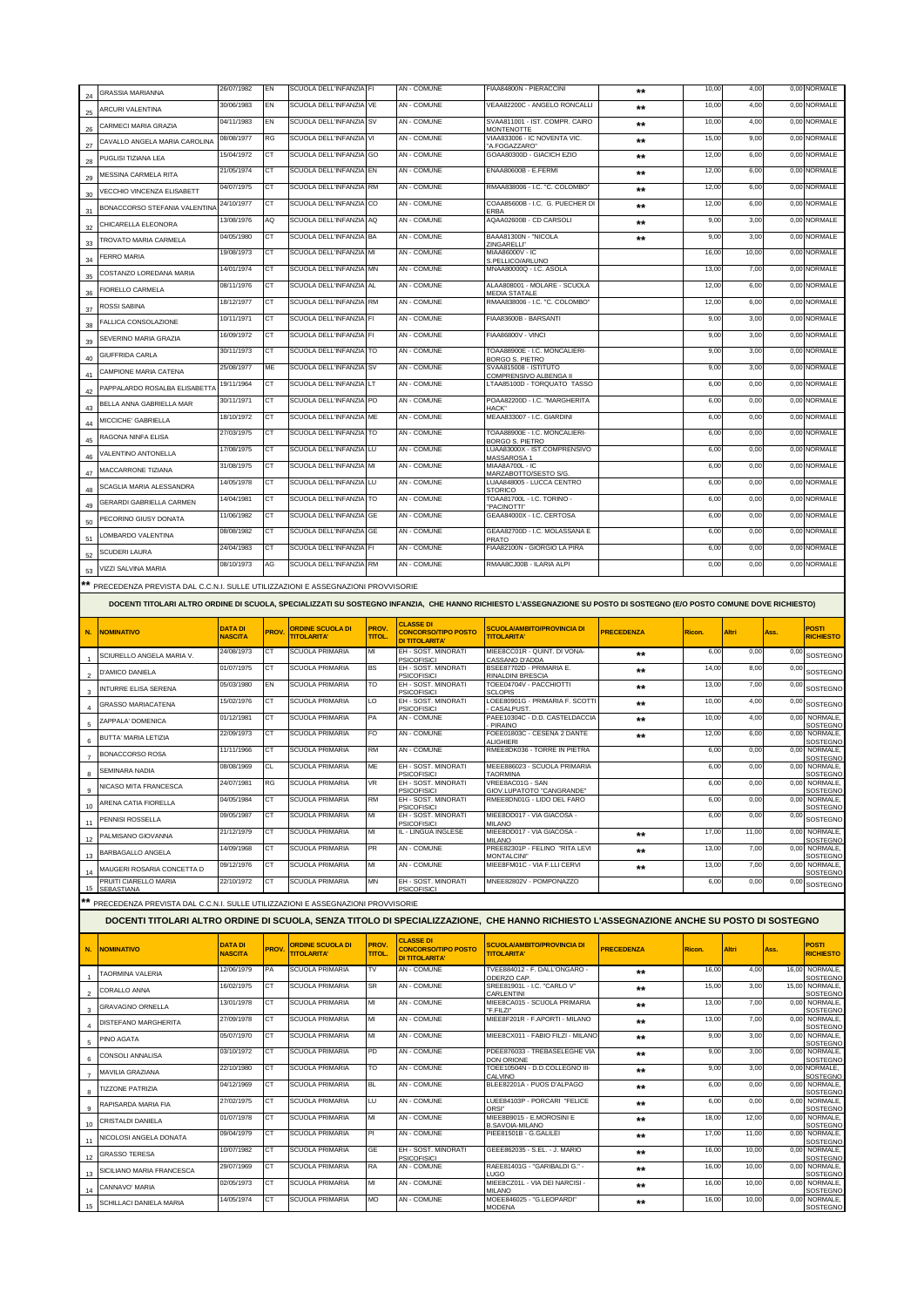|                |                                                                                    | 26/07/1982     | EN          | SCUOLA DELL'INFANZIA FI |                       | AN - COMUNE                                    | FIAA84800N - PIERACCINI                                                                                                                                                |                   | 10,00  | 4,00  |       | 0,00 NORMALE                      |
|----------------|------------------------------------------------------------------------------------|----------------|-------------|-------------------------|-----------------------|------------------------------------------------|------------------------------------------------------------------------------------------------------------------------------------------------------------------------|-------------------|--------|-------|-------|-----------------------------------|
| 24             | <b>GRASSIA MARIANNA</b>                                                            |                |             |                         |                       |                                                |                                                                                                                                                                        | **                |        |       |       |                                   |
| 25             | ARCURI VALENTINA                                                                   | 30/06/1983     | EN          | SCUOLA DELL'INFANZIA    | VE                    | <b>AN - COMUNE</b>                             | VEAA82200C - ANGELO RONCALLI                                                                                                                                           | $**$              | 10,00  | 4,00  |       | 0.00 NORMALE                      |
| 26             | CARMECI MARIA GRAZIA                                                               | 04/11/1983     | EN          | SCUOLA DELL'INFANZIA    | <b>SV</b>             | <b>AN - COMUNE</b>                             | SVAA811001 - IST. COMPR. CAIRO<br><b>MONTENOTTE</b>                                                                                                                    | $***$             | 10,00  | 4,00  |       | 0,00 NORMALE                      |
|                | CAVALLO ANGELA MARIA CAROLINA                                                      | 08/08/1977     | RG          | SCUOLA DELL'INFANZIA VI |                       | AN - COMUNE                                    | VIAA833006 - IC NOVENTA VIC                                                                                                                                            | $***$             | 15,00  | 9,00  |       | 0,00 NORMALE                      |
| $27\,$         |                                                                                    | 15/04/1972     | CT          | SCUOLA DELL'INFANZIA    | GO                    | AN - COMUNE                                    | A.FOGAZZARO"<br>GOAA80300D - GIACICH EZIO                                                                                                                              | $***$             | 12,00  | 6,00  |       | 0,00 NORMALE                      |
| 28             | PUGLISI TIZIANA LEA                                                                | 21/05/1974     | СT          | SCUOLA DELL'INFANZIA    | EN                    | AN - COMUNE                                    | ENAA80600B - E.FERMI                                                                                                                                                   |                   | 12,00  | 6,00  |       | 0,00 NORMALE                      |
| 29             | MESSINA CARMELA RITA                                                               |                |             |                         |                       |                                                |                                                                                                                                                                        | $***$             |        |       |       |                                   |
| 30             | VECCHIO VINCENZA ELISABETT                                                         | 04/07/1975     | CT          | SCUOLA DELL'INFANZIA RM |                       | AN - COMUNE                                    | RMAA838006 - I.C. "C. COLOMBO'                                                                                                                                         | $***$             | 12,00  | 6,00  |       | 0,00 NORMALE                      |
| 31             | BONACCORSO STEFANIA VALENTINA                                                      | 24/10/1977     | CT          | SCUOLA DELL'INFANZIA    | CO                    | <b>AN - COMUNE</b>                             | COAA85600B - I.C. G. PUECHER DI<br>ERBA                                                                                                                                | $***$             | 12,00  | 6,00  | 0,00  | NORMALE                           |
|                | CHICARELLA ELEONORA                                                                | 13/08/1976     | AQ          | SCUOLA DELL'INFANZIA    | AQ                    | AN - COMUNE                                    | AQAA02600B - CD CARSOLI                                                                                                                                                | $***$             | 9,00   | 3,00  | 0,00  | <b>NORMALE</b>                    |
| 32             |                                                                                    | 04/05/1980     | CТ          | SCUOLA DELL'INFANZIA    | BA                    | <b>AN - COMUNE</b>                             | BAAA81300N - "NICOLA                                                                                                                                                   | $***$             | 9,00   | 3.00  | 0.00  | NORMALE                           |
| 33             | TROVATO MARIA CARMELA                                                              |                |             |                         |                       |                                                | <b>ZINGARELLI</b>                                                                                                                                                      |                   |        |       |       |                                   |
| 34             | FFRRO MARIA                                                                        | 19/08/1973     | СT          | SCUOLA DELL'INFANZIA MI |                       | AN - COMUNE                                    | MIAA86000V - IC<br>S.PELLICO/ARLUNO                                                                                                                                    |                   | 16,00  | 10,00 |       | 0,00 NORMALE                      |
| 35             | COSTANZO LOREDANA MARIA                                                            | 14/01/1974     | СT          | SCUOLA DELL'INFANZIA    | <b>MN</b>             | AN - COMUNE                                    | MNAA80000Q - I.C. ASOLA                                                                                                                                                |                   | 13,00  | 7,00  | 0,00  | NORMALE                           |
|                | FIORELLO CARMELA                                                                   | 08/11/1976     | CT          | SCUOLA DELL'INFANZIA AL |                       | AN - COMUNE                                    | ALAA808001 - MOLARE - SCUOLA                                                                                                                                           |                   | 12,00  | 6,00  |       | 0,00 NORMALE                      |
| 36             |                                                                                    | 18/12/1977     | СT          | SCUOLA DELL'INFANZIA    | <b>RM</b>             | AN - COMUNE                                    | MEDIA STATALE<br>RMAA838006 - I.C. "C. COLOMBO"                                                                                                                        |                   | 12,00  | 6,00  | 0,00  | <b>NORMALE</b>                    |
| 37             | ROSSI SABINA                                                                       |                |             |                         |                       |                                                |                                                                                                                                                                        |                   |        |       |       |                                   |
| 38             | <b>FALLICA CONSOLAZIONE</b>                                                        | 10/11/1971     | CT          | SCUOLA DELL'INFANZIA FI |                       | AN - COMUNE                                    | FIAA83600B - BARSANTI                                                                                                                                                  |                   | 9,00   | 3,00  |       | 0,00 NORMALE                      |
| 39             | SEVERINO MARIA GRAZIA                                                              | 16/09/1972     | CТ          | SCUOLA DELL'INFANZIA FI |                       | AN - COMUNE                                    | FIAA86800V - VINCI                                                                                                                                                     |                   | 9,00   | 3,00  | 0,00  | <b>NORMALE</b>                    |
|                | <b>GIUFFRIDA CARLA</b>                                                             | 30/11/1973     | СT          | SCUOLA DELL'INFANZIA TO |                       | AN - COMUNE                                    | TOAA88900E - I.C. MONCALIERI-                                                                                                                                          |                   | 9,00   | 3,00  |       | 0,00 NORMALE                      |
| 40             |                                                                                    | 25/08/1977     | ME          | SCUOLA DELL'INFANZIA SV |                       | AN - COMUNE                                    | <b>BORGO S. PIETRO</b><br>SVAA815008 - ISTITUTO                                                                                                                        |                   | 9,00   | 3,00  |       | 0,00 NORMALE                      |
| 41             | CAMPIONE MARIA CATENA                                                              |                |             |                         |                       |                                                | COMPRENSIVO ALBENGA I                                                                                                                                                  |                   |        |       |       | 0,00 NORMALE                      |
| 42             | PAPPALARDO ROSALBA FLISABETT/                                                      | 19/11/1964     | СT          | SCUOLA DELL'INFANZIA LT |                       | AN - COMUNE                                    | LTAA85100D - TORQUATO TASSO                                                                                                                                            |                   | 6,00   | 0,00  |       |                                   |
| 43             | BELLA ANNA GABRIELLA MAR                                                           | 30/11/1971     | СT          | SCUOLA DELL'INFANZIA PO |                       | AN - COMUNE                                    | POAA82200D - I.C. "MARGHERITA<br>HACK <sup>*</sup>                                                                                                                     |                   | 6,00   | 0,00  |       | 0,00 NORMALE                      |
|                | MICCICHE' GABRIELLA                                                                | 18/10/1972     | СT          | SCUOLA DELL'INFANZIA ME |                       | AN - COMUNE                                    | MEAA833007 - I.C. GIARDINI                                                                                                                                             |                   | 6,00   | 0,00  |       | 0,00 NORMALE                      |
| 44             |                                                                                    | 27/03/1975     | CT          | SCUOLA DELL'INFANZIA    | <b>TO</b>             | AN - COMUNE                                    | TOAA88900E - I.C. MONCALIERI-                                                                                                                                          |                   | 6,00   | 0,00  |       | 0,00 NORMALE                      |
| 45             | RAGONA NINFA ELISA                                                                 |                | СT          |                         | LU                    |                                                | <b>BORGO S. PIETRO</b>                                                                                                                                                 |                   |        |       |       |                                   |
| 46             | VALENTINO ANTONELLA                                                                | 17/08/1975     |             | SCUOLA DELL'INFANZIA    |                       | AN - COMUNE                                    | LUAA83000X - IST.COMPRENSIVO<br>MASSAROSA 1                                                                                                                            |                   | 6,00   | 0,00  |       | 0,00 NORMALE                      |
| 47             | MACCARRONE TIZIANA                                                                 | 31/08/1975     | <b>CT</b>   | SCUOLA DELL'INFANZIA MI |                       | AN - COMUNE                                    | MIAA8A700L - IC<br>MARZABOTTO/SESTO S/G                                                                                                                                |                   | 6,00   | 0,00  |       | 0,00 NORMALE                      |
|                | SCAGLIA MARIA ALESSANDRA                                                           | 14/05/1978     | СT          | SCUOLA DELL'INFANZIA    | LU                    | AN - COMUNE                                    | LUAA848005 - LUCCA CENTRO                                                                                                                                              |                   | 6,00   | 0,00  | 0,00  | <b>NORMALE</b>                    |
| 48             |                                                                                    | 14/04/1981     | СT          | SCUOLA DELL'INFANZIA    | <b>TO</b>             | AN - COMUNE                                    | <b>STORICO</b><br>TOAA81700L - I.C. TORINO                                                                                                                             |                   | 6,00   | 0,00  |       | 0,00 NORMALE                      |
| 49             | <b>GERARDI GABRIELLA CARMEN</b>                                                    | 11/06/1982     | СT          | SCUOLA DELL'INFANZIA    | GE                    | AN - COMUNE                                    | "PACINOTTI"<br>GEAA84000X - I.C. CERTOSA                                                                                                                               |                   | 6,00   | 0,00  |       | 0,00 NORMALE                      |
| 50             | PECORINO GIUSY DONATA                                                              |                |             |                         |                       |                                                |                                                                                                                                                                        |                   |        |       |       |                                   |
| 51             | LOMBARDO VALENTINA                                                                 | 08/08/1982     | СT          | SCUOLA DELL'INFANZIA    | <b>GE</b>             | AN - COMUNE                                    | GEAA82700D - I.C. MOLASSANA E<br><b>PRATO</b>                                                                                                                          |                   | 6,00   | 0,00  |       | 0,00 NORMALE                      |
| 52             | SCUDERI LAURA                                                                      | 24/04/1983     | CT          | SCUOLA DELL'INFANZIA FI |                       | AN - COMUNE                                    | FIAA82100N - GIORGIO LA PIRA                                                                                                                                           |                   | 6,00   | 0,00  | 0,00  | <b>NORMALE</b>                    |
|                | VIZZI SALVINA MARIA                                                                | 08/10/1973     | AG          | SCUOLA DELL'INFANZIA RM |                       | AN - COMUNE                                    | RMAA8CJ00B - ILARIA ALPI                                                                                                                                               |                   | 0,00   | 0,00  |       | 0,00 NORMALE                      |
| 53             |                                                                                    |                |             |                         |                       |                                                |                                                                                                                                                                        |                   |        |       |       |                                   |
|                | ** PRECEDENZA PREVISTA DAL C.C.N.I. SULLE UTILIZZAZIONI E ASSEGNAZIONI PROVVISORIE |                |             |                         |                       |                                                |                                                                                                                                                                        |                   |        |       |       |                                   |
|                |                                                                                    |                |             |                         |                       |                                                | DOCENTI TITOLARI ALTRO ORDINE DI SCUOLA, SPECIALIZZATI SU SOSTEGNO INFANZIA, CHE HANNO RICHIESTO L'ASSEGNAZIONE SU POSTO DI SOSTEGNO (E/O POSTO COMUNE DOVE RICHIESTO) |                   |        |       |       |                                   |
|                |                                                                                    |                |             |                         |                       |                                                |                                                                                                                                                                        |                   |        |       |       |                                   |
| N.             | <b>NOMINATIVO</b>                                                                  | DATA DI        | <b>PROV</b> | <b>ORDINE SCUOLA DI</b> | PROV.<br><b>TITOL</b> | <b>CLASSE DI</b><br><b>CONCORSO/TIPO POSTO</b> | SCUOLA/AMBITO/PROVINCIA DI                                                                                                                                             | <b>PRECEDENZA</b> | Ricon. | Altri | Ass.  | POSTI                             |
|                |                                                                                    | <b>NASCITA</b> |             | <b>TITOLARITA'</b>      |                       | DI TITOLARITA'                                 | <b>TITOLARITA'</b>                                                                                                                                                     |                   |        |       |       | <b>RICHIESTO</b>                  |
|                |                                                                                    |                |             |                         |                       |                                                |                                                                                                                                                                        |                   |        |       |       |                                   |
|                | SCIURELLO ANGELA MARIA V.                                                          | 24/08/1973     | CТ          | SCUOLA PRIMARIA         | MI                    | EH - SOST. MINORATI                            | MIEE8CC01R - QUINT. DI VONA-                                                                                                                                           | $**$              | 6,00   | 0,00  | 0,00  | SOSTEGNO                          |
|                | D'AMICO DANIELA                                                                    | 01/07/1975     | СT          | <b>SCUOLA PRIMARIA</b>  | <b>BS</b>             | <b>PSICOFISICI</b><br>EH - SOST. MINORATI      | CASSANO D'ADDA<br>BSEE87702D - PRIMARIA E.                                                                                                                             | $***$             | 14,00  | 8,00  | 0,00  | SOSTEGNO                          |
| $\mathbf 2$    |                                                                                    | 05/03/1980     | EN          | SCUOLA PRIMARIA         | TO                    | <b>PSICOFISICI</b><br>EH - SOST. MINORATI      | RINALDINI BRESCIA<br>TOEE04704V - PACCHIOTTI                                                                                                                           |                   | 13,00  | 7,00  | 0,00  |                                   |
| 3              | INTURRE ELISA SERENA                                                               |                |             |                         |                       | <b>PSICOFISICI</b>                             | SCLOPIS                                                                                                                                                                | $***$             |        |       |       | SOSTEGNO                          |
|                | <b>GRASSO MARIACATENA</b>                                                          | 15/02/1976     | СT          | SCUOLA PRIMARIA         | LO                    | EH - SOST. MINORATI<br><b>PSICOFISICI</b>      | LOEE80901G - PRIMARIA F. SCOTTI<br>CASALPUST.                                                                                                                          | **                | 10,00  | 4,00  | 0,00  | SOSTEGNO                          |
| 5              | ZAPPALA' DOMENICA                                                                  | 01/12/1981     | <b>CT</b>   | SCUOLA PRIMARIA         | PA                    | AN - COMUNE                                    | PAEE10304C - D.D. CASTELDACCIA                                                                                                                                         | $***$             | 10,00  | 4,00  | 0,00  | NORMALE                           |
|                | BUTTA' MARIA LETIZIA                                                               | 22/09/1973     | CT          | SCUOLA PRIMARIA         | FO                    | AN - COMUNE                                    | PIRAINO<br>FOEE01803C - CESENA 2 DANTE                                                                                                                                 | **                | 12,00  | 6,00  | 0,00  | SOSTEGNO<br>NORMALE,              |
| 6              |                                                                                    | 11/11/1966     | СT          | SCUOLA PRIMARIA         | <b>RM</b>             | AN - COMUNE                                    | <b>ALIGHIERI</b><br>RMEE8DK036 - TORRE IN PIETRA                                                                                                                       |                   | 6,00   | 0,00  | 0,00  | SOSTEGNC<br><b>NORMALE</b>        |
| $\overline{7}$ | BONACCORSO ROSA                                                                    |                |             |                         |                       |                                                |                                                                                                                                                                        |                   |        |       |       | SOSTEGNO<br><b>NORMALE</b>        |
| 8              | SEMINARA NADIA                                                                     | 08/08/1969     | CL          | <b>SCUOLA PRIMARIA</b>  | ME                    | EH - SOST. MINORATI<br><b>PSICOFISICI</b>      | MEEE886023 - SCUOLA PRIMARIA<br><b>TAORMINA</b>                                                                                                                        |                   | 6,00   | 0,00  | 0.00  | SOSTEGNO                          |
| 9              | NICASO MITA FRANCESCA                                                              | 24/07/1981     | <b>RG</b>   | SCUOLA PRIMARIA         | <b>VR</b>             | EH - SOST. MINORATI<br><b>PSICOFISICI</b>      | VREE8AC01G - SAN                                                                                                                                                       |                   | 6,00   | 0,00  |       | 0,00 NORMALE,                     |
|                | ARENA CATIA FIORELLA                                                               | 04/05/1984     | CT          | <b>SCUOLA PRIMARIA</b>  | <b>RM</b>             | EH - SOST. MINORATI                            | GIOV.LUPATOTO "CANGRANDE"<br>RMEE8DN01G - LIDO DEL FARO                                                                                                                |                   | 6,00   | 0,00  | 0,00  | SOSTEGNO<br>NORMALE.              |
| 10             | PENNISI ROSSELLA                                                                   | 09/05/1987     | СT          | <b>SCUOLA PRIMARIA</b>  | MI                    | <b>PSICOFISICI</b><br>EH - SOST. MINORATI      | MIEE8DD017 - VIA GIACOSA -                                                                                                                                             |                   | 6,00   | 0,00  | 0,00  | SOSTEGNO                          |
| 11             |                                                                                    |                | СT          | <b>SCUOLA PRIMARIA</b>  | МІ                    | <b>PSICOFISICI</b><br>IL - LINGUA INGLESE      | <b>MILANO</b><br>MIEE8DD017 - VIA GIACOSA -                                                                                                                            |                   | 17,00  | 11,00 | 0,00  | SOSTEGNO<br>NORMALE,              |
| 12             | PALMISANO GIOVANNA                                                                 | 21/12/1979     |             |                         |                       |                                                | MILANO                                                                                                                                                                 | $***$             |        |       |       | SOSTEGNO                          |
| 13             | BARBAGALLO ANGELA                                                                  | 14/09/1968     | CT          | <b>SCUOLA PRIMARIA</b>  | PR                    | AN - COMUNE                                    | PREE82301P - FELINO "RITA LEVI<br><b>MONTALCINI</b>                                                                                                                    | $***$             | 13,00  | 7,00  | 0,00  | NORMALE,<br>SOSTEGNO              |
|                | MAUGERI ROSARIA CONCETTA D                                                         | 09/12/1976     | СT          | <b>SCUOLA PRIMARIA</b>  | МІ                    | AN - COMUNE                                    | MIEE8FM01C - VIA F.LLI CERVI                                                                                                                                           | $***$             | 13,00  | 7,00  | 0.00  | NORMALE,                          |
| 14             | PRUITI CIARELLO MARIA                                                              | 22/10/1972     | <b>CT</b>   | <b>SCUOLA PRIMARIA</b>  | MN                    | EH - SOST. MINORATI                            | MNEE82802V - POMPONAZZO                                                                                                                                                |                   | 6,00   | 0,00  | 0,00  | SOSTEGNO                          |
| 15             | <b>SEBASTIANA</b>                                                                  |                |             |                         |                       | <b>PSICOFISICI</b>                             |                                                                                                                                                                        |                   |        |       |       | SOSTEGNO                          |
|                | ** PRECEDENZA PREVISTA DAL C.C.N.I. SULLE UTILIZZAZIONI E ASSEGNAZIONI PROVVISORIE |                |             |                         |                       |                                                |                                                                                                                                                                        |                   |        |       |       |                                   |
|                |                                                                                    |                |             |                         |                       |                                                | DOCENTI TITOLARI ALTRO ORDINE DI SCUOLA, SENZA TITOLO DI SPECIALIZZAZIONE, CHE HANNO RICHIESTO L'ASSEGNAZIONE ANCHE SU POSTO DI SOSTEGNO                               |                   |        |       |       |                                   |
|                |                                                                                    |                |             |                         |                       |                                                |                                                                                                                                                                        |                   |        |       |       |                                   |
| N.             | <b>NOMINATIVO</b>                                                                  | <b>DATA DI</b> | <b>PROV</b> | <b>ORDINE SCUOLA DI</b> | <b>PROV</b>           | <b>CLASSE DI</b><br><b>CONCORSO/TIPO POSTO</b> | <b>SCUOLA/AMBITO/PROVINCIA DI</b>                                                                                                                                      | <b>PRECEDENZA</b> | Ricon. | Altri | Ass.  | POSTI                             |
|                |                                                                                    | <b>NASCITA</b> |             | <b>TITOLARITA'</b>      | TITOL.                | DI TITOLARITA'                                 | <b>TITOLARITA'</b>                                                                                                                                                     |                   |        |       |       | <b>RICHIESTO</b>                  |
|                | <b>TAORMINA VALERIA</b>                                                            | 12/06/1979     | PA          | <b>SCUOLA PRIMARIA</b>  | TV                    | AN - COMUNE                                    | TVEE884012 - F. DALL'ONGARO -<br>ODERZO CAP.                                                                                                                           | $\star\star$      | 16,00  | 4,00  |       | 16,00 NORMALE,<br><b>SOSTEGNO</b> |
|                | <b>CORALLO ANNA</b>                                                                | 16/02/1975     | СT          | <b>SCUOLA PRIMARIA</b>  | SR                    | AN - COMUNE                                    | SREE81901L - I.C. "CARLO V"                                                                                                                                            | $***$             | 15,00  | 3,00  | 15,00 | NORMALE,                          |
| $\overline{2}$ |                                                                                    | 13/01/1978     | CT          | <b>SCUOLA PRIMARIA</b>  | MI                    | AN - COMUNE                                    | CARLENTINI<br>MIEE8CA015 - SCUOLA PRIMARIA                                                                                                                             | $***$             | 13,00  | 7,00  | 0,00  | SOSTEGNO<br>NORMALE.              |
| 3              | <b>GRAVAGNO ORNELLA</b>                                                            |                | CТ          |                         | MI                    |                                                | "F.FILZI"                                                                                                                                                              |                   |        |       |       | SOSTEGNO<br>NORMALE.              |
| $\overline{4}$ | DISTEFANO MARGHERITA                                                               | 27/09/1978     |             | SCUOLA PRIMARIA         |                       | AN - COMUNE                                    | MIEE8F201R - F.APORTI - MILANO                                                                                                                                         | $\star\star$      | 13,00  | 7,00  | 0,00  | SOSTEGNO                          |
| 5              | PINO AGATA                                                                         | 05/07/1970     | СT          | <b>SCUOLA PRIMARIA</b>  | MI                    | <b>AN - COMUNE</b>                             | MIEE8CX011 - FABIO FILZI - MILANC                                                                                                                                      | $**$              | 9,00   | 3,00  |       | 0,00 NORMALE,<br>SOSTEGNO         |
|                | CONSOLI ANNALISA                                                                   | 03/10/1972     | СT          | <b>SCUOLA PRIMARIA</b>  | PD                    | AN - COMUNE                                    | PDEE876033 - TREBASELEGHE VIA                                                                                                                                          | $**$              | 9,00   | 3,00  | 0,00  | NORMALE,                          |
| 6              |                                                                                    | 22/10/1980     | СT          | <b>SCUOLA PRIMARIA</b>  | TO                    | AN - COMUNE                                    | <b>DON ORIONE</b><br>TOEE10504N - D.D.COLLEGNO III-                                                                                                                    | $**$              | 9,00   | 3,00  |       | SOSTEGNO<br>0,00 NORMALE,         |
| $\overline{7}$ | <b>MAVILIA GRAZIANA</b>                                                            |                |             |                         |                       |                                                | CALVINO                                                                                                                                                                |                   |        |       |       | SOSTEGNO                          |
| 8              | <b>TIZZONE PATRIZIA</b>                                                            | 04/12/1969     | СT          | <b>SCUOLA PRIMARIA</b>  | <b>BL</b>             | AN - COMUNE                                    | BLEE82201A - PUOS D'ALPAGO                                                                                                                                             | $**$              | 6,00   | 0,00  | 0,00  | NORMALE,<br>SOSTEGNO              |
| 9              | RAPISARDA MARIA FIA                                                                | 27/02/1975     | СT          | <b>SCUOLA PRIMARIA</b>  | LU                    | AN - COMUNE                                    | LUEE84103P - PORCARI "FELICE<br>ORSI"                                                                                                                                  | $***$             | 6,00   | 0,00  | 0,00  | NORMALE,<br>SOSTEGNO              |
|                | CRISTALDI DANIELA                                                                  | 01/07/1978     | СT          | SCUOLA PRIMARIA         | MI                    | AN - COMUNE                                    | MIEE8B9015 - E.MOROSINI E                                                                                                                                              | $***$             | 18,00  | 12,00 | 0,00  | NORMALE,                          |
| 10             |                                                                                    | 09/04/1979     | СT          | <b>SCUOLA PRIMARIA</b>  | PI                    | AN - COMUNE                                    | 3. SAVOIA-MILANO<br>PIEE81501B - G.GALILEI                                                                                                                             | $***$             | 17,00  | 11,00 | 0,00  | SOSTEGNO<br>NORMALE,              |
| 11             | NICOLOSI ANGELA DONATA                                                             |                | СT          |                         | <b>GE</b>             |                                                |                                                                                                                                                                        |                   |        |       |       | SOSTEGNO<br>NORMALE               |
| 12             | <b>GRASSO TERESA</b>                                                               | 10/07/1982     |             | SCUOLA PRIMARIA         |                       | EH - SOST. MINORATI<br><b>PSICOFISICI</b>      | GEEE862035 - S.EL. - J. MARIO                                                                                                                                          | $***$             | 16,00  | 10,00 | 0,00  | <b>SOSTEGNO</b>                   |
| 13             | SICILIANO MARIA FRANCESCA                                                          | 29/07/1969     | CT          | SCUOLA PRIMARIA         | RA                    | AN - COMUNE                                    | RAEE81401G - "GARIBALDI G." -<br>LUGO                                                                                                                                  | $***$             | 16,00  | 10,00 | 0,00  | NORMALE.<br>SOSTEGNO              |
|                | CANNAVO' MARIA                                                                     | 02/05/1973     | <b>CT</b>   | <b>SCUOLA PRIMARIA</b>  | MI                    | AN - COMUNE                                    | MIEE8CZ01L - VIA DEI NARCISI -                                                                                                                                         | $***$             | 16,00  | 10,00 | 0,00  | NORMALE.                          |
| 14<br>15       | SCHILLACI DANIELA MARIA                                                            | 14/05/1974     | СT          | <b>SCUOLA PRIMARIA</b>  | MO                    | AN - COMUNE                                    | MII ANO<br>MOEE846025 - "G.LEOPARDI"<br><b>MODENA</b>                                                                                                                  | $**$              | 16,00  | 10,00 | 0,00  | SOSTEGNO<br>NORMALE,<br>SOSTEGNO  |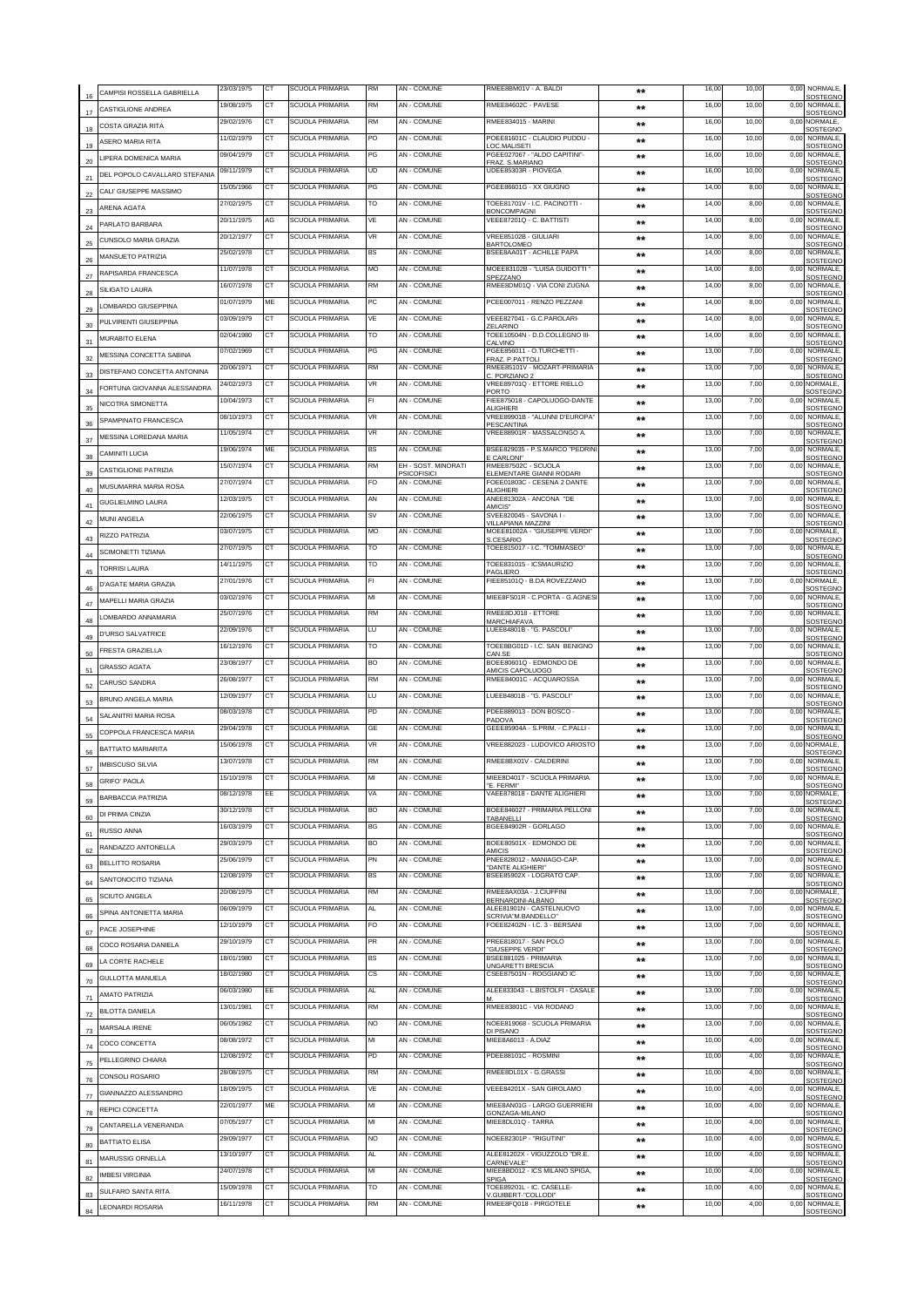| 16 | CAMPISI ROSSELLA GABRIELLA    | 23/03/1975               | CT        | SCUOLA PRIMARIA                                  | <b>RM</b> | AN - COMUNE                               | RMEE8BM01V - A. BALDI                                                       | $***$        | 16,00          | 10,00        | 0,00         | NORMALE,<br>SOSTEGNO                         |
|----|-------------------------------|--------------------------|-----------|--------------------------------------------------|-----------|-------------------------------------------|-----------------------------------------------------------------------------|--------------|----------------|--------------|--------------|----------------------------------------------|
| 17 | CASTIGLIONE ANDREA            | 19/08/1975               | СT        | <b>SCUOLA PRIMARIA</b>                           | <b>RM</b> | <b>AN - COMUNE</b>                        | RMEE84602C - PAVESE                                                         | $\star\star$ | 16,00          | 10.00        | 0.00         | NORMALE<br>SOSTEGNO                          |
| 18 | COSTA GRAZIA RITA             | 29/02/1976               | СT        | <b>SCUOLA PRIMARIA</b>                           | <b>RM</b> | AN - COMUNE                               | <b>RMFF834015 - MARINI</b>                                                  | $***$        | 16,00          | 10,00        |              | 0,00 NORMALE,<br>SOSTEGNO                    |
| 19 | ASERO MARIA RITA              | 11/02/1979               | CТ        | <b>SCUOLA PRIMARIA</b>                           | PO        | AN - COMUNE                               | POEE81601C - CLAUDIO PUDDU -<br>OC.MALISETI                                 | $***$        | 16,00          | 10,00        | 0,00         | NORMALE,<br>SOSTEGNO                         |
| 20 | LIPERA DOMENICA MARIA         | 09/04/1979               | CT        | <b>SCUOLA PRIMARIA</b>                           | PG        | AN - COMUNE                               | PGEE027067 - "ALDO CAPITINI"-<br>FRAZ, S.MARIANO                            | $**$         | 16,00          | 10,00        | 0,00         | NORMALE,<br>SOSTEGNO                         |
|    | DEL POPOLO CAVALLARO STEFANIA | 09/11/1979               | СT        | <b>SCUOLA PRIMARIA</b>                           | <b>UD</b> | AN - COMUNE                               | UDEE85303R - PIOVEGA                                                        | $**$         | 16,00          | 10,00        | 0,00         | NORMALE,<br>SOSTEGNO                         |
| 22 | CALI' GIUSEPPE MASSIMO        | 15/05/1966               | CT        | <b>SCUOLA PRIMARIA</b>                           | PG        | AN - COMUNE                               | PGEE86601G - XX GIUGNO                                                      | **           | 14,00          | 8,00         | 0,00         | NORMALE,<br>SOSTEGNO                         |
| 23 | ARENA AGATA                   | 27/02/1975               | СT        | SCUOLA PRIMARIA                                  | то        | AN - COMUNE                               | TOEE81701V - I.C. PACINOTTI -<br>BONCOMPAGNI                                | **           | 14,00          | 8,00         | 0,00         | NORMALE,<br>SOSTEGNO                         |
| 24 | PARLATO BARBARA               | 20/11/1975               | AG        | SCUOLA PRIMARIA                                  | VE        | AN - COMUNE                               | VEEE87201Q - C. BATTISTI                                                    | $***$        | 14,00          | 8,00         | 0,00         | NORMALE,<br>SOSTEGNO                         |
| 25 | CUNSOLO MARIA GRAZIA          | 20/12/1977               | СT        | <b>SCUOLA PRIMARIA</b>                           | <b>VR</b> | AN - COMUNE                               | VREE85102B - GIULIARI<br>BARTOLOMEO                                         | $***$        | 14,00          | 8,00         | 0,00         | NORMALE,<br><b>SOSTEGNO</b>                  |
| 26 | MANSUETO PATRIZIA             | 25/02/1978               | <b>CT</b> | SCUOLA PRIMARIA                                  | <b>BS</b> | AN - COMUNE                               | BSEE8AA01T - ACHILLE PAPA                                                   | $***$        | 14,00          | 8,00         | 0,00         | <b>NORMALE</b><br>SOSTEGNO                   |
| 27 | RAPISARDA FRANCESCA           | 11/07/1978               | CT        | <b>SCUOLA PRIMARIA</b>                           | MO        | <b>AN - COMUNE</b>                        | MOEE83102B - "LUISA GUIDOTTI"<br>SPF77ANO                                   | $***$        | 14,00          | 8,00         | 0,00         | <b>NORMALE</b><br><b>SOSTEGNO</b>            |
| 28 | SILIGATO LAURA                | 16/07/1978               | CT        | SCUOLA PRIMARIA                                  | <b>RM</b> | AN - COMUNE                               | RMEE8DM01Q - VIA CONI ZUGNA                                                 | **           | 14,00          | 8,00         | 0.00         | NORMALE,<br>SOSTEGNO                         |
| 29 | LOMBARDO GIUSEPPINA           | 01/07/1979               | <b>ME</b> | SCUOLA PRIMARIA                                  | PC        | AN - COMUNE                               | PCEE007011 - RENZO PEZZANI                                                  | $***$        | 14,00          | 8,00         | 0,00         | <b>NORMALE</b><br>SOSTEGNO                   |
| 30 | PULVIRENTI GIUSEPPINA         | 03/09/1979               | CT        | SCUOLA PRIMARIA                                  | VE        | AN - COMUNE                               | VEEE827041 - G.C.PAROLARI-<br><b>7FI ARINO</b>                              | $***$        | 14,00          | 8,00         | 0,00         | NORMALE<br>SOSTEGNO                          |
| 31 | MURABITO ELENA                | 02/04/1980               | <b>CT</b> | SCUOLA PRIMARIA                                  | то        | AN - COMUNE                               | TOEE10504N - D.D.COLLEGNO III-<br>CALVINO                                   | $***$        | 14,00          | 8,00         | 0,00         | NORMALE,<br>SOSTEGNO                         |
| 32 | MESSINA CONCETTA SABINA       | 07/02/1969               | CT        | <b>SCUOLA PRIMARIA</b>                           | PG        | AN - COMUNE                               | PGEE856011 - O.TURCHETTI -<br>FRAZ. P.PATTOLI                               | $***$        | 13,00          | 7,00         | 0.00         | NORMALE,<br><b>SOSTEGNO</b>                  |
| 33 | DISTEFANO CONCETTA ANTONINA   | 20/06/1971               | CT        | <b>SCUOLA PRIMARIA</b>                           | <b>RM</b> | AN - COMUNE                               | RMEE85101V - MOZART-PRIMARIA<br>C. PORZIANO 2                               | $***$        | 13,00          | 7,00         | 0,00         | NORMALE,<br><b>SOSTEGNO</b>                  |
| 34 | FORTUNA GIOVANNA ALESSANDRA   | 24/02/1973               | <b>CT</b> | SCUOLA PRIMARIA                                  | VR        | AN - COMUNE                               | VREE89701Q - ETTORE RIELLO<br>PORTO                                         | $***$        | 13,00          | 7,00         |              | 0,00 NORMALE<br>SOSTEGNO                     |
| 35 | NICOTRA SIMONETTA             | 10/04/1973               | <b>CT</b> | <b>SCUOLA PRIMARIA</b>                           | FL        | AN - COMUNE                               | FIEE875018 - CAPOLUOGO-DANTE<br>ALIGHIERI                                   | $***$        | 13,00          | 7,00         | 0,00         | NORMALE.<br>SOSTEGNO                         |
| 36 | SPAMPINATO FRANCESCA          | 08/10/1973               | <b>CT</b> | <b>SCUOLA PRIMARIA</b>                           | <b>VR</b> | AN - COMUNE                               | VREE89901B - "ALUNNI D'EUROPA"<br>PESCANTINA                                | $***$        | 13,00          | 7,00         | 0.00         | NORMALE,<br>SOSTEGNO                         |
| 37 | MESSINA LOREDANA MARIA        | 11/05/1974               | CT        | SCUOLA PRIMARIA                                  | VR        | <b>AN - COMUNE</b>                        | VREE88901R - MASSALONGO A.                                                  | $***$        | 13,00          | 7,00         | 0,00         | NORMALE<br><b>SOSTEGNO</b>                   |
| 38 | CAMINITI LUCIA                | 19/06/1974               | ME        | SCUOLA PRIMARIA                                  | <b>BS</b> | AN - COMUNE                               | BSEE829035 - P.S.MARCO "PEDRINI<br>CARLONI*                                 | $***$        | 13,00          | 7,00         | 0,00         | NORMALE,<br>SOSTEGNO                         |
| 39 | CASTIGLIONE PATRIZIA          | 15/07/1974               | <b>CT</b> | SCUOLA PRIMARIA                                  | <b>RM</b> | EH - SOST. MINORATI<br><b>PSICOFISICI</b> | RMEE87502C - SCUOLA<br>ELEMENTARE GIANNI RODARI                             | $***$        | 13,00          | 7,00         | 0,00         | NORMALE.<br>SOSTEGNO                         |
| 40 | MUSUMARRA MARIA ROSA          | 27/07/1974               | CТ        | SCUOLA PRIMARIA                                  | FO.       | AN - COMUNE                               | FOEE01803C - CESENA 2 DANTE<br>ALIGHIERI                                    | $***$        | 13,00          | 7,00         | 0,00         | NORMALE.<br>SOSTEGNO                         |
| 41 | <b>GUGLIELMINO LAURA</b>      | 12/03/1975               | <b>CT</b> | <b>SCUOLA PRIMARIA</b>                           | AN        | <b>AN - COMUNE</b>                        | ANEE81302A - ANCONA "DE<br>AMICIS <sup>®</sup>                              | **           | 13,00          | 7,00         | 0,00         | NORMALE,<br>SOSTEGNO                         |
| 42 | <b>MUNI ANGELA</b>            | 22/06/1975               | СT        | <b>SCUOLA PRIMARIA</b>                           | sv        | <b>AN - COMUNE</b>                        | SVEE820045 - SAVONA I -<br><b>/ILLAPIANA MAZZINI</b>                        | $**$         | 13,00          | 7,00         | 0.00         | NORMALE<br>SOSTEGNO                          |
| 43 | RIZZO PATRIZIA                | 03/07/1975               | CT        | SCUOLA PRIMARIA                                  | MO        | AN - COMUNE                               | MOEE81002A - "GIUSEPPE VERDI"<br>S.CESARIO                                  | **           | 13,00          | 7,00         |              | 0,00 NORMALE,<br>SOSTEGNO                    |
| 44 | <b>SCIMONETTI TIZIANA</b>     | 27/07/1975               | CT        | SCUOLA PRIMARIA                                  | то        | AN - COMUNE                               | TOEE815017 - I.C. "TOMMASEO"                                                | $**$         | 13,00          | 7,00         | 0,00         | NORMALE,<br>SOSTEGNO                         |
| 45 | <b>TORRISI LAURA</b>          | 14/11/1975               | CT        | <b>SCUOLA PRIMARIA</b>                           | то        | AN - COMUNE                               | TOEE831015 - ICSMAURIZIO<br>PAGI IFRO                                       | **           | 13,00          | 7,00         | 0,00         | NORMALE,<br>SOSTEGNO                         |
| 46 | D'AGATE MARIA GRAZIA          | 27/01/1976               | CT        | SCUOLA PRIMARIA                                  | FI.       | AN - COMUNE                               | FIEE85101Q - B.DA ROVEZZANO                                                 | **           | 13,00          | 7,00         |              | 0,00 NORMALE<br>SOSTEGNO                     |
| 47 | MAPELLI MARIA GRAZIA          | 03/02/1976               | CТ        | SCUOLA PRIMARIA                                  | MI        | AN - COMUNE                               | MIEE8FS01R - C.PORTA - G.AGNES                                              | $***$        | 13,00          | 7,00         | 0,00         | NORMALE,<br>SOSTEGNO                         |
| 48 | LOMBARDO ANNAMARIA            | 25/07/1976               | CT        | SCUOLA PRIMARIA                                  | RM        | AN - COMUNE                               | RMEE8DJ018 - ETTORE<br><b>MARCHIAFAVA</b>                                   | **           | 13,00          | 7,00         | 0,00         | NORMALE,<br>SOSTEGNO                         |
| 49 | D'URSO SALVATRICE             | 22/09/1976               | CT        | <b>SCUOLA PRIMARIA</b>                           | LU        | <b>AN - COMUNE</b>                        | LUEE84801B - "G. PASCOLI"                                                   | **           | 13,00          | 7,00         | 0,00         | <b>NORMALE</b><br>SOSTEGNO                   |
| 50 | FRESTA GRAZIELLA              | 16/12/1976               | CT        | SCUOLA PRIMARIA                                  | TO        | AN - COMUNE                               | TOEE8BG01D - I.C. SAN BENIGNO<br>CAN.SE                                     | $***$        | 13,00          | 7,00         | 0,00         | NORMALE<br>SOSTEGNO                          |
| 51 | <b>GRASSO AGATA</b>           | 23/08/1977               | <b>CT</b> | SCUOLA PRIMARIA                                  | <b>BO</b> | <b>AN - COMUNE</b>                        | BOEE80601Q - EDMONDO DE<br>AMICIS CAPOLUOGO                                 | $***$        | 13,00          | 7,00         | 0,00         | <b>NORMALE</b><br>SOSTEGNO                   |
| 52 | CARUSO SANDRA                 | 26/08/1977               | <b>CT</b> | SCUOLA PRIMARIA                                  | <b>RM</b> | <b>AN - COMUNE</b>                        | RMEE84001C - ACQUAROSSA                                                     | $***$        | 13,00          | 7,00         | 0,00         | NORMALE<br>SOSTEGNO                          |
| 53 | BRUNO ANGELA MARIA            | 12/09/1977               | <b>CT</b> | SCUOLA PRIMARIA                                  | LU        | AN - COMUNE                               | LUEE84801B - "G. PASCOLI"                                                   | $***$        | 13,00          | 7,00         | 0.00         | NORMALE,<br>SOSTEGNO                         |
| 54 | SALANITRI MARIA ROSA          | 08/03/1978               | CT        | <b>SCUOLA PRIMARIA</b>                           | PD        | AN - COMUNE                               | PDEE889013 - DON BOSCO<br>PADOVA                                            | $***$        | 13,00          | 7,00         | 0.00         | NORMALE,<br>SOSTEGNO                         |
| 55 | COPPOLA FRANCESCA MARIA       | 29/04/1978               | <b>CT</b> | <b>SCUOLA PRIMARIA</b>                           | GE        | <b>AN - COMUNE</b>                        | GEEE85904A - S.PRIM. - C.PALLI -                                            | $***$        | 13,00          | 7,00         | 0.00         | <b>NORMALE</b><br><b>SOSTEGNO</b>            |
| 56 | BATTIATO MARIARITA            | 15/06/1978               | CT        | <b>SCUOLA PRIMARIA</b>                           | VR        | AN - COMUNE                               | VREE882023 - LUDOVICO ARIOSTO                                               | $***$        | 13,00          | 7,00         |              | 0,00 NORMALE,<br>SOSTEGNO                    |
| 57 | <b>IMBISCUSO SILVIA</b>       | 13/07/1978               | <b>CT</b> | <b>SCUOLA PRIMARIA</b>                           | RM        | <b>AN - COMUNE</b>                        | RMEE8BX01V - CALDERINI                                                      | $***$        | 13,00          | 7,00         | 0.00         | NORMALE,<br>SOSTEGNO                         |
| 58 | <b>GRIFO' PAOLA</b>           |                          |           |                                                  |           | $AN - CC$                                 | MIEE8D4017 - SCUOL<br>"E. FERMI"                                            |              |                |              |              | NORMAL F<br>SOSTEGNO                         |
| 59 | BARBACCIA PATRIZIA            | 08/12/1978               | EE        | <b>SCUOLA PRIMARIA</b>                           | VA        | AN - COMUNE                               | VAEE878018 - DANTE ALIGHIERI                                                | $**$         | 13,00          | 7,00         |              | 0,00 NORMALE,<br>SOSTEGNO                    |
| 60 | DI PRIMA CINZIA               | 30/12/1978               | <b>CT</b> | <b>SCUOLA PRIMARIA</b>                           | <b>BO</b> | <b>AN - COMUNE</b>                        | BOEE846027 - PRIMARIA PELLONI<br>TABANELLI                                  | $***$        | 13,00          | 7,00         |              | 0,00 NORMALE,<br><b>SOSTEGNO</b>             |
| 61 | RUSSO ANNA                    | 16/03/1979               | CT        | SCUOLA PRIMARIA                                  | BG        | AN - COMUNE                               | BGEE84902R - GORLAGO                                                        | $***$        | 13,00          | 7,00         | 0,00         | NORMALE.<br>SOSTEGNO                         |
| 62 | RANDAZZO ANTONELLA            | 29/03/1979               | CT        | <b>SCUOLA PRIMARIA</b>                           | <b>BO</b> | AN - COMUNE                               | BOEE80501X - EDMONDO DE<br><b>AMICIS</b>                                    | $***$        | 13,00          | 7,00         | 0,00         | NORMALE.<br>SOSTEGNO                         |
| 63 | BELLITTO ROSARIA              | 25/06/1979               | СT        | <b>SCUOLA PRIMARIA</b>                           | PN        | <b>AN - COMUNE</b>                        | PNEE828012 - MANIAGO-CAP.<br>'DANTE ALIGHIERI'                              | $\star\star$ | 13,00          | 7,00         | 0,00         | NORMALE.<br>SOSTEGNO                         |
| 64 | SANTONOCITO TIZIANA           | 12/08/1979               | СT        | SCUOLA PRIMARIA                                  | <b>BS</b> | AN - COMUNE                               | BSEE85902X - LOGRATO CAP.                                                   | $**$         | 13,00          | 7,00         |              | 0,00 NORMALE,<br>SOSTEGNO                    |
| 65 | SCIUTO ANGELA                 | 20/08/1979               | CТ        | SCUOLA PRIMARIA                                  | <b>RM</b> | <b>AN - COMUNE</b>                        | RMEE8AX03A - J.CIUFFINI<br>BERNARDINI-ALBANO                                | $***$        | 13,00          | 7,00         |              | 0,00 NORMALE,<br>SOSTEGNO                    |
| 66 | SPINA ANTONIFTTA MARIA        | 06/09/1979               | CT        | SCUOLA PRIMARIA                                  | AL.       | AN - COMUNE                               | ALEE81901N - CASTELNUOVO<br>SCRIVIA"M.BANDELLO"                             | $**$         | 13,00          | 7,00         |              | 0,00 NORMALE,<br>SOSTEGNO                    |
| 67 | PACE JOSEPHINE                | 12/10/1979               | CT        | <b>SCUOLA PRIMARIA</b>                           | FO        | AN - COMUNE                               | FOEE82402N - I.C. 3 - BERSANI                                               | $***$        | 13,00          | 7,00         | 0,00         | NORMALE,<br>SOSTEGNO                         |
| 68 | COCO ROSARIA DANIELA          | 29/10/1979               | CT        | <b>SCUOLA PRIMARIA</b>                           | PR        | AN - COMUNE                               | PREE818017 - SAN POLO<br>'GIUSEPPE VERDI"                                   | $**$         | 13,00          | 7,00         | 0,00         | NORMALE,<br>SOSTEGNO                         |
| 69 | LA CORTE RACHELE              | 18/01/1980               | CТ        | <b>SCUOLA PRIMARIA</b>                           | BS        | AN - COMUNE                               | BSEE881025 - PRIMARIA<br>UNGARETTI BRESCIA                                  | $***$        | 13,00          | 7,00         | 0,00         | NORMALE,<br>SOSTEGNO                         |
| 70 | <b>GULLOTTA MANUELA</b>       | 18/02/1980               | CТ        | <b>SCUOLA PRIMARIA</b>                           | СS        | AN - COMUNE                               | CSEE87501N - ROGGIANO IC                                                    | **           | 13,00          | 7,00         | 0,00         | NORMALE,<br>SOSTEGNO                         |
| 71 | AMATO PATRIZIA                | 06/03/1980               | EE        | <b>SCUOLA PRIMARIA</b>                           | AL.       | AN - COMUNE                               | ALEE833043 - L.BISTOLFI - CASALE                                            | $***$        | 13,00          | 7,00         | 0,00         | <b>NORMALE</b><br>SOSTEGNO                   |
| 72 | <b>BILOTTA DANIELA</b>        | 13/01/1981               | CT        | <b>SCUOLA PRIMARIA</b>                           | RM        | AN - COMUNE                               | RMEE83801C - VIA RODANO                                                     | **           | 13,00          | 7,00         | 0,00         | NORMALE.<br>SOSTEGNO                         |
| 73 | MARSALA IRENE                 | 06/05/1982               | CT        | SCUOLA PRIMARIA                                  | NO        | AN - COMUNE                               | NOEE819068 - SCUOLA PRIMARIA<br>DI PISANO                                   | $***$        | 13,00          | 7,00         | 0,00         | NORMALE.<br>SOSTEGNO                         |
| 74 | COCO CONCETTA                 | 08/08/1972               | СT        | SCUOLA PRIMARIA                                  | MI        | AN - COMUNE                               | MIEE8A6013 - A.DIAZ                                                         | $***$        | 10,00          | 4,00         | 0,00         | NORMALE,<br>SOSTEGNO                         |
| 75 | PELLEGRINO CHIARA             | 12/08/1972               | СT<br>СT  | SCUOLA PRIMARIA                                  | <b>PD</b> | AN - COMUNE                               | PDEE88101C - ROSMINI                                                        | $***$        | 10,00          | 4,00         | 0.00         | <b>NORMALE</b><br>SOSTEGNO<br><b>NORMALE</b> |
| 76 | CONSOLI ROSARIO               | 28/08/1975               |           | SCUOLA PRIMARIA                                  | RM        | AN - COMUNE                               | RMEE8DL01X - G.GRASSI                                                       | $***$        | 10,00          | 4,00         | 0,00         | SOSTEGNO                                     |
| 77 | GIANNAZZO ALESSANDRO          | 18/09/1975               | CT        | <b>SCUOLA PRIMARIA</b>                           | VE        | AN - COMUNE                               | VEEE84201X - SAN GIROLAMO                                                   | $***$        | 10,00          | 4,00         | 0,00         | NORMALE,<br><b>SOSTEGNO</b>                  |
| 78 | REPICI CONCETTA               | 22/01/1977               | ME<br>CT  | <b>SCUOLA PRIMARIA</b><br><b>SCUOLA PRIMARIA</b> | MI<br>MI  | AN - COMUNE<br>AN - COMUNE                | MIEE8AN01G - LARGO GUERRIERI<br><b>GONZAGA-MILANO</b><br>MIEE8DL01Q - TARRA | $***$        | 10,00          | 4,00         | 0.00         | NORMALE,<br><b>SOSTEGNO</b><br>NORMALE,      |
| 79 | CANTARELLA VENERANDA          | 07/05/1977<br>29/09/1977 | CT        | <b>SCUOLA PRIMARIA</b>                           | NO        | AN - COMUNE                               | NOEE82301P - "RIGUTINI"                                                     | $***$        | 10,00<br>10,00 | 4,00<br>4.00 | 0,00<br>0.00 | SOSTEGNO<br>NORMALE,                         |
| 80 | <b>BATTIATO ELISA</b>         | 13/10/1977               | <b>CT</b> | <b>SCUOLA PRIMARIA</b>                           | AL        | AN - COMUNE                               | ALEE81202X - VIGUZZOLO "DR.E.                                               | $***$        | 10,00          | 4,00         | 0,00         | SOSTEGNO<br>NORMALE,                         |
| 81 | MARUSSIG ORNELLA              | 24/07/1978               | CT        | <b>SCUOLA PRIMARIA</b>                           | MI        | AN - COMUNE                               | CARNEVALE"<br>MIEE8BD012 - ICS MILANO SPIGA,                                | $***$        | 10,00          | 4,00         | 0,00         | SOSTEGNO<br>NORMALE,                         |
| 82 | IMBESI VIRGINIA               |                          | <b>CT</b> | <b>SCUOLA PRIMARIA</b>                           | TO        | <b>AN - COMUNE</b>                        | SPIGA<br>TOEE89201L - IC. CASELLE-                                          | $***$        |                |              |              | SOSTEGNC<br>NORMALE.                         |
| 83 | SULFARO SANTA RITA            | 15/09/1978<br>16/11/1978 | <b>CT</b> | <b>SCUOLA PRIMARIA</b>                           | <b>RM</b> | AN - COMUNE                               | .GUIBERT-"COLLODI"<br>RMEE8FQ018 - PIRGOTELE                                | $***$        | 10,00          | 4,00<br>4.00 | 0,00<br>0.00 | <b>SOSTEGNO</b>                              |
| 84 | LEONARDI ROSARIA              |                          |           |                                                  |           |                                           |                                                                             | $***$        | 10,00          |              |              | NORMALE,<br><b>SOSTEGNO</b>                  |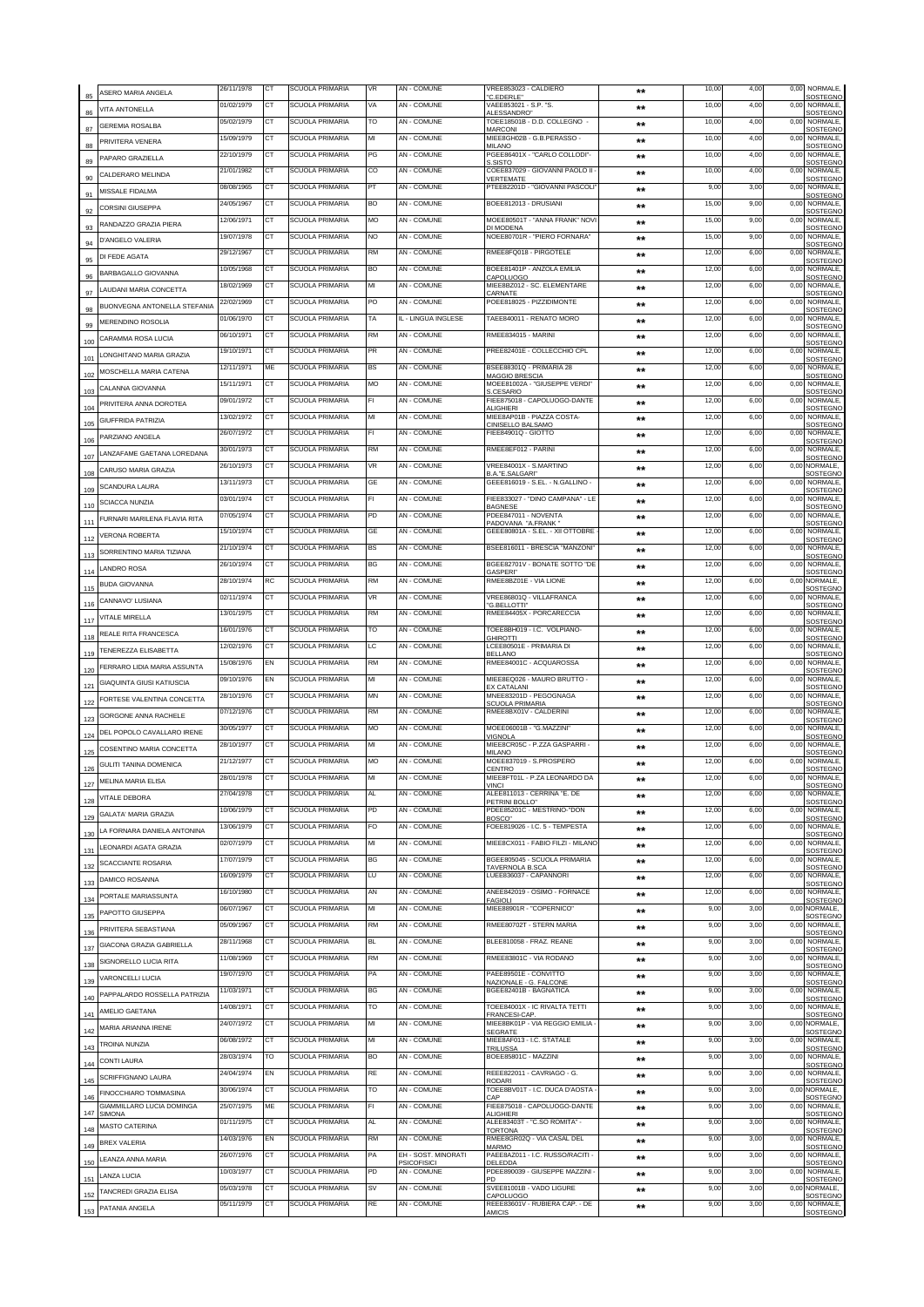| 85         | ASERO MARIA ANGELA                                             | 26/11/1978               | CT                     | SCUOLA PRIMARIA                           | VR        | AN - COMUNE                        | VREE853023 - CALDIERO<br>'C.FDFRI F'                                       | $**$           | 10,00          | 4,00         | 0,00         | NORMALE,<br>SOSTEGNO                          |
|------------|----------------------------------------------------------------|--------------------------|------------------------|-------------------------------------------|-----------|------------------------------------|----------------------------------------------------------------------------|----------------|----------------|--------------|--------------|-----------------------------------------------|
| 86         | <b>VITA ANTONELLA</b>                                          | 01/02/1979               | CТ                     | SCUOLA PRIMARIA                           | VA        | <b>AN - COMUNE</b>                 | VAEE853021 - S.P. "S.<br><b>\LESSANDRO</b> "                               | $\star\star$   | 10,00          | 4.00         | 0,00         | NORMALE,<br>SOSTEGNO                          |
| 87         | <b>GEREMIA ROSALBA</b>                                         | 05/02/1979               | CT                     | <b>SCUOLA PRIMARIA</b>                    | TO        | <b>AN - COMUNE</b>                 | TOEE18501B - D.D. COLLEGNO -<br><b>MARCONI</b>                             | $***$          | 10,00          | 4,00         |              | 0,00 NORMALE,<br>SOSTEGNO                     |
| 88         | PRIVITERA VENERA                                               | 15/09/1979               | CТ                     | SCUOLA PRIMARIA                           | МІ        | AN - COMUNE                        | MIEE8GH02B - G.B.PERASSO -<br>MILANC                                       | $***$          | 10,00          | 4,00         | 0,00         | NORMALE,<br>SOSTEGNO                          |
| 89         | PAPARO GRAZIELLA                                               | 22/10/1979               | CT                     | <b>SCUOLA PRIMARIA</b>                    | PG        | AN - COMUNE                        | PGEE86401X - "CARLO COLLODI"-<br>SISTO                                     | **             | 10,00          | 4,00         | 0,00         | NORMALE,<br>SOSTEGNO                          |
| 90         | CALDERARO MELINDA                                              | 21/01/1982               | СT                     | <b>SCUOLA PRIMARIA</b>                    | CO        | AN - COMUNE                        | COEE837029 - GIOVANNI PAOLO II<br><b>/ERTEMATE</b>                         | $**$           | 10,00          | 4,00         | 0,00         | NORMALE,<br>SOSTEGNO                          |
| 91         | MISSALE FIDALMA                                                | 08/08/1965               | CT                     | <b>SCUOLA PRIMARIA</b>                    | PT        | AN - COMUNE                        | PTEE82201D - "GIOVANNI PASCOLI'                                            | $***$          | 9,00           | 3,00         | 0,00         | NORMALE,<br>SOSTEGNO                          |
| 92         | <b>CORSINI GIUSEPPA</b>                                        | 24/05/1967               | СT                     | SCUOLA PRIMARIA                           | BO        | AN - COMUNE                        | BOEE812013 - DRUSIANI                                                      | **             | 15,00          | 9,00         | 0,00         | NORMALE,<br>SOSTEGNO                          |
| 93         | RANDAZZO GRAZIA PIERA                                          | 12/06/1971               | СT                     | <b>SCUOLA PRIMARIA</b>                    | МO        | AN - COMUNE                        | MOEE80501T - "ANNA FRANK" NOVI<br>DI MODENA                                | $***$          | 15,00          | 9,00         | 0,00         | NORMALE,<br>SOSTEGNO                          |
| 94         | D'ANGELO VALERIA                                               | 19/07/1978               | СT                     | SCUOLA PRIMARIA                           | NO        | AN - COMUNE                        | NOEE80701R - "PIERO FORNARA"                                               | $***$          | 15,00          | 9,00         | 0,00         | NORMALE,<br>SOST <u>EGNO</u>                  |
| 95         | DI FEDE AGATA                                                  | 29/12/1967               | CT                     | SCUOLA PRIMARIA                           | <b>RM</b> | AN - COMUNE                        | RMEE8FQ018 - PIRGOTELE                                                     | $***$          | 12,00          | 6,00         | 0,00         | <b>NORMALE</b><br>SOSTEGNO                    |
| 96         | BARBAGALLO GIOVANNA                                            | 10/05/1968               | СT                     | SCUOLA PRIMARIA                           | BO        | AN - COMUNE                        | BOEE81401P - ANZOLA EMILIA<br>CAPOLUOGO                                    | $***$          | 12,00          | 6,00         | 0,00         | NORMALE,<br>SOSTEGNO                          |
| 97         | LAUDANI MARIA CONCETTA                                         | 18/02/1969               | <b>CT</b>              | <b>SCUOLA PRIMARIA</b>                    | MI        | <b>AN - COMUNE</b>                 | MIEE8BZ012 - SC. ELEMENTARE<br>CARNATE                                     | $***$          | 12,00          | 6,00         | 0,00         | <b>NORMALE</b><br>SOSTEGNO                    |
| 98         | BUONVEGNA ANTONELLA STEFANIA                                   | 22/02/1969               | CT                     | <b>SCUOLA PRIMARIA</b>                    | PO        | <b>AN - COMUNE</b>                 | POEE818025 - PIZZIDIMONTE                                                  | $***$          | 12,00          | 6,00         | 0,00         | NORMALE<br>SOSTEGNO                           |
| 99         | <b>MERENDINO ROSOLIA</b>                                       | 01/06/1970               | СT                     | SCUOLA PRIMARIA                           | TA        | L - LINGUA INGLESE                 | TAEE840011 - RENATO MORO                                                   | $***$          | 12,00          | 6,00         | 0,00         | NORMALE<br>SOSTEGNO                           |
| 100        | CARAMMA ROSA LUCIA                                             | 06/10/1971               | <b>CT</b>              | SCUOLA PRIMARIA                           | <b>RM</b> | <b>AN - COMUNE</b>                 | RMEE834015 - MARINI                                                        | $***$          | 12,00          | 6,00         | 0,00         | NORMALE,<br><b>SOSTEGNO</b>                   |
| 101        | LONGHITANO MARIA GRAZIA                                        | 19/10/1971               | СT                     | <b>SCUOLA PRIMARIA</b>                    | PR        | AN - COMUNE                        | PREE82401E - COLLECCHIO CPL                                                | $***$          | 12,00          | 6,00         | 0,00         | NORMALE,<br>SOSTEGNO                          |
| 102        | MOSCHELLA MARIA CATENA                                         | 12/11/1971               | ME                     | <b>SCUOLA PRIMARIA</b><br>SCUOLA PRIMARIA | <b>BS</b> | AN - COMUNE                        | BSEE88301Q - PRIMARIA 28<br><b>MAGGIO BRESCIA</b>                          | $***$          | 12,00          | 6,00         | 0,00         | NORMALE,<br><b>SOSTEGNO</b>                   |
| 103        | CALANNA GIOVANNA                                               | 15/11/1971               | СT                     | SCUOLA PRIMARIA                           | MO        | AN - COMUNE                        | MOEE81002A - "GIUSEPPE VERDI"<br>S.CESARIO<br>FIEE875018 - CAPOLUOGO-DANTE | $***$          | 12,00          | 6,00         | 0.00         | <b>NORMALE</b><br>SOSTEGNO                    |
| 104        | PRIVITERA ANNA DOROTEA                                         | 09/01/1972<br>13/02/1972 | <b>CT</b><br><b>CT</b> | <b>SCUOLA PRIMARIA</b>                    | FL<br>МІ  | AN - COMUNE<br>AN - COMUNE         | <b>LIGHIERI</b><br>MIEE8AP01B - PIAZZA COSTA-                              | $***$          | 12,00          | 6,00         | 0,00         | NORMALE,<br>SOSTEGNC<br>NORMALE.              |
| 105        | GIUFFRIDA PATRIZIA                                             | 26/07/1972               | CT                     | <b>SCUOLA PRIMARIA</b>                    | FI        | AN - COMUNE                        | CINISELLO BALSAMO<br>FIEE84901Q - GIOTTO                                   | $***$          | 12,00<br>12,00 | 6,00         | 0,00         | SOSTEGNO                                      |
| 106        | PARZIANO ANGELA                                                | 30/01/1973               | CT                     | <b>SCUOLA PRIMARIA</b>                    | <b>RM</b> | <b>AN - COMUNE</b>                 | RMEE8EF012 - PARINI                                                        | $***$          | 12.00          | 6,00<br>6.00 | 0,00<br>0,00 | NORMALE,<br><b>SOSTEGNO</b><br><b>NORMALE</b> |
| 107        | <b>ANZAFAME GAFTANA LOREDANA</b>                               | 26/10/1973               | CT                     | SCUOLA PRIMARIA                           | VR        | AN - COMUNE                        | VREE84001X - S.MARTINO                                                     | $***$          | 12,00          | 6,00         |              | <b>SOSTEGNO</b><br>0,00 NORMALE,              |
| 108        | CARUSO MARIA GRAZIA                                            | 13/11/1973               | CТ                     | SCUOLA PRIMARIA                           | GE        | AN - COMUNE                        | B.A."E.SALGARI"<br>GEEE816019 - S.EL. - N.GALLINO -                        | $***$          | 12,00          | 6,00         | 0,00         | SOSTEGNO<br>NORMALE,                          |
| 109        | <b>SCANDURA LAURA</b>                                          | 03/01/1974               | CT                     | <b>SCUOLA PRIMARIA</b>                    | FI        | AN - COMUNE                        | FIFF833027 - "DINO CAMPANA" - I F                                          | $***$          | 12,00          | 6,00         |              | SOSTEGNO<br>0,00 NORMALE                      |
| 110        | <b>SCIACCA NUNZIA</b>                                          | 07/05/1974               | CТ                     | SCUOLA PRIMARIA                           | PD        | <b>AN - COMUNE</b>                 | <b>BAGNESE</b><br>PDEE847011 - NOVENTA                                     | $**$           | 12,00          | 6,00         | 0,00         | SOSTEGNO<br>NORMALE                           |
| 11         | FURNARI MARILENA FLAVIA RITA                                   | 15/10/1974               | CT                     | <b>SCUOLA PRIMARIA</b>                    | GE        | AN - COMUNE                        | PADOVANA "A.FRANK<br>GEEE80801A - S.EL. - XII OTTOBRE                      | $***$          | 12,00          | 6,00         | 0,00         | SOSTEGNO<br>NORMALE,                          |
| 112        | VERONA ROBERTA                                                 | 21/10/1974               | СT                     | SCUOLA PRIMARIA                           | BS        | AN - COMUNE                        | BSEE816011 - BRESCIA "MANZONI"                                             | $**$           | 12,00          | 6,00         | 0,00         | SOSTEGNO<br>NORMALE,                          |
| 113        | SORRENTINO MARIA TIZIANA                                       | 26/10/1974               | CT                     | <b>SCUOLA PRIMARIA</b>                    | BG        | AN - COMUNE                        | BGEE82701V - BONATE SOTTO "DE                                              | $**$<br>**     | 12,00          | 6,00         | 0,00         | SOSTEGNO<br>NORMALE,                          |
| 114        | LANDRO ROSA                                                    | 28/10/1974               | RC                     | SCUOLA PRIMARIA                           | <b>RM</b> | AN - COMUNE                        | GASPERI"<br>RMEE8BZ01E - VIA LIONE                                         | **             | 12,00          | 6,00         |              | SOSTEGNO<br>0,00 NORMALE                      |
| 115        | BUDA GIOVANNA                                                  | 02/11/1974               | СT                     | SCUOLA PRIMARIA                           | VR        | AN - COMUNE                        | VREE86801Q - VILLAFRANCA                                                   |                | 12,00          | 6,00         | 0,00         | <b>SOSTEGNO</b><br>NORMALE,                   |
| 116        | CANNAVO' LUSIANA                                               | 13/01/1975               | СT                     | SCUOLA PRIMARIA                           | RM        | AN - COMUNE                        | G.BELLOTTI*<br>RMEE84405X - PORCARECCIA                                    | $***$          | 12,00          | 6,00         | 0,00         | SOSTEGNO<br>NORMALE,                          |
| 117        | VITALE MIRELLA                                                 | 16/01/1976               | СT                     | SCUOLA PRIMARIA                           | то        | AN - COMUNE                        | TOEE8BH019 - I.C. VOLPIANO-                                                | $***$<br>$***$ | 12,00          | 6,00         | 0,00         | SOSTEGNO<br>NORMALE,                          |
| 118        | REALE RITA FRANCESCA                                           | 12/02/1976               | CT                     | SCUOLA PRIMARIA                           | LC        | AN - COMUNE                        | <b>GHIROTTI</b><br>LCEE80501E - PRIMARIA DI                                | $***$          | 12,00          | 6,00         | 0,00         | SOSTEGNO<br>NORMALE,                          |
| 119        | TENEREZZA ELISABETTA                                           | 15/08/1976               | EN                     | SCUOLA PRIMARIA                           | <b>RM</b> | <b>AN - COMUNE</b>                 | <b>RELLANO</b><br>RMEE84001C - ACQUAROSSA                                  | $***$          | 12,00          | 6,00         | 0,00         | SOSTEGNO<br>NORMALE,                          |
| 120        | FERRARO LIDIA MARIA ASSUNTA                                    | 09/10/1976               | EN                     | SCUOLA PRIMARIA                           | МІ        | AN - COMUNE                        | MIEE8EQ026 - MAURO BRUTTO -                                                | $***$          | 12,00          | 6,00         | 0,00         | SOSTEGNO<br><b>NORMALE</b>                    |
| 121        | <b>GIAQUINTA GIUSI KATIUSCIA</b><br>FORTESE VALENTINA CONCETTA | 28/10/1976               | СT                     | <b>SCUOLA PRIMARIA</b>                    | MN        | AN - COMUNE                        | <b>EX CATALANI</b><br>MNEE83201D - PEGOGNAGA                               | $***$          | 12,00          | 6,00         | 0.00         | SOSTEGNO<br><b>NORMALE</b>                    |
| 122        | GORGONE ANNA RACHELE                                           | 07/12/1976               | CT                     | <b>SCUOLA PRIMARIA</b>                    | <b>RM</b> | AN - COMUNE                        | SCUOLA PRIMARIA<br>RMEE8BX01V - CALDERINI                                  | $***$          | 12,00          | 6,00         | 0,00         | SOSTEGNO<br>NORMALE,                          |
| 123        | DEL POPOLO CAVALLARO IRENE                                     | 30/05/1977               | СT                     | <b>SCUOLA PRIMARIA</b>                    | MO        | AN - COMUNE                        | MOEE06001B - "G.MAZZINI"                                                   | $***$          | 12,00          | 6,00         | 0.00         | SOSTEGNO<br><b>NORMALE</b>                    |
| 124        | COSENTINO MARIA CONCETTA                                       | 28/10/1977               | CT                     | <b>SCUOLA PRIMARIA</b>                    | MI        | AN - COMUNE                        | /IGNOLA<br>MIEE8CR05C - P.ZZA GASPARRI -                                   | $\star\star$   | 12,00          | 6,00         | 0,00         | SOSTEGNO<br>NORMALE.                          |
| 125        | <b>GULITI TANINA DOMENICA</b>                                  | 21/12/1977               | CT                     | <b>SCUOLA PRIMARIA</b>                    | MO        | AN - COMUNE                        | MILANO<br>MOEE837019 - S.PROSPERO                                          | $***$          | 12,00          | 6,00         | 0.0          | SOSTEGNO<br>NORMALE,<br>SOSTEGNO              |
| 126        | 127 MELINA MARIA ELISA                                         |                          |                        |                                           |           | AN - CC                            | CENTRO<br>VINCI                                                            |                |                |              |              | NORMALE<br>SOSTEGNO                           |
|            | VITALE DEBORA                                                  | 27/04/1978               | CТ                     | <b>SCUOLA PRIMARIA</b>                    | AL        | AN - COMUNE                        | ALEE811013 - CERRINA "E. DE                                                |                |                |              |              | NORMALE,                                      |
| 128<br>129 | <b>GALATA' MARIA GRAZIA</b>                                    | 10/06/1979               | <b>CT</b>              | <b>SCUOLA PRIMARIA</b>                    | PD        |                                    |                                                                            | $**$           | 12,00          | 6,00         | 0,00         |                                               |
| 130        | LA FORNARA DANIELA ANTONINA                                    |                          |                        |                                           |           | AN - COMUNE                        | PETRINI BOLLO"<br>PDEE85201C - MESTRINO-"DON                               | $***$          | 12,00          | 6,00         |              | SOSTEGNO<br>0,00 NORMALE,                     |
| 131        |                                                                | 13/06/1979               | СT                     | <b>SCUOLA PRIMARIA</b>                    | FO        | AN - COMUNE                        | BOSCO"<br>FOEE819026 - I.C. 5 - TEMPESTA                                   | $\star\star$   | 12,00          | 6,00         | 0,00         | <b>SOSTEGNO</b><br>NORMALE.                   |
|            | LEONARDI AGATA GRAZIA                                          | 02/07/1979               | CT                     | <b>SCUOLA PRIMARIA</b>                    | MI        | AN - COMUNE                        | MIEE8CX011 - FABIO FILZI - MILANO                                          | $***$          | 12,00          | 6,00         | 0,00         | SOSTEGNO<br>NORMALE,                          |
|            | SCACCIANTE ROSARIA                                             | 17/07/1979               | CТ                     | SCUOLA PRIMARIA                           | ВG        | AN - COMUNE                        | BGEE805045 - SCUOLA PRIMARIA                                               | $\star\star$   | 12,00          | 6,00         | 0,00         | SOSTEGNO<br>NORMALE.                          |
| 132        | DAMICO ROSANNA                                                 | 16/09/1979               | <b>CT</b>              | <b>SCUOLA PRIMARIA</b>                    | EU        | AN - COMUNE                        | TAVERNOLA B.SCA<br>LUEE836037 - CAPANNORI                                  | $**$           | 12,00          | 6,00         |              | SOSTEGNO<br>0,00 NORMALE,                     |
| 133<br>134 | PORTALE MARIASSUNTA                                            | 16/10/1980               | CТ                     | <b>SCUOLA PRIMARIA</b>                    | AN        | AN - COMUNE                        | ANEE842019 - OSIMO - FORNACE<br><b>FAGIOLI</b>                             | $***$          | 12,00          | 6,00         | 0,00         | SOSTEGNO<br>NORMALE,                          |
| 135        | PAPOTTO GIUSEPPA                                               | 06/07/1967               | CT                     | <b>SCUOLA PRIMARIA</b>                    | MI        | AN - COMUNE                        | MIEE88901R - "COPERNICO"                                                   | $**$           | 9,00           | 3,00         |              | SOSTEGNO<br>0,00 NORMALE,                     |
| 136        | PRIVITERA SEBASTIANA                                           | 05/09/1967               | СT                     | <b>SCUOLA PRIMARIA</b>                    | RM        | AN - COMUNE                        | RMEE80702T - STERN MARIA                                                   | $**$           | 9,00           | 3,00         | 0,00         | SOSTEGNO<br>NORMALE,<br>SOSTEGNO              |
| 137        | GIACONA GRAZIA GABRIELLA                                       | 28/11/1968               | СT                     | <b>SCUOLA PRIMARIA</b>                    | BL.       | AN - COMUNE                        | BLEE810058 - FRAZ. REANE                                                   | $***$          | 9,00           | 3,00         | 0,00         | NORMALE,<br>SOSTEGNO                          |
|            | SIGNORELLO LUCIA RITA                                          | 11/08/1969               | CТ                     | SCUOLA PRIMARIA                           | RM        | AN - COMUNE                        | RMEE83801C - VIA RODANO                                                    | $***$          | 9,00           | 3,00         | 0,00         | NORMALE,                                      |
| 138<br>139 | VARONCELLI LUCIA                                               | 19/07/1970               | ст                     | SCUOLA PRIMARIA                           | PA        | AN - COMUNE                        | PAEE89501E - CONVITTO<br>NAZIONALE - G. FALCONE                            | **             | 9,00           | 3,00         | 0,00         | SOSTEGNO<br>NORMALE,<br>SOSTEGNO              |
| 140        | PAPPALARDO ROSSELLA PATRIZIA                                   | 11/03/1971               | <b>CT</b>              | SCUOLA PRIMARIA                           | BG        | AN - COMUNE                        | BGEE82401B - BAGNATICA                                                     | $***$          | 9,00           | 3,00         | 0,00         | NORMALE,                                      |
| 141        | AMELIO GAETANA                                                 | 14/08/1971               | CT                     | SCUOLA PRIMARIA                           | то        | AN - COMUNE                        | TOEE84001X - IC RIVALTA TETTI                                              | $***$          | 9,00           | 3,00         | 0,00         | <b>SOSTEGNO</b><br>NORMALE,<br>SOSTEGNO       |
| 142        | MARIA ARIANNA IRENE                                            | 24/07/1972               | <b>CT</b>              | SCUOLA PRIMARIA                           | МІ        | AN - COMUNE                        | FRANCESI-CAP.<br>MIEE8BK01P - VIA REGGIO EMILIA -                          | $***$          | 9,00           | 3,00         |              | 0,00 NORMALE,                                 |
|            | TROINA NUNZIA                                                  | 06/08/1972               | CT                     | <b>SCUOLA PRIMARIA</b>                    | MI        | AN - COMUNE                        | <b>SEGRATE</b><br>MIEE8AF013 - I.C. STATALE                                | $***$          | 9,00           | 3,00         | 0,00         | SOSTEGNO<br>NORMALE,                          |
| 143        | CONTI LAURA                                                    | 28/03/1974               | TO                     | <b>SCUOLA PRIMARIA</b>                    | BO        | AN - COMUNE                        | TRILUSSA<br>BOEE85801C - MAZZINI                                           | $***$          | 9,00           | 3,00         |              | SOSTEGNO<br>0,00 NORMALE,                     |
| 144        | SCRIFFIGNANO LAURA                                             | 24/04/1974               | EN                     | SCUOLA PRIMARIA                           | RE        | AN - COMUNE                        | REEE822011 - CAVRIAGO - G.                                                 | $***$          | 9,00           | 3,00         | 0.00         | SOSTEGNO<br>NORMALE,                          |
| 145        | FINOCCHIARO TOMMASINA                                          | 30/06/1974               | <b>CT</b>              | SCUOLA PRIMARIA                           | TO        | AN - COMUNE                        | RODARI<br>TOEE8BV01T - I.C. DUCA D'AOSTA                                   | $***$          | 9,00           | 3,00         |              | SOSTEGNO<br>0,00 NORMALE,                     |
| 146<br>147 | GIAMMILLARO LUCIA DOMINGA<br>SIMONA                            | 25/07/1975               | ME                     | SCUOLA PRIMARIA                           | FI        | AN - COMUNE                        | <b>AP</b><br>FIEE875018 - CAPOLUOGO-DANTE                                  | $***$          | 9,00           | 3,00         | 0,00         | <b>SOSTEGNO</b><br>NORMALE,<br>SOSTEGNO       |
| 148        | MASTO CATERINA                                                 | 01/11/1975               | <b>CT</b>              | <b>SCUOLA PRIMARIA</b>                    | AL        | AN - COMUNE                        | <b>LIGHIERI</b><br>ALEE83403T - "C.SO ROMITA" -<br><b>TORTONA</b>          | $***$          | 9,00           | 3,00         | 0,00         | NORMALE,                                      |
| 149        | <b>BREX VALERIA</b>                                            | 14/03/1976               | EN                     | SCUOLA PRIMARIA                           | RM        | AN - COMUNE                        | RMEE8GR02Q - VIA CASAL DEL<br><b>MARMO</b>                                 | $\star\star$   | 9,00           | 3,00         | 0,00         | SOSTEGNO<br>NORMALE.                          |
| 150        | LEANZA ANNA MARIA                                              | 26/07/1976               | <b>CT</b>              | <b>SCUOLA PRIMARIA</b>                    | PA        | EH - SOST. MINORATI<br>PSICOFISICI | PAEE8AZ011 - I.C. RUSSO/RACITI -<br>DELEDDA                                | $\star\star$   | 9,00           | 3,00         | 0,00         | <b>SOSTEGNO</b><br>NORMALE,<br>SOSTEGNO       |
| 151        | <b>LANZA LUCIA</b>                                             | 10/03/1977               | CТ                     | SCUOLA PRIMARIA                           | PD        | AN - COMUNE                        | PDEE890039 - GIUSEPPE MAZZINI -                                            | $**$           | 9,00           | 3,00         | 0,00         | NORMALE.<br>SOSTEGNO                          |
| 152        | TANCREDI GRAZIA ELISA                                          | 05/03/1978<br>05/11/1979 | СT<br>СT               | <b>SCUOLA PRIMARIA</b><br>SCUOLA PRIMARIA | SV<br>RE  | AN - COMUNE<br>AN - COMUNE         | SVEE81001B - VADO LIGURE<br>CAPOLUOGO<br>REEE83601V - RUBIERA CAP. - DE    | **             | 9,00<br>9,00   | 3,00<br>3,00 | 0,00         | 0,00 NORMALE,<br>SOSTEGNO<br>NORMALE,         |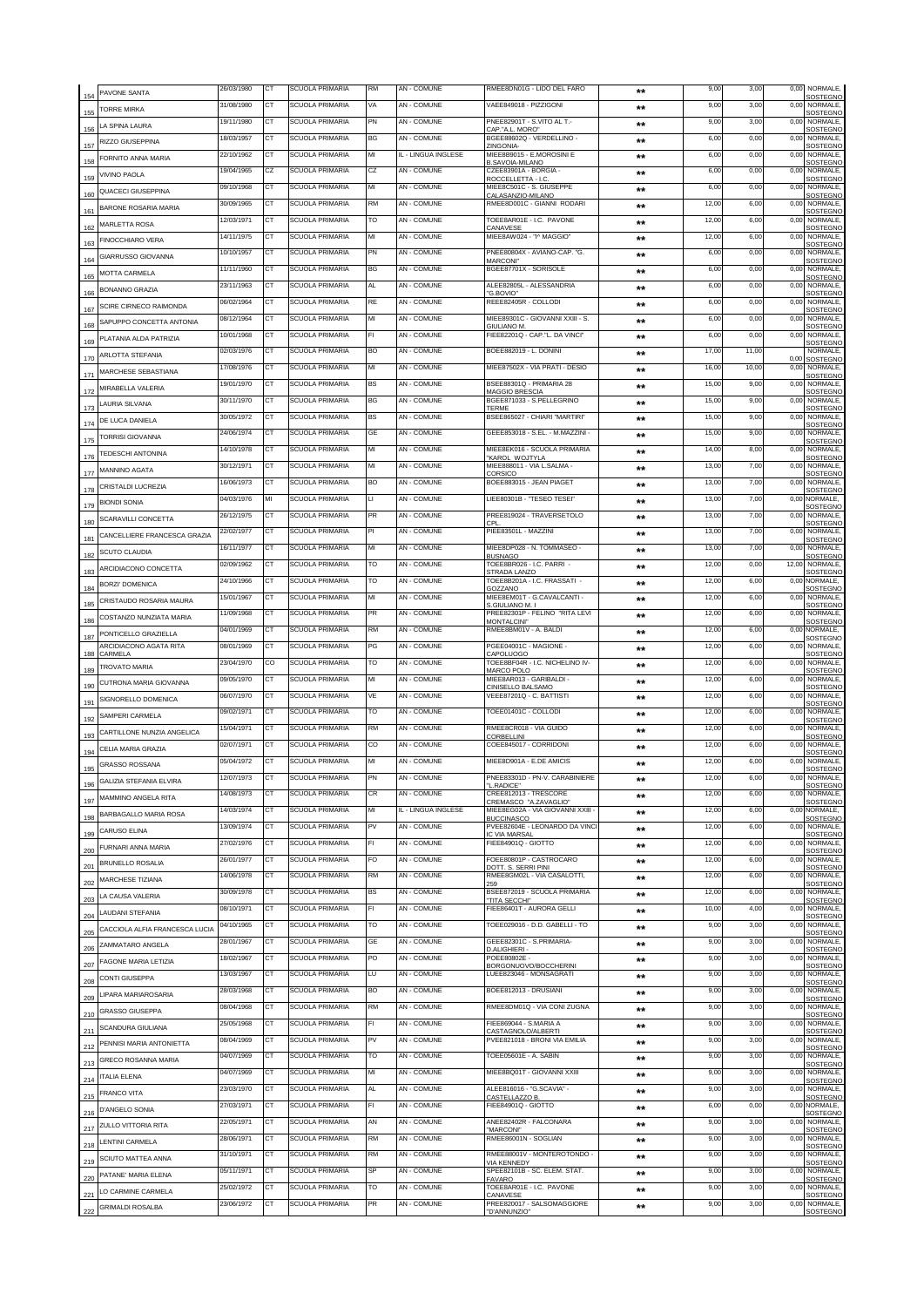| 154 | PAVONE SANTA                      | 26/03/1980 | CT        | <b>SCUOLA PRIMARIA</b> | <b>RM</b> | AN - COMUNE         | RMEE8DN01G - LIDO DEL FARO                                  | $**$         | 9,00  | 3,00  | 0,00  | NORMALE,<br>SOSTEGNO              |
|-----|-----------------------------------|------------|-----------|------------------------|-----------|---------------------|-------------------------------------------------------------|--------------|-------|-------|-------|-----------------------------------|
| 155 | TORRF MIRKA                       | 31/08/1980 | CТ        | SCUOLA PRIMARIA        | VA        | AN - COMUNE         | VAEE849018 - PIZZIGONI                                      | $**$         | 9,00  | 3,00  | 0,00  | NORMALE,<br><b>SOSTEGNO</b>       |
| 156 | LA SPINA LAURA                    | 19/11/1980 | <b>CT</b> | SCUOLA PRIMARIA        | PN        | AN - COMUNE         | PNEE82901T - S.VITO AL T.-<br>CAP."A.L. MORO"               | **           | 9,00  | 3,00  | 0,00  | NORMALE,<br>SOSTEGNO              |
| 157 | RIZZO GIUSEPPINA                  | 18/03/1957 | СT        | SCUOLA PRIMARIA        | ВG        | AN - COMUNE         | BGEE88602Q - VERDELLINO -<br>ZINGONIA-                      | $***$        | 6,00  | 0,00  | 0,00  | NORMALE,<br>SOSTEGNO              |
| 158 | FORNITO ANNA MARIA                | 22/10/1962 | CT        | <b>SCUOLA PRIMARIA</b> | MI        | L - LINGUA INGLESE  | MIEE8B9015 - E.MOROSINI E<br>B.SAVOIA-MILANO                | $***$        | 6,00  | 0,00  | 0,00  | <b>NORMALE</b><br>SOSTEGNO        |
| 159 | VIVINO PAOLA                      | 19/04/1965 | CZ        | SCUOLA PRIMARIA        | CZ        | AN - COMUNE         | CZEE83901A - BORGIA<br>ROCCELLETTA - I.C                    | $**$         | 6,00  | 0,00  | 0,00  | NORMALE<br>SOSTEGNO               |
| 160 | QUACECI GIUSEPPINA                | 09/10/1968 | CT        | SCUOLA PRIMARIA        | MI        | AN - COMUNE         | MIEE8C501C - S. GIUSEPPE<br>CALASANZIO-MILANO               | $***$        | 6,00  | 0,00  | 0,00  | NORMALE<br>SOSTEGNO               |
| 161 | BARONE ROSARIA MARIA              | 30/09/1965 | <b>CT</b> | SCUOLA PRIMARIA        | RM        | <b>AN - COMUNE</b>  | RMEE8D001C - GIANNI RODARI                                  | $***$        | 12,00 | 6,00  | 0,00  | NORMALE<br>SOSTEGNC               |
| 162 | MARLETTA ROSA                     | 12/03/1971 | СT        | SCUOLA PRIMARIA        | то        | AN - COMUNE         | TOEE8AR01E - I.C. PAVONE<br>CANAVESE                        | $***$        | 12,00 | 6,00  | 0,00  | NORMALE,<br>SOSTEGNO              |
| 163 | FINOCCHIARO VERA                  | 14/11/1975 | CT        | SCUOLA PRIMARIA        | МІ        | AN - COMUNE         | MIEE8AW024 - "I^ MAGGIO"                                    | $***$        | 12,00 | 6,00  | 0,00  | <b>NORMALE</b><br>SOSTEGNO        |
| 164 | GIARRUSSO GIOVANNA                | 10/10/1957 | СT        | <b>SCUOLA PRIMARIA</b> | PN        | AN - COMUNE         | PNEE80804X - AVIANO-CAP, "G.<br><b>MARCONI</b> <sup>*</sup> | $***$        | 6,00  | 0,00  | 0,00  | NORMALE,<br><b>SOSTEGNO</b>       |
| 165 | <b>MOTTA CARMELA</b>              | 11/11/1960 | CT        | <b>SCUOLA PRIMARIA</b> | BG        | AN - COMUNE         | BGEE87701X - SORISOLE                                       | $***$        | 6,00  | 0,00  |       | 0,00 NORMALE,<br><b>SOSTEGNO</b>  |
| 166 | BONANNO GRAZIA                    | 23/11/1963 | CT        | <b>SCUOLA PRIMARIA</b> | AL        | AN - COMUNE         | ALEE82805L - ALESSANDRIA<br>"G.BOVIO"                       | $***$        | 6,00  | 0,00  | 0.00  | NORMALE,<br>SOSTEGNO              |
| 167 | SCIRE CIRNECO RAIMONDA            | 06/02/1964 | <b>CT</b> | <b>SCUOLA PRIMARIA</b> | RE        | AN - COMUNE         | REEE82405R - COLLODI                                        | $***$        | 6,00  | 0,00  | 0.00  | NORMALE.<br>SOSTEGNO              |
| 168 | SAPUPPO CONCETTA ANTONIA          | 08/12/1964 | СT        | <b>SCUOLA PRIMARIA</b> | МІ        | AN - COMUNE         | MIEE89301C - GIOVANNI XXIII - S.<br>GIULIANO M.             | $***$        | 6.00  | 0.00  | 0.00  | NORMALE,<br>SOSTEGNO              |
| 169 | PLATANIA ALDA PATRIZIA            | 10/01/1968 | CT        | <b>SCUOLA PRIMARIA</b> | FL        | AN - COMUNE         | FIEE82201Q - CAP."L. DA VINCI'                              | $***$        | 6,00  | 0,00  | 0,00  | NORMALE,<br>SOSTEGNO              |
| 170 | ARLOTTA STEFANIA                  | 02/03/1976 | СT        | <b>SCUOLA PRIMARIA</b> | BO        | AN - COMUNE         | BOEE882019 - L. DONIN                                       | $***$        | 17,00 | 11,00 | 0.01  | NORMALE.<br>SOSTEGNO              |
| 171 | MARCHESE SEBASTIANA               | 17/08/1976 | CT        | <b>SCUOLA PRIMARIA</b> | MI        | <b>AN - COMUNE</b>  | MIEE87502X - VIA PRATI - DESIO                              | $***$        | 16,00 | 10.00 | 0,00  | <b>NORMALE</b><br><b>SOSTEGNO</b> |
| 172 | MIRABELLA VALERIA                 | 19/01/1970 | СT        | <b>SCUOLA PRIMARIA</b> | BS        | AN - COMUNE         | BSEE88301Q - PRIMARIA 28<br>MAGGIO BRESCIA                  | $***$        | 15,00 | 9,00  | 0.00  | <b>NORMALE</b><br><b>SOSTEGNO</b> |
| 173 | LAURIA SILVANA                    | 30/11/1970 | <b>CT</b> | SCUOLA PRIMARIA        | BG        | <b>AN - COMUNE</b>  | BGEE871033 - S.PELLEGRINO<br>TERME                          | $***$        | 15,00 | 9,00  | 0,00  | NORMALE.<br>SOSTEGNO              |
| 174 | DE LUCA DANIELA                   | 30/05/1972 | CТ        | <b>SCUOLA PRIMARIA</b> | BS        | AN - COMUNE         | BSEE865027 - CHIARI "MARTIRI"                               | $**$         | 15,00 | 9,00  | 0,00  | NORMALE.<br>SOSTEGNO              |
| 175 | <b>TORRISI GIOVANNA</b>           | 24/06/1974 | CT        | <b>SCUOLA PRIMARIA</b> | GE        | AN - COMUNE         | GEEE853018 - S.EL. - M.MAZZINI -                            | **           | 15,00 | 9,00  | 0,00  | NORMALE,<br>SOSTEGNO              |
| 17  | TEDESCHI ANTONINA                 | 14/10/1978 | СT        | SCUOLA PRIMARIA        | MI        | AN - COMUNE         | MIEE8EK016 - SCUOLA PRIMARIA<br><b>KAROL WOJTYLA</b>        | $**$         | 14,00 | 8,00  | 0,00  | NORMALE,<br>SOSTEGNO              |
| 177 | MANNINO AGATA                     | 30/12/1971 | CT        | <b>SCUOLA PRIMARIA</b> | MI        | AN - COMUNE         | MIEE888011 - VIA L.SALMA -<br>CORSICO                       | $**$         | 13,00 | 7,00  | 0,00  | NORMALE,<br>SOSTEGNO              |
| 178 | CRISTALDI LUCREZIA                | 16/06/1973 | СT        | SCUOLA PRIMARIA        | BO        | AN - COMUNE         | BOEE883015 - JEAN PIAGET                                    | $***$        | 13,00 | 7,00  | 0,00  | NORMALE,<br>SOSTEGNO              |
| 179 | <b>BIONDI SONIA</b>               | 04/03/1976 | MI        | <b>SCUOLA PRIMARIA</b> | u         | AN - COMUNE         | LIEE80301B - "TESEO TESEI                                   | $***$        | 13,00 | 7,00  |       | 0,00 NORMALE,<br>SOSTEGNO         |
| 180 | SCARAVILLI CONCETTA               | 26/12/1975 | СT        | <b>SCUOLA PRIMARIA</b> | <b>PR</b> | AN - COMUNE         | PREE819024 - TRAVERSETOLO<br>`PI                            | $***$        | 13,00 | 7,00  | 0,00  | NORMALE,<br>SOSTEGNO              |
| 181 | CANCELLIERE FRANCESCA GRAZIA      | 22/02/1977 | CT        | SCUOLA PRIMARIA        | PI        | AN - COMUNE         | PIEE83501L - MAZZIN                                         | **           | 13,00 | 7,00  | 0,00  | <b>NORMALE</b><br>SOSTEGNO        |
| 182 | SCUTO CLAUDIA                     | 16/11/1977 | <b>CT</b> | SCUOLA PRIMARIA        | MI        | <b>AN - COMUNE</b>  | MIEE8DP028 - N. TOMMASEO -<br><b>BLISNAGO</b>               | $***$        | 13,00 | 7,00  | 0,00  | NORMALE<br>SOSTEGNO               |
| 183 | ARCIDIACONO CONCETTA              | 02/09/1962 | СT        | SCUOLA PRIMARIA        | TO        | AN - COMUNE         | TOEE8BR026 - I.C. PARRI<br>STRADA LANZO                     | $***$        | 12,00 | 0,00  | 12,00 | <b>NORMALE</b><br>SOSTEGNO        |
| 184 | BORZI' DOMENICA                   | 24/10/1966 | <b>CT</b> | SCUOLA PRIMARIA        | то        | <b>AN - COMUNE</b>  | FOEE8B201A - I.C. FRASSATI -<br>GOZZANO                     | $**$         | 12,0  | 6,00  |       | 0.00 NORMALE<br>SOSTEGNO          |
| 185 | CRISTAUDO ROSARIA MAURA           | 15/01/1967 | СT        | SCUOLA PRIMARIA        | МІ        | AN - COMUNE         | MIEE8EM01T - G.CAVALCANTI -<br>S.GIULIANO M. I              | $***$        | 12,00 | 6,00  | 0,00  | <b>NORMALE</b><br>SOSTEGNO        |
| 186 | COSTANZO NUNZIATA MARIA           | 11/09/1968 | <b>CT</b> | SCUOLA PRIMARIA        | PR        | AN - COMUNE         | PREE82301P - FELINO "RITA LEVI<br><b>MONTALCINI"</b>        | $***$        | 12,00 | 6,00  | 0,00  | NORMALE,<br>SOSTEGNO              |
| 187 | PONTICELLO GRAZIELLA              | 04/01/1969 | CT        | <b>SCUOLA PRIMARIA</b> | <b>RM</b> | AN - COMUNE         | RMEE8BM01V - A. BALDI                                       | $***$        | 12,00 | 6,00  |       | 0,00 NORMALE,<br>SOSTEGNO         |
| 188 | ARCIDIACONO AGATA RITA<br>CARMELA | 08/01/1969 | CT        | <b>SCUOLA PRIMARIA</b> | PG        | AN - COMUNE         | PGEE04001C - MAGIONE -<br>CAPOLUOGO                         | $***$        | 12,00 | 6,00  | 0,00  | NORMALE,<br>SOSTEGNO              |
| 189 | TROVATO MARIA                     | 23/04/1970 | CO        | <b>SCUOLA PRIMARIA</b> | TO        | AN - COMUNE         | TOEE8BF04R - I.C. NICHELINO IV-<br>MARCO POLO               | $***$        | 12,00 | 6,00  | 0,00  | <b>NORMALE</b><br>SOSTEGNO        |
| 190 | CUTRONA MARIA GIOVANNA            | 09/05/1970 | <b>CT</b> | SCUOLA PRIMARIA        | МІ        | AN - COMUNE         | MIEE8AR013 - GARIBALDI<br>CINISELLO BALSAMO                 | $***$        | 12,00 | 6,00  | 0,00  | NORMALE,<br>SOSTEGNO              |
| 191 | SIGNORELLO DOMENICA               | 06/07/1970 | СT        | <b>SCUOLA PRIMARIA</b> | VE        | AN - COMUNE         | VEEE87201Q - C. BATTISTI                                    | $***$        | 12,00 | 6.00  | 0.00  | NORMALE,<br>SOSTEGNO              |
| 192 | SAMPERI CARMELA                   | 09/02/1971 | CT        | <b>SCUOLA PRIMARIA</b> | TO        | AN - COMUNE         | TOEE01401C - COLLODI                                        | $**$         | 12,00 | 6,00  | 0,00  | <b>NORMALE</b><br>SOSTEGNO        |
| 193 | CARTILLONE NUNZIA ANGELICA        | 15/04/1971 | СT        | SCUOLA PRIMARIA        | <b>RM</b> | AN - COMUNE         | RMEE8CR018 - VIA GUIDO<br>CORBELLINI                        | $***$        | 12,00 | 6,00  | 0,00  | NORMALE,<br>SOSTEGNO              |
| 194 | CELIA MARIA GRAZIA                | 02/07/1971 | CT        | SCUOLA PRIMARIA        | CO        | <b>AN - COMUNE</b>  | COEE845017 - CORRIDONI                                      | $***$        | 12,00 | 6,00  | 0,00  | NORMALE.<br>SOSTEGNO              |
| 195 | <b>GRASSO ROSSANA</b>             | 05/04/1972 | CТ        | <b>SCUOLA PRIMARIA</b> | МІ        | AN - COMUNE         | MIEE8D901A - E.DE AMICIS                                    | $**$         | 12.00 | 6.00  | 0,0   | NORMALE,<br>SOSTEGNO              |
| 196 | <b>GALIZIA STEFANIA ELVIRA</b>    |            |           |                        |           |                     | <b>FIV-V. CARAB</b><br>"L.RADICE"                           |              |       |       |       | SOSTEGNO                          |
| 197 | MAMMINO ANGELA RITA               | 14/08/1973 | CТ        | SCUOLA PRIMARIA        | СR        | AN - COMUNE         | CREE812013 - TRESCORE<br>CREMASCO "A.ZAVAGLIO"              | $**$         | 12,00 | 6.00  | 0,00  | NORMALE.<br>SOSTEGNO              |
| 198 | BARBAGALLO MARIA ROSA             | 14/03/1974 | СT        | SCUOLA PRIMARIA        | МІ        | IL - LINGUA INGLESE | MIEE8EG02A - VIA GIOVANNI XXIII -<br><b>BUCCINASCO</b>      | $***$        | 12,00 | 6,00  |       | 0,00 NORMALE,<br>SOSTEGNO         |
| 199 | <b>CARUSO ELINA</b>               | 13/09/1974 | СT        | SCUOLA PRIMARIA        | PV        | AN - COMUNE         | PVEE82604E - LEONARDO DA VINC<br>C VIA MARSAL               | $***$        | 12,00 | 6,00  | 0,00  | NORMALE,<br>SOSTEGNO              |
| 200 | FURNARI ANNA MARIA                | 27/02/1976 | СT        | <b>SCUOLA PRIMARIA</b> | FI        | AN - COMUNE         | FIEE84901Q - GIOTTO                                         | $**$         | 12,00 | 6,00  | 0,00  | NORMALE,<br>SOSTEGNO              |
| 201 | <b>BRUNELLO ROSALIA</b>           | 26/01/1977 | CТ        | SCUOLA PRIMARIA        | FO        | AN - COMUNE         | FOEE80801P - CASTROCARO<br><b>DOTT. S. SERRI PINI</b>       | $***$        | 12,00 | 6,00  | 0,00  | NORMALE,<br>SOSTEGNO              |
| 202 | MARCHESE TIZIANA                  | 14/06/1978 | СT        | SCUOLA PRIMARIA        | RM        | AN - COMUNE         | RMEE8GM02L - VIA CASALOTTI,<br>259                          | $***$        | 12,00 | 6,00  | 0,00  | NORMALE,<br>SOSTEGNO              |
| 203 | LA CAUSA VALERIA                  | 30/09/1978 | СT        | <b>SCUOLA PRIMARIA</b> | ВS        | AN - COMUNE         | BSEE872019 - SCUOLA PRIMARIA<br>TITA SECCHI"                | $***$        | 12,00 | 6,00  | 0,00  | NORMALE,<br>SOSTEGNC              |
| 204 | LAUDANI STEFANIA                  | 08/10/1971 | СT        | SCUOLA PRIMARIA        | FI        | AN - COMUNE         | FIEE86401T - AURORA GELLI                                   | $***$        | 10,00 | 4,00  | 0,00  | NORMALE,<br>SOSTEGNO              |
| 205 | CACCIOLA ALFIA FRANCESCA LUCIA    | 04/10/1965 | СT        | SCUOLA PRIMARIA        | TO        | AN - COMUNE         | TOEE029016 - D.D. GABELLI - TO                              | $***$        | 9,00  | 3,00  | 0,00  | NORMALE,<br><b>SOSTEGNO</b>       |
| 206 | ZAMMATARO ANGELA                  | 28/01/1967 | СT        | SCUOLA PRIMARIA        | GE        | AN - COMUNE         | GEEE82301C - S.PRIMARIA-<br>D.ALIGHIERI -                   | $***$        | 9,00  | 3,00  | 0,00  | NORMALE,<br>SOSTEGNO              |
| 207 | FAGONE MARIA LETIZIA              | 18/02/1967 | CT        | SCUOLA PRIMARIA        | PO        | AN - COMUNE         | POEE80802E -<br>3ORGONUOVO/BOCCHERINI                       | $***$        | 9,00  | 3,00  | 0,00  | NORMALE,<br>SOSTEGNO              |
| 208 | CONTI GIUSEPPA                    | 13/03/1967 | СT        | <b>SCUOLA PRIMARIA</b> | LU        | AN - COMUNE         | LUEE823046 - MONSAGRATI                                     | $***$        | 9,00  | 3,00  | 0,00  | NORMALE,<br>SOSTEGNO              |
| 209 | LIPARA MARIAROSARIA               | 28/03/1968 | СT        | SCUOLA PRIMARIA        | BO        | AN - COMUNE         | BOEE812013 - DRUSIANI                                       | $***$        | 9,00  | 3,00  | 0,00  | NORMALE,<br>SOSTEGNO              |
| 210 | <b>GRASSO GIUSEPPA</b>            | 08/04/1968 | CT        | <b>SCUOLA PRIMARIA</b> | <b>RM</b> | AN - COMUNE         | RMEE8DM01Q - VIA CONI ZUGNA                                 | $***$        | 9,00  | 3,00  | 0.00  | NORMALE,<br><b>SOSTEGNO</b>       |
| 211 | SCANDURA GIULIANA                 | 25/05/1968 | СT        | SCUOLA PRIMARIA        | FI        | AN - COMUNE         | FIEE869044 - S.MARIA A<br>CASTAGNOLO/ALBERTI                | $***$        | 9,00  | 3,00  | 0,00  | NORMALE,<br>SOSTEGNO              |
| 212 | PENNISI MARIA ANTONIETTA          | 08/04/1969 | CT        | <b>SCUOLA PRIMARIA</b> | PV        | AN - COMUNE         | PVEE821018 - BRONI VIA EMILIA                               | $***$        | 9,00  | 3,00  | 0,00  | NORMALE,<br>SOSTEGNO              |
| 213 | GRECO ROSANNA MARIA               | 04/07/1969 | CT        | <b>SCUOLA PRIMARIA</b> | то        | AN - COMUNE         | TOEE05601E - A. SABIN                                       | $***$        | 9,00  | 3,00  | 0,00  | NORMALE,<br>SOSTEGNO              |
| 214 | ITALIA ELENA                      | 04/07/1969 | CТ        | SCUOLA PRIMARIA        | MI        | AN - COMUNE         | MIEE8BQ01T - GIOVANNI XXIII                                 | $***$        | 9,00  | 3,00  | 0.00  | NORMALE,<br>SOSTEGNO              |
| 215 | <b>FRANCO VITA</b>                | 23/03/1970 | <b>CT</b> | SCUOLA PRIMARIA        | AL        | AN - COMUNE         | ALEE816016 - "G.SCAVIA" -<br>ASTELLAZZO B                   | $***$        | 9,00  | 3,00  | 0,00  | NORMALE,<br><b>SOSTEGNO</b>       |
| 216 | D'ANGELO SONIA                    | 27/03/1971 | СT        | SCUOLA PRIMARIA        | FI        | AN - COMUNE         | FIEE84901Q - GIOTTO                                         | $**$         | 6,00  | 0,00  |       | 0,00 NORMALE,<br><b>SOSTEGNO</b>  |
| 217 | ZULLO VITTORIA RITA               | 22/05/1971 | <b>CT</b> | SCUOLA PRIMARIA        | AN        | AN - COMUNE         | ANEE82402R - FALCONARA<br>"MARCONI"                         | $***$        | 9,00  | 3,00  | 0,00  | NORMALE.<br>SOSTEGNC              |
| 218 | LENTINI CARMELA                   | 28/06/1971 | ст        | SCUOLA PRIMARIA        | RM        | AN - COMUNE         | RMEE86001N - SOGLIAN                                        | $\star\star$ | 9,00  | 3,00  | 0,00  | NORMALE.<br><b>SOSTEGNO</b>       |
| 219 | SCIUTO MATTEA ANNA                | 31/10/1971 | <b>CT</b> | <b>SCUOLA PRIMARIA</b> | RM        | AN - COMUNE         | RMEE88001V - MONTEROTONDO -<br>VIA KENNEDY                  | $\star\star$ | 9,00  | 3,00  | 0,00  | NORMALE,<br>SOSTEGNO              |
| 220 | PATANE' MARIA ELENA               | 05/11/1971 | CТ        | SCUOLA PRIMARIA        | SP        | AN - COMUNE         | SPEE82101B - SC. ELEM. STAT.<br><b>AVARO</b>                | $**$         | 9,00  | 3,00  | 0,00  | NORMALE.<br>SOSTEGNO              |
| 221 | LO CARMINE CARMELA                | 25/02/1972 | CT        | <b>SCUOLA PRIMARIA</b> | то        | AN - COMUNE         | TOEE8AR01E - I.C. PAVONE<br>CANAVESE                        | $***$        | 9,00  | 3,00  | 0,00  | NORMALE,<br>SOSTEGNO              |
| 222 | <b>GRIMALDI ROSALBA</b>           | 23/06/1972 | СT        | <b>SCUOLA PRIMARIA</b> | PR        | AN - COMUNE         | PREE820017 - SALSOMAGGIORE<br>D'ANNUNZIO"                   | $\star\star$ | 9,00  | 3,00  | 0,00  | NORMALE,<br>SOSTEGNO              |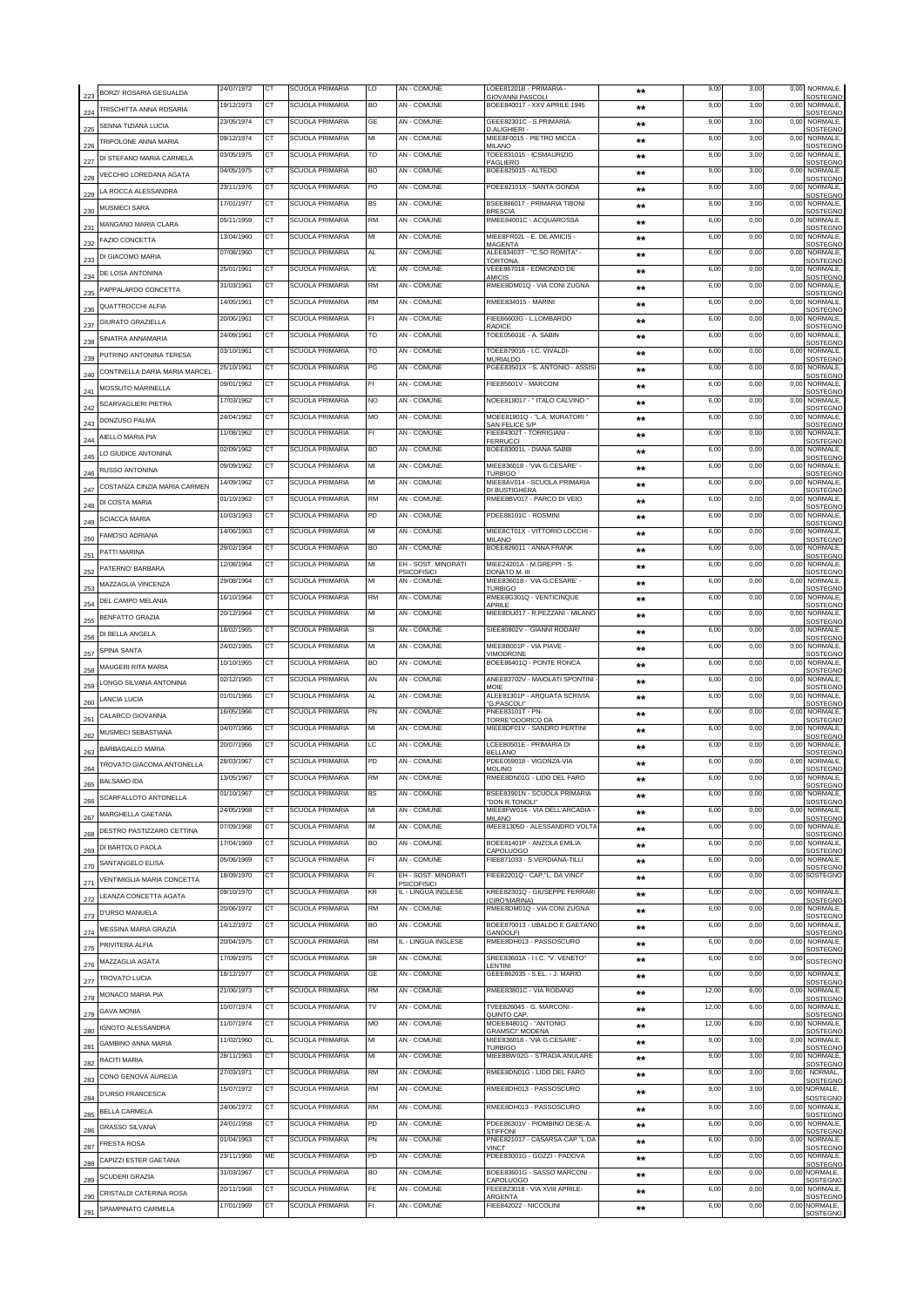|                 | BORZI' ROSARIA GESUALDA       | 24/07/1972 | CT        | SCUOLA PRIMARIA        | LO        | AN - COMUNE                               | LOEE81201B - PRIMARIA<br><b>GIOVANNI PASCOLI</b>          | $**$           | 9,00  | 3,00 | 0,00 | NORMALE,<br>SOSTEGNO                         |
|-----------------|-------------------------------|------------|-----------|------------------------|-----------|-------------------------------------------|-----------------------------------------------------------|----------------|-------|------|------|----------------------------------------------|
| 223<br>224      | TRISCHITTA ANNA ROSARIA       | 19/12/1973 | CТ        | SCUOLA PRIMARIA        | <b>BO</b> | <b>AN - COMUNE</b>                        | BOEE840017 - XXV APRILE 1945                              | $\star\star$   | 9,00  | 3,00 | 0,00 | NORMALE,                                     |
|                 | SENNA TIZIANA I UCIA          | 23/05/1974 | CT        | <b>SCUOLA PRIMARIA</b> | GE        | <b>AN - COMUNE</b>                        | GEEE82301C - S.PRIMARIA-                                  | $***$          | 9,00  | 3,00 |      | SOSTEGNO<br>0,00 NORMALE,                    |
| 225             | TRIPOLONE ANNA MARIA          | 09/12/1974 | CТ        | <b>SCUOLA PRIMARIA</b> | МІ        | AN - COMUNE                               | D.ALIGHIERI<br>MIEE8F0015 - PIETRO MICCA -                | $***$          | 9,00  | 3,00 | 0,00 | SOSTEGNO<br>NORMALE,                         |
| 226             | DI STEFANO MARIA CARMELA      | 03/05/1975 | CT        | <b>SCUOLA PRIMARIA</b> | то        | AN - COMUNE                               | MILANC<br>TOEE831015 - ICSMAURIZIO                        | **             | 9,00  | 3,00 | 0,00 | SOSTEGNO<br>NORMALE,                         |
| 227             |                               | 04/05/1975 | СT        | SCUOLA PRIMARIA        | BO        | AN - COMUNE                               | PAGLIERO<br>BOEE825015 - ALTEDO                           | $**$           | 9,00  | 3,00 | 0,00 | SOSTEGNO<br>NORMALE,                         |
| 228             | VECCHIO LOREDANA AGATA        | 23/11/1976 | <b>CT</b> | SCUOLA PRIMARIA        | PO        | AN - COMUNE                               | POEE82101X - SANTA GONDA                                  | $***$          | 9,00  | 3,00 | 0,00 | SOSTEGNO<br>NORMALE,                         |
| 229             | LA ROCCA ALESSANDRA           | 17/01/1977 | СT        | SCUOLA PRIMARIA        | BS        | AN - COMUNE                               | BSEE886017 - PRIMARIA TIBONI                              | $**$           | 9,00  | 3,00 | 0,00 | SOSTEGNO<br>NORMALE,                         |
| 230             | MUSMECI SARA                  | 05/11/1959 | СT        | SCUOLA PRIMARIA        | RM        | AN - COMUNE                               | <b>BRESCIA</b><br>RMEE84001C - ACQUAROSSA                 |                |       | 0,00 | 0,00 | SOSTEGNO<br>NORMALE,                         |
| 231             | MANGANO MARIA CLARA           |            |           |                        |           |                                           |                                                           | $***$          | 6,00  |      |      | SOSTEGNO                                     |
| 232             | FAZIO CONCETTA                | 13/04/1960 | СT        | SCUOLA PRIMARIA        | MI        | AN - COMUNE                               | MIEE8FR02L - E. DE AMICIS -<br><b>MAGENTA</b>             | $***$          | 6,00  | 0,00 | 0,00 | NORMALE,<br>SOSTEGNO                         |
| 233             | DI GIACOMO MARIA              | 07/08/1960 | CT        | SCUOLA PRIMARIA        | AL        | AN - COMUNE                               | ALEE83403T - "C.SO ROMITA" -<br><b>TORTONA</b>            | $***$          | 6,00  | 0,00 | 0,00 | <b>NORMALE</b><br>SOSTEGNO                   |
| 234             | DE LOSA ANTONINA              | 25/01/1961 | СT        | SCUOLA PRIMARIA        | VE        | AN - COMUNE                               | VEEE867018 - EDMONDO DE<br>AMICIS                         | $***$          | 6,00  | 0,00 | 0,00 | NORMALE,<br>SOSTEGNO                         |
| 235             | PAPPALARDO CONCETTA           | 31/03/1961 | <b>CT</b> | <b>SCUOLA PRIMARIA</b> | <b>RM</b> | AN - COMUNE                               | RMEE8DM01Q - VIA CONI ZUGNA                               | $***$          | 6,00  | 0,00 | 0,00 | NORMALE,<br>SOSTEGNO                         |
| 236             | QUATTROCCHI ALFIA             | 14/05/1961 | CT        | SCUOLA PRIMARIA        | <b>RM</b> | AN - COMUNE                               | RMEE834015 - MARINI                                       | $***$          | 6,00  | 0,00 | 0,00 | NORMALE<br>SOSTEGNO                          |
| 237             | GIURATO GRAZIELLA             | 20/06/1961 | СT        | SCUOLA PRIMARIA        | FI        | AN - COMUNE                               | FIEE86603G - L.LOMBARDO<br>RADICE                         | $***$          | 6,00  | 0,00 | 0,00 | NORMALE                                      |
|                 | SINATRA ANNAMARIA             | 24/09/1961 | <b>CT</b> | SCUOLA PRIMARIA        | то        | <b>AN - COMUNE</b>                        | TOEE05601E - A. SABIN                                     | $***$          | 6,00  | 0,00 | 0,00 | SOSTEGNO<br>NORMALE,                         |
| 238             | PUTRINO ANTONINA TERESA       | 03/10/1961 | СT        | <b>SCUOLA PRIMARIA</b> | TO        | AN - COMUNE                               | TOEE879016 - I.C. VIVALDI-                                | $***$          | 6,00  | 0,00 | 0,00 | <b>SOSTEGNO</b><br>NORMALE,                  |
| 239             | CONTINELLA DARIA MARIA MARCEL | 25/10/1961 | CT        | <b>SCUOLA PRIMARIA</b> | PG        | AN - COMUNE                               | <b>MURIALDO</b><br>PGEE83501X - S. ANTONIO - ASSIS        | $***$          | 6,00  | 0,00 | 0,00 | <b>SOSTEGNO</b><br>NORMALE,                  |
| 240             |                               | 09/01/1962 | СT        | SCUOLA PRIMARIA        | FI        | AN - COMUNE                               | FIEE85601V - MARCONI                                      | $***$          | 6,00  | 0,00 | 0,00 | <b>SOSTEGNO</b><br><b>NORMALE</b>            |
| 241             | MOSSUTO MARINELLA             | 17/03/1962 | <b>CT</b> | SCUOLA PRIMARIA        | NO        | AN - COMUNE                               | NOEE818017 - "ITALO CALVINO"                              | $***$          | 6,00  | 0,00 | 0,00 | SOSTEGNO<br>NORMALE,                         |
| 242             | SCARVAGLIERI PIETRA           | 24/04/1962 | СT        | <b>SCUOLA PRIMARIA</b> | MO        | AN - COMUNE                               | MOEE81901Q - "L.A. MURATORI"                              | $***$          | 6,00  | 0,00 | 0,00 | SOSTEGNC<br>NORMALE.                         |
| 243             | DONZUSO PALMA                 | 11/08/1962 | CT        | <b>SCUOLA PRIMARIA</b> | FI        | AN - COMUNE                               | SAN FELICE S/P<br>FIEE84302T - TORRIGIANI -               |                | 6,00  | 0,00 | 0,00 | SOSTEGNO<br>NORMALE,                         |
| 244             | AIELLO MARIA PIA              | 02/09/1962 | CT        | <b>SCUOLA PRIMARIA</b> | BO        | <b>AN - COMUNE</b>                        | <b>ERRUCCI</b><br>BOFF83001L - DIANA SABBI                | $***$          | 6,00  | 0.00 | 0,00 | <b>SOSTEGNO</b><br>NORMALE                   |
| 245             | LO GIUDICE ANTONINA           | 09/09/1962 |           |                        | MI        | AN - COMUNE                               |                                                           | $***$          |       |      |      | <b>SOSTEGNO</b>                              |
| 246             | RUSSO ANTONINA                |            | СT        | SCUOLA PRIMARIA        |           |                                           | MIEE836018 - 'VIA G.CESARE' -<br><b>TURBIGO</b>           | $***$          | 6,00  | 0,00 | 0,00 | NORMALE,<br>SOSTEGNO                         |
| 247             | COSTANZA CINZIA MARIA CARMEN  | 14/09/1962 | CТ        | SCUOLA PRIMARIA        | MI        | AN - COMUNE                               | MIEE8AV014 - SCUOLA PRIMARIA<br>DI BUSTIGHERA             | $***$          | 6,00  | 0,00 | 0,00 | NORMALE,<br>SOSTEGNO                         |
| 248             | DI COSTA MARIA                | 01/10/1962 | <b>CT</b> | <b>SCUOLA PRIMARIA</b> | <b>RM</b> | <b>AN - COMUNE</b>                        | RMEE8BV017 - PARCO DI VEIO                                | $**$           | 6,00  | 0,00 |      | 0,00 NORMALE<br>SOSTEGNO                     |
| 249             | <b>SCIACCA MARIA</b>          | 10/03/1963 | CТ        | <b>SCUOLA PRIMARIA</b> | PD        | AN - COMUNE                               | PDFF88101C - ROSMINI                                      | $***$          | 6,00  | 0,00 | 0,00 | NORMALE<br>SOSTEGNO                          |
| 250             | FAMOSO ADRIANA                | 14/06/1963 | СT        | <b>SCUOLA PRIMARIA</b> | MI        | AN - COMUNE                               | MIEE8CT01X - VITTORIO LOCCHI -<br><b>MILANO</b>           | $**$           | 6,00  | 0,00 | 0,00 | NORMALE,<br>SOSTEGNO                         |
| 25 <sup>°</sup> | PATTI MARINA                  | 29/02/1964 | СT        | SCUOLA PRIMARIA        | BO        | AN - COMUNE                               | BOEE826011 - ANNA FRANK                                   | $**$           | 6,00  | 0,00 | 0,00 | NORMALE,<br>SOSTEGNO                         |
| 252             | PATERNO' BARBARA              | 12/08/1964 | СT        | <b>SCUOLA PRIMARIA</b> | MI        | EH - SOST. MINORATI<br><b>PSICOFISICI</b> | MIEE24201A - M.GREPPI - S.<br>DONATO M. III               | **             | 6,00  | 0,00 | 0,00 | NORMALE,<br>SOSTEGNO                         |
| 253             | MAZZAGLIA VINCENZA            | 29/08/1964 | СT        | SCUOLA PRIMARIA        | MI        | AN - COMUNE                               | MIEE836018 - 'VIA G.CESARE' -<br><b>TURBIGO</b>           | **             | 6,00  | 0,00 | 0,00 | NORMALE,<br>SOSTEGNO                         |
| 254             | DEL CAMPO MELANIA             | 16/10/1964 | СT        | SCUOLA PRIMARIA        | RM        | AN - COMUNE                               | RMEE8G301Q - VENTICINQUE<br>APRILE                        | $***$          | 6,00  | 0,00 | 0,00 | NORMALE,<br>SOSTEGNO                         |
|                 | BENFATTO GRAZIA               | 20/12/1964 | СT        | SCUOLA PRIMARIA        | МІ        | AN - COMUNE                               | MIEE8DU017 - R.PEZZANI - MILANO                           | $***$          | 6,00  | 0,00 | 0,00 | NORMALE,                                     |
| 255             | DI BELLA ANGELA               | 18/02/1965 | СT        | SCUOLA PRIMARIA        | SI        | AN - COMUNE                               | SIEE80802V - 'GIANNI RODARI                               | $***$          | 6,00  | 0,00 | 0,00 | SOSTEGNO<br>NORMALE,                         |
| 256             | SPINA SANTA                   | 24/02/1965 | CT        | SCUOLA PRIMARIA        | MI        | AN - COMUNE                               | MIEE8B001P - VIA PIAVE                                    | $***$          | 6,00  | 0,00 | 0,00 | SOSTEGNO<br>NORMALE,                         |
| 257             | MAUGERI RITA MARIA            | 10/10/1965 | СT        | SCUOLA PRIMARIA        | BO        | <b>AN - COMUNE</b>                        | <b>VIMODRONE</b><br>BOEE86401Q - PONTE RONCA              | $***$          | 6,00  | 0,00 | 0,00 | <b>SOSTEGNO</b><br>NORMALE,                  |
| 258             | LONGO SILVANA ANTONINA        | 02/12/1965 | СT        | SCUOLA PRIMARIA        | AN        | <b>AN - COMUNE</b>                        | ANEE83702V - MAIOLATI SPONTINI                            | $***$          | 6,00  | 0,00 | 0,00 | SOSTEGNO<br><b>NORMALE</b>                   |
| 259             | LANCIA LUCIA                  | 01/01/1966 | СT        | <b>SCUOLA PRIMARIA</b> | AL        | AN - COMUNE                               | MOIF<br>ALEE81301P - ARQUATA SCRIVIA                      | $***$          | 6,00  | 0,00 | 0.00 | SOSTEGNO<br><b>NORMALE</b>                   |
| 260             |                               | 16/05/1966 | СT        | <b>SCUOLA PRIMARIA</b> | PN        | AN - COMUNE                               | 'G.PASCOLI"<br>PNEE83101T - PN-                           | $***$          | 6,00  | 0,00 | 0,00 | SOSTEGNO<br>NORMALE,                         |
| 261             | CALARCO GIOVANNA              | 04/07/1966 | СT        | <b>SCUOLA PRIMARIA</b> | MI        | AN - COMUNE                               | TORRE"ODORICO DA<br>MIEE8DF01V - SANDRO PERTINI           | $***$          | 6,00  | 0,00 | 0.00 | <b>SOSTEGNO</b><br>NORMALE.                  |
| 262             | MUSMECI SEBASTIANA            |            |           | <b>SCUOLA PRIMARIA</b> | LC        | AN - COMUNE                               | LCEE80501E - PRIMARIA DI                                  |                |       |      |      | <b>SOSTEGNO</b>                              |
| 263             |                               |            |           |                        |           |                                           |                                                           |                |       |      |      |                                              |
|                 | BARBAGALLO MARIA              | 20/07/1966 | СT        |                        |           |                                           | BELLANO                                                   | $***$          | 6,00  | 0,00 | 0,00 | NORMALE,<br>SOSTEGNO                         |
| 264             | TROVATO GIACOMA ANTONELLA     | 28/03/1967 | CT        | <b>SCUOLA PRIMARIA</b> | PD        | AN - COMUNE                               | PDEE059018 - VIGONZA-VIA<br>Molino                        | $***$          | 6,00  | 0,00 | 0.00 | NORMALE,<br>SOSTEGNO                         |
| 265             | <b>BALSAMO IDA</b>            |            |           |                        |           | $AN - CC$                                 | <b>IFF8D</b>                                              |                |       |      |      | NORMALE.<br>SOSTEGNO                         |
| 266             | SCARFALLOTO ANTONELLA         | 01/10/1967 | CТ        | <b>SCUOLA PRIMARIA</b> | <b>BS</b> | AN - COMUNE                               | BSEE83901N - SCUOLA PRIMARIA<br>"DON R.TONOLI"            | $***$          | 6.00  | 0,00 | 0,00 | NORMALE,<br>SOSTEGNO                         |
| 267             | MARGHELLA GAETANA             | 24/05/1968 | <b>CT</b> | SCUOLA PRIMARIA        | MI        | AN - COMUNE                               | MIEE8FW014 - VIA DELL'ARCADIA -<br><b>MILANO</b>          | $***$          | 6,00  | 0,00 |      | 0,00 NORMALE,<br><b>SOSTEGNO</b>             |
| 268             | DESTRO PASTIZZARO CETTINA     | 07/09/1968 | СT        | <b>SCUOLA PRIMARIA</b> | ΙM        | AN - COMUNE                               | IMEE81305D - ALESSANDRO VOLTA                             | $\star\star$   | 6,00  | 0,00 | 0,00 | NORMALE,<br>SOSTEGNO                         |
| 269             | DI BARTOLO PAOLA              | 17/04/1969 | CT        | <b>SCUOLA PRIMARIA</b> | <b>BO</b> | AN - COMUNE                               | BOEE81401P - ANZOLA EMILIA<br>CAPOLUOGO                   | $***$          | 6,00  | 0,00 | 0,00 | NORMALE.<br>SOSTEGNO                         |
| 270             | SANTANGELO ELISA              | 05/06/1969 | CТ        | SCUOLA PRIMARIA        | FI        | <b>AN - COMUNE</b>                        | FIEE871033 - S.VERDIANA-TILLI                             | $\star\star$   | 6,00  | 0,00 | 0,00 | NORMALE.<br>SOSTEGNO                         |
| 271             | VENTIMIGLIA MARIA CONCETTA    | 18/09/1970 | <b>CT</b> | SCUOLA PRIMARIA        | FI        | EH - SOST. MINORATI<br><b>PSICOFISICI</b> | FIEE82201Q - CAP."L. DA VINCI"                            | $**$           | 6,00  | 0,00 |      | 0,00 SOSTEGNO                                |
| 27              | LEANZA CONCETTA AGATA         | 09/10/1970 | CТ        | SCUOLA PRIMARIA        | KR        | IL - LINGUA INGLESE                       | KREE82301Q - GIUSEPPE FERRARI<br>CIRO'MARINA)             | $***$          | 6,00  | 0,00 | 0,00 | NORMALE.<br>SOSTEGNO                         |
| 273             | D'URSO MANUELA                | 20/06/1972 | <b>CT</b> | <b>SCUOLA PRIMARIA</b> | <b>RM</b> | AN - COMUNE                               | RMEE8DM01Q - VIA CONI ZUGNA                               | $**$           | 6,00  | 0,00 | 0,00 | NORMALE,<br>SOSTEGNO                         |
|                 | MESSINA MARIA GRAZIA          | 14/12/1972 | ст        | <b>SCUOLA PRIMARIA</b> | BO        | AN - COMUNE                               | BOEE870013 - UBALDO E GAETANO                             | $**$           | 6,00  | 0,00 | 0,00 | NORMALE,                                     |
| 274             | PRIVITERA ALFIA               | 20/04/1975 | <b>CT</b> | <b>SCUOLA PRIMARIA</b> | RM        | IL - LINGUA INGLESE                       | <b>GANDOLFI</b><br>RMEE8DH013 - PASSOSCURO                | $***$          | 6,00  | 0,00 | 0,00 | SOSTEGNO<br>NORMALE,                         |
| 275             | MAZZAGLIA AGATA               | 17/09/1975 | СT        | SCUOLA PRIMARIA        | SR        | AN - COMUNE                               | SREE83601A - I I.C. "V. VENETO"                           | $***$          | 6,00  | 0,00 | 0,00 | SOSTEGNO<br>SOSTEGNO                         |
| 276             | <b>TROVATO LUCIA</b>          | 18/12/1977 | ст        | <b>SCUOLA PRIMARIA</b> | GE        | AN - COMUNE                               | ENTINI<br>GEEE862035 - S.EL. - J. MARIO                   | **             | 6,00  | 0,00 | 0,00 | NORMALE,                                     |
| 277             |                               | 21/06/1973 | <b>CT</b> | SCUOLA PRIMARIA        | <b>RM</b> | AN - COMUNE                               | RMEE83801C - VIA RODANO                                   | $***$          | 12,00 | 6,00 | 0,00 | SOSTEGNO<br>NORMALE,                         |
| 278             | MONACO MARIA PIA              | 10/07/1974 | CT        | SCUOLA PRIMARIA        | TV        | AN - COMUNE                               | TVEE826045 - G. MARCONI -                                 | $***$          | 12,00 | 6,00 | 0,00 | <b>SOSTEGNO</b><br>NORMALE,                  |
| 279             | <b>GAVA MONIA</b>             | 11/07/1974 | <b>CT</b> | SCUOLA PRIMARIA        | МO        | AN - COMUNE                               | QUINTO CAP.<br>MOEE84801Q - "ANTONIO                      |                | 12,00 | 6,00 | 0,00 | SOSTEGNO<br>NORMALE,                         |
| 280             | IGNOTO ALESSANDRA             | 11/02/1960 | CL        | SCUOLA PRIMARIA        | MI        | AN - COMUNE                               | <b>GRAMSCI® MODENA</b><br>MIEE836018 - 'VIA G.CESARE' -   | $***$<br>$***$ | 9,00  | 3,00 | 0,00 | SOSTEGNO<br>NORMALE,                         |
| 281             | <b>GAMBINO ANNA MARIA</b>     |            | СT        |                        | МІ        |                                           | <b>TURBIGO</b>                                            |                |       |      |      | SOSTEGNO                                     |
| 282             | RACITI MARIA                  | 28/11/1963 | СT        | SCUOLA PRIMARIA        | <b>RM</b> | AN - COMUNE                               | MIEE8BW02G - STRADA ANULARE<br>RMEE8DN01G - LIDO DEL FARO | $***$          | 9,00  | 3,00 | 0,00 | NORMALE,<br>SOSTEGNO<br><b>NORMAL</b>        |
| 283             | CONO GENOVA AURELIA           | 27/03/1971 |           | SCUOLA PRIMARIA        |           | AN - COMUNE                               |                                                           | $***$          | 9,00  | 3,00 | 0,00 | SOSTEGNO                                     |
| 284             | D'URSO FRANCESCA              | 15/07/1972 | <b>CT</b> | SCUOLA PRIMARIA        | <b>RM</b> | AN - COMUNE                               | RMEE8DH013 - PASSOSCURO                                   | $***$          | 9,00  | 3,00 |      | 0,00 NORMALE,<br>SOSTEGNO                    |
| 285             | BELLA CARMELA                 | 24/06/1972 | СT        | SCUOLA PRIMARIA        | RM        | AN - COMUNE                               | RMEE8DH013 - PASSOSCURO                                   | $***$          | 9,00  | 3,00 |      | 0,00 NORMALE,<br>SOSTEGNO                    |
| 286             | <b>GRASSO SILVANA</b>         | 24/01/1958 | СT        | SCUOLA PRIMARIA        | PD        | AN - COMUNE                               | PDEE86301V - PIOMBINO DESE-A.<br><b>STIFFONI</b>          | **             | 6,00  | 0,00 | 0,00 | NORMALE,<br>SOSTEGNO                         |
| 287             | FRESTA ROSA                   | 01/04/1963 | CT        | SCUOLA PRIMARIA        | PN        | AN - COMUNE                               | PNEE821017 - CASARSA-CAP."L.DA<br>VINCI"                  | $***$          | 6,00  | 0,00 | 0,00 | NORMALE,<br>SOSTEGNO                         |
| 288             | CAPIZZI ESTER GAETANA         | 23/11/1966 | ME        | SCUOLA PRIMARIA        | PD        | AN - COMUNE                               | PDEE83001G - GOZZI - PADOVA                               | $***$          | 6,00  | 0,00 | 0,00 | NORMALE,<br>SOSTEGNO                         |
| 289             | SCUDERI GRAZIA                | 31/03/1967 | CT        | SCUOLA PRIMARIA        | BO        | AN - COMUNE                               | BOEE83601G - SASSO MARCONI -<br>CAPOLUOGO                 | $***$          | 6,00  | 0,00 |      | 0,00 NORMALE,<br>SOSTEGNO                    |
|                 | CRISTALDI CATERINA ROSA       | 20/11/1968 | СT        | SCUOLA PRIMARIA        | FE        | AN - COMUNE                               | FEEE823018 - VIA XVIII APRILE-                            | $***$          | 6,00  | 0,00 | 0,00 | NORMALE,                                     |
| 290<br>291      | SPAMPINATO CARMELA            | 17/01/1969 | CT        | <b>SCUOLA PRIMARIA</b> | FI        | AN - COMUNE                               | <b>ARGENTA</b><br>FIEE842022 - NICCOLINI                  | $***$          | 6,00  | 0,00 |      | <b>SOSTEGNO</b><br>0,00 NORMALE,<br>SOSTEGNO |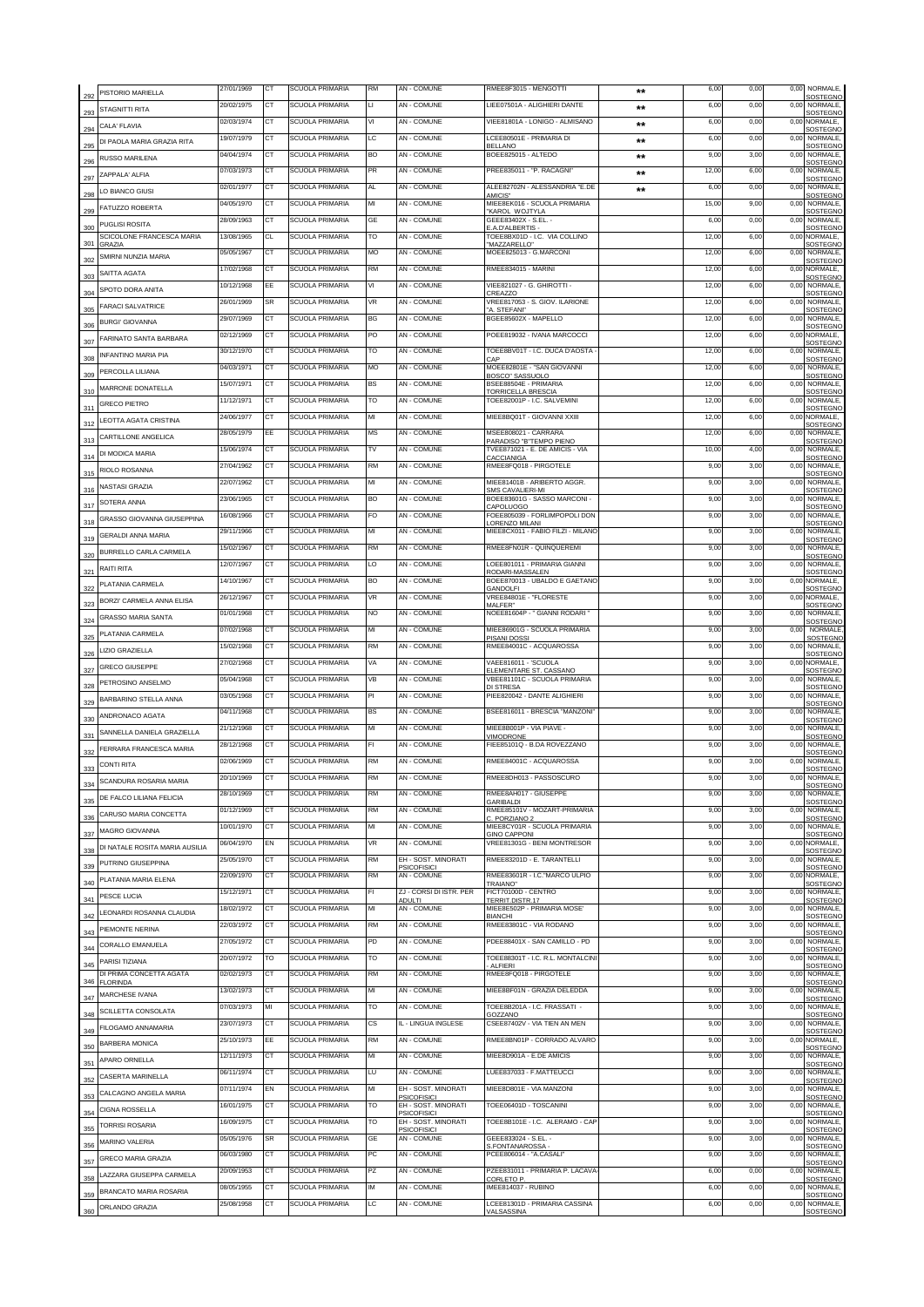| 292             | PISTORIO MARIELLA                          | 27/01/1969               | CT              | SCUOLA PRIMARIA                    | RM        | AN - COMUNE                               | RMEE8F3015 - MENGOTTI                                                         | $**$         | 6,00         | 0,00         | 0,00         | NORMALE,<br>SOSTEGNO                    |
|-----------------|--------------------------------------------|--------------------------|-----------------|------------------------------------|-----------|-------------------------------------------|-------------------------------------------------------------------------------|--------------|--------------|--------------|--------------|-----------------------------------------|
| 293             | STAGNITTI RITA                             | 20/02/1975               | CТ              | <b>SCUOLA PRIMARIA</b>             | П         | AN - COMUNE                               | LIEE07501A - ALIGHIERI DANTE                                                  | $\star\star$ | 6,00         | 0,00         | 0,00         | NORMALE<br>SOSTEGNO                     |
| 294             | CALA' FLAVIA                               | 02/03/1974               | CT              | SCUOLA PRIMARIA                    | VI        | <b>AN - COMUNE</b>                        | VIEE81801A - LONIGO - ALMISANO                                                | $***$        | 6,00         | 0,00         |              | 0,00 NORMALE,<br>SOSTEGNO               |
| 295             | DI PAOLA MARIA GRAZIA RITA                 | 19/07/1979               | CТ              | <b>SCUOLA PRIMARIA</b>             | LC        | AN - COMUNE                               | LCEE80501E - PRIMARIA DI<br><b>BELLANO</b>                                    | $***$        | 6,00         | 0,00         | 0,00         | NORMALE,<br>SOSTEGNO                    |
| 296             | <b>RUSSO MARILENA</b>                      | 04/04/1974               | CT              | <b>SCUOLA PRIMARIA</b>             | <b>BO</b> | AN - COMUNE                               | BOEE825015 - ALTEDO                                                           | **           | 9,00         | 3,00         | 0,00         | NORMALE,<br>SOSTEGNO                    |
| 297             | <b>7APPAI A' AI FIA</b>                    | 07/03/1973               | СT              | SCUOLA PRIMARIA                    | <b>PR</b> | AN - COMUNE                               | PREE835011 - "P. RACAGNI"                                                     | $**$         | 12,00        | 6,00         | 0,00         | NORMALE,<br>SOSTEGNO                    |
| 298             | LO BIANCO GIUSI                            | 02/01/1977               | <b>CT</b>       | SCUOLA PRIMARIA                    | AL        | AN - COMUNE                               | ALEE82702N - ALESSANDRIA "E.DE<br>AMICIS"                                     | $***$        | 6,00         | 0,00         | 0,00         | NORMALE,<br>SOSTEGNO                    |
| 299             | FATUZZO ROBERTA                            | 04/05/1970               | СT              | SCUOLA PRIMARIA                    | МІ        | AN - COMUNE                               | MIEE8EK016 - SCUOLA PRIMARIA<br>KAROL WOJTYLA                                 |              | 15,00        | 9,00         | 0,00         | NORMALE,<br>SOSTEGNO                    |
| 300             | PUGLISI ROSITA                             | 28/09/1963               | СT              | SCUOLA PRIMARIA                    | GE        | AN - COMUNE                               | GEEE83402X - S.EL. -<br>.A.D'ALBERTIS -                                       |              | 6,00         | 0,00         | 0,00         | NORMALE,<br>SOSTEGNO                    |
| 301             | SCICOLONE FRANCESCA MARIA<br><b>GRAZIA</b> | 13/08/1965               | CL              | SCUOLA PRIMARIA                    | TO        | AN - COMUNE                               | TOEE8BX01D - I.C. VIA COLLINO<br>MAZZARELI O*                                 |              | 12,00        | 6,00         | 0,00         | NORMALE.<br>SOSTEGNO                    |
| 302             | SMIRNI NUNZIA MARIA                        | 05/05/1967               | CT              | SCUOLA PRIMARIA                    | MO        | AN - COMUNE                               | MOEE825013 - G.MARCONI                                                        |              | 12,00        | 6,00         | 0,00         | <b>NORMALE</b><br>SOSTEGNO              |
| 303             | SAITTA AGATA                               | 17/02/1968               | СT              | SCUOLA PRIMARIA                    | RM        | <b>AN - COMUNE</b>                        | RMEE834015 - MARINI                                                           |              | 12,00        | 6,00         |              | 0,00 NORMALE,<br>SOSTEGNO               |
| 304             | SPOTO DORA ANITA                           | 10/12/1968               | EE              | <b>SCUOLA PRIMARIA</b>             | ٧I        | AN - COMUNE                               | VIEE821027 - G. GHIROTTI -<br>CREA770                                         |              | 12.00        | 6,00         | 0,00         | NORMALE,<br>SOSTEGNO                    |
| 305             | FARACI SALVATRICE                          | 26/01/1969               | <b>SR</b>       | SCUOLA PRIMARIA                    | VR        | AN - COMUNE                               | VREE817053 - S. GIOV. ILARIONE<br>'A STEFANI'                                 |              | 12,00        | 6,00         | 0,00         | <b>NORMALE</b><br>SOSTEGNO              |
| 306             | <b>BURGI' GIOVANNA</b>                     | 29/07/1969               | СT              | SCUOLA PRIMARIA                    | ВG        | AN - COMUNE                               | BGEE85602X - MAPELLO                                                          |              | 12,00        | 6,00         | 0,00         | NORMALE<br>SOSTEGNO                     |
| 307             | FARINATO SANTA BARBARA                     | 02/12/1969               | <b>CT</b>       | SCUOLA PRIMARIA                    | PO        | <b>AN - COMUNE</b>                        | POEE819032 - IVANA MARCOCCI                                                   |              | 12,00        | 6,00         |              | 0,00 NORMALE<br><b>SOSTEGNO</b>         |
| 308             | <b>INFANTINO MARIA PIA</b>                 | 30/12/1970               | СT              | <b>SCUOLA PRIMARIA</b>             | TO        | AN - COMUNE                               | TOEE8BV01T - I.C. DUCA D'AOSTA<br><b>CAP</b>                                  |              | 12,00        | 6,00         | 0,00         | NORMALE,<br><b>SOSTEGNO</b>             |
| 309             | PERCOLLA LILIANA                           | 04/03/1971               | CT              | <b>SCUOLA PRIMARIA</b>             | MO        | AN - COMUNE                               | MOEE82801E - "SAN GIOVANNI<br>BOSCO" SASSUOLO                                 |              | 12,00        | 6,00         | 0,00         | NORMALE,<br><b>SOSTEGNO</b>             |
| 310             | MARRONE DONATELLA                          | 15/07/1971               | СT              | <b>SCUOLA PRIMARIA</b>             | BS        | AN - COMUNE                               | BSFF88504F - PRIMARIA<br>TORRICELLA BRESCIA                                   |              | 12,00        | 6,00         | 0,00         | <b>NORMALE</b><br>SOSTEGNO              |
| 311             | <b>GRECO PIETRO</b>                        | 11/12/1971               | <b>CT</b>       | <b>SCUOLA PRIMARIA</b>             | то        | AN - COMUNE                               | TOEE82001P - I.C. SALVEMINI                                                   |              | 12,00        | 6,00         | 0,00         | NORMALE.<br>SOSTEGNC                    |
| 312             | LEOTTA AGATA CRISTINA                      | 24/06/1977               | СT              | <b>SCUOLA PRIMARIA</b>             | МІ        | AN - COMUNE                               | MIEE8BQ01T - GIOVANNI XXIII                                                   |              | 12,00        | 6,00         |              | 0,00 NORMALE,<br>SOSTEGNO               |
| 313             | CARTILLONE ANGELICA                        | 28/05/1979               | EE              | <b>SCUOLA PRIMARIA</b>             | MS        | AN - COMUNE                               | MSEE808021 - CARRARA<br>PARADISO "B"TEMPO PIENO                               |              | 12,00        | 6,00         | 0,00         | NORMALE,<br><b>SOSTEGNO</b>             |
| 314             | DI MODICA MARIA                            | 15/06/1974               | <b>CT</b>       | <b>SCUOLA PRIMARIA</b>             | TV        | <b>AN - COMUNE</b>                        | TVFF871021 - F. DF AMICIS - VIA<br><b>ACCIANIGA</b>                           |              | 10,00        | 4,00         | 0,00         | <b>NORMALE</b><br>SOSTEGNO              |
| 315             | RIOLO ROSANNA                              | 27/04/1962               | CT              | SCUOLA PRIMARIA                    | <b>RM</b> | AN - COMUNE                               | RMEE8FQ018 - PIRGOTELE                                                        |              | 9,00         | 3,00         | 0,00         | NORMALE,<br>SOSTEGNO                    |
| 316             | NASTASI GRAZIA                             | 22/07/1962               | CТ              | <b>SCUOLA PRIMARIA</b>             | MI        | AN - COMUNE                               | MIEE81401B - ARIBERTO AGGR.<br><b>SMS CAVALIERI-MI</b>                        |              | 9,00         | 3,00         | 0,00         | NORMALE,<br>SOSTEGNO                    |
| 317             | SOTERA ANNA                                | 23/06/1965               | <b>CT</b>       | <b>SCUOLA PRIMARIA</b>             | BO        | AN - COMUNE                               | BOEE83601G - SASSO MARCONI -<br>CAPOLUOGO                                     |              | 9,00         | 3,00         |              | 0,00 NORMALE,<br>SOSTEGNO               |
| 318             | GRASSO GIOVANNA GIUSEPPINA                 | 16/08/1966               | CТ              | SCUOLA PRIMARIA                    | FO        | AN - COMUNE                               | FOEE805039 - FORLIMPOPOLI DON<br>ORENZO MILANI                                |              | 9,00         | 3,00         | 0,00         | NORMALE<br>SOSTEGNO                     |
| 319             | <b>GERALDI ANNA MARIA</b>                  | 29/11/1966               | CT              | <b>SCUOLA PRIMARIA</b>             | MI        | AN - COMUNE                               | MIEE8CX011 - FABIO FILZI - MILANO                                             |              | 9,00         | 3,00         | 0,00         | NORMALE,<br>SOSTEGNO                    |
| 320             | BURRELLO CARLA CARMELA                     | 15/02/1967               | СT              | SCUOLA PRIMARIA                    | RM        | AN - COMUNE                               | RMEE8FN01R - QUINQUEREMI                                                      |              | 9,00         | 3,00         | 0,00         | NORMALE,<br>SOSTEGNO                    |
| 321             | RAITI RITA                                 | 12/07/1967               | СT              | SCUOLA PRIMARIA                    | LO        | AN - COMUNE                               | LOEE801011 - PRIMARIA GIANNI<br>RODARI-MASSALEN                               |              | 9,00         | 3,00         | 0,00         | NORMALE,<br>SOSTEGNO                    |
| 322             | PLATANIA CARMELA                           | 14/10/1967               | СT              | SCUOLA PRIMARIA                    | BO        | AN - COMUNE                               | BOEE870013 - UBALDO E GAETANO<br>GANDOLFI                                     |              | 9,00         | 3,00         |              | 0,00 NORMALE<br>SOSTEGNO                |
| 323             | BORZI' CARMELA ANNA ELISA                  | 26/12/1967               | СT              | SCUOLA PRIMARIA                    | VR        | AN - COMUNE                               | VREE84801E - "FLORESTE<br>MALFER"                                             |              | 9,00         | 3,00         |              | 0,00 NORMALE<br>SOSTEGNO                |
| 324             | GRASSO MARIA SANTA                         | 01/01/1968               | СT              | SCUOLA PRIMARIA                    | NO        | AN - COMUNE                               | NOEE81604P - " GIANNI RODARI "                                                |              | 9,00         | 3,00         | 0,00         | NORMALE,<br>SOSTEGNO                    |
| 325             | PLATANIA CARMELA                           | 07/02/1968               | СT              | <b>SCUOLA PRIMARIA</b>             | MI        | AN - COMUNE                               | MIEE86901G - SCUOLA PRIMARIA<br>PISANI DOSSI                                  |              | 9,00         | 3,00         | 0,00         | NORMALE<br>SOSTEGNO                     |
| 326             | LIZIO GRAZIELLA                            | 15/02/1968               | CT              | SCUOLA PRIMARIA                    | <b>RM</b> | AN - COMUNE                               | RMEE84001C - ACQUAROSSA                                                       |              | 9,00         | 3,00         | 0,00         | NORMALE<br><b>SOSTEGNO</b>              |
| 327             | GRECO GIUSEPPE                             | 27/02/1968               | СT              | SCUOLA PRIMARIA                    | VA        | <b>AN - COMUNE</b>                        | VAEE816011 - 'SCUOLA<br>ELEMENTARE ST. CASSANO                                |              | 9,00         | 3,00         |              | 0,00 NORMALE,<br>SOSTEGNO               |
| 328             | PETROSINO ANSELMO                          | 05/04/1968               | CT              | SCUOLA PRIMARIA                    | VB        | <b>AN - COMUNE</b>                        | VBEE81101C - SCUOLA PRIMARIA<br>DI STRESA                                     |              | 9,00         | 3,00         | 0,00         | <b>NORMALE</b><br>SOSTEGNO              |
| 329             | BARBARINO STELLA ANNA                      | 03/05/1968               | СT              | <b>SCUOLA PRIMARIA</b>             | PI        | AN - COMUNE                               | PIEE820042 - DANTE ALIGHIERI                                                  |              | 9,00         | 3,00         | 0.00         | <b>NORMALE</b><br>SOSTEGNO              |
| 330             | ANDRONACO AGATA                            | 04/11/1968               | CT              | <b>SCUOLA PRIMARIA</b>             | <b>BS</b> | AN - COMUNE                               | BSEE816011 - BRESCIA "MANZONI"                                                |              | 9,00         | 3,00         | 0,00         | NORMALE,<br>SOSTEGNO                    |
| 331             | SANNELLA DANIELA GRAZIELLA                 | 21/12/1968               | СT              | SCUOLA PRIMARIA                    | MI        | AN - COMUNE                               | MIEE8B001P - VIA PIAVE -<br>/IMODRONE                                         |              | 9,00         | 3,00         | 0.00         | <b>NORMALE</b><br><b>SOSTEGNO</b>       |
| 332             | FERRARA FRANCESCA MARIA                    | 28/12/1968               | CT              | <b>SCUOLA PRIMARIA</b>             | FI.       | AN - COMUNE                               | FIEE85101Q - B.DA ROVEZZANO                                                   |              | 9,00         | 3,00         | 0,00         | NORMALE,<br>SOSTEGNO                    |
| 333             | <b>CONTI RITA</b>                          | 02/06/1969               | CT              | <b>SCUOLA PRIMARIA</b>             | RM        | AN - COMUNE                               | RMEE84001C - ACQUAROSSA                                                       |              | 9,00         | 3,00         | 0.0          | NORMALE,<br>SOSTEGNO                    |
| 334             | SCANDURA ROSARIA MARIA                     |                          |                 | SCUOLA PR                          |           | AN - COI                                  | RMFF8DH013 - PASS                                                             |              |              |              |              | NORMALE.<br>SOSTEGNO                    |
| 335             | DE FALCO LILIANA FELICIA                   | 28/10/1969               | CТ              | SCUOLA PRIMARIA                    | RM        | AN - COMUNE                               | RMEE8AH017 - GIUSEPPE<br><b>GARIBALDI</b>                                     |              | 9,00         | 3,00         | 0,00         | NORMALE,<br>SOSTEGNO                    |
| 336             | CARUSO MARIA CONCETTA                      | 01/12/1969               | <b>CT</b>       | SCUOLA PRIMARIA                    | RM        | AN - COMUNE                               | RMEE85101V - MOZART-PRIMARIA<br>C. PORZIANO 2                                 |              | 9,00         | 3,00         |              | 0,00 NORMALE,<br><b>SOSTEGNO</b>        |
| 337             | MAGRO GIOVANNA                             | 10/01/1970               | СT              | <b>SCUOLA PRIMARIA</b>             | MI        | AN - COMUNE                               | MIEE8CY01R - SCUOLA PRIMARIA<br><b>GINO CAPPONI</b>                           |              | 9,00         | 3,00         | 0,00         | NORMALE.<br>SOSTEGNO                    |
| 338             | DI NATALE ROSITA MARIA AUSILIA             | 06/04/1970               | EN              | <b>SCUOLA PRIMARIA</b>             | VR        | AN - COMUNE                               | VREE81301G - BENI MONTRESOR                                                   |              | 9,00         | 3,00         |              | 0,00 NORMALE,<br>SOSTEGNO               |
| 339             | PUTRINO GIUSEPPINA                         | 25/05/1970               | CТ              | SCUOLA PRIMARIA                    | RM        | EH - SOST. MINORATI<br><b>PSICOFISICI</b> | RMEE83201D - E. TARANTELLI                                                    |              | 9,00         | 3,00         | 0,00         | NORMALE.<br>SOSTEGNO                    |
| 340             | PLATANIA MARIA ELENA                       | 22/09/1970               | <b>CT</b>       | SCUOLA PRIMARIA                    | RM        | AN - COMUNE                               | RMEE83601R - I.C. "MARCO ULPIO<br>TRAIANO"                                    |              | 9,00         | 3,00         |              | 0,00 NORMALE,<br>SOSTEGNO               |
| 34 <sup>′</sup> | PESCE LUCIA                                | 15/12/1971               | CТ              | SCUOLA PRIMARIA                    | FI        | ZJ - CORSI DI ISTR. PER<br>ADULTI         | FICT70100D - CENTRO<br>TERRIT.DISTR.17                                        |              | 9,00         | 3,00         | 0,00         | NORMALE,<br>SOSTEGNO                    |
| 342             | LEONARDI ROSANNA CLAUDIA                   | 18/02/1972               | CT              | <b>SCUOLA PRIMARIA</b>             | MI        | AN - COMUNE                               | MIEE8E502P - PRIMARIA MOSE'<br>BIANCHI                                        |              | 9,00         | 3,00         | 0,00         | NORMALE,<br>SOSTEGNO                    |
| 343             | PIFMONTF NFRINA                            | 22/03/1972               | ст              | <b>SCUOLA PRIMARIA</b>             | RM        | AN - COMUNE                               | RMEE83801C - VIA RODANO                                                       |              | 9,00         | 3,00         | 0,00         | NORMALE,<br>SOSTEGNO                    |
| 344             | CORALLO EMANUELA                           | 27/05/1972               | <b>CT</b>       | <b>SCUOLA PRIMARIA</b>             | PD        | AN - COMUNE                               | PDEE88401X - SAN CAMILLO - PD                                                 |              | 9,00         | 3,00         | 0,00         | NORMALE,<br>SOSTEGNO                    |
| 345             | PARISI TIZIANA                             | 20/07/1972               | то              | <b>SCUOLA PRIMARIA</b>             | то        | AN - COMUNE                               | TOEE88301T - I.C. R.L. MONTALCINI<br><b>ALFIERI</b><br>RMEE8FQ018 - PIRGOTELE |              | 9,00         | 3,00         | 0,00         | NORMALE,<br>SOSTEGNO<br>NORMALE,        |
|                 | DI PRIMA CONCETTA AGATA<br>346 FLORINDA    | 02/02/1973               | ст              | SCUOLA PRIMARIA                    | RM        | AN - COMUNE                               |                                                                               |              | 9,00         | 3,00         | 0,00         | SOSTEGNO                                |
| 347             | MARCHESE IVANA                             | 13/02/1973<br>07/03/1973 | <b>CT</b><br>MI | SCUOLA PRIMARIA                    | MI<br>то  | AN - COMUNE<br>AN - COMUNE                | MIEE8BF01N - GRAZIA DELEDDA<br>TOEE8B201A - I.C. FRASSATI -                   |              | 9,00         | 3,00         | 0,00         | NORMALE,<br><b>SOSTEGNO</b><br>NORMALE, |
| 348             | SCILLETTA CONSOLATA                        | 23/07/1973               | <b>CT</b>       | SCUOLA PRIMARIA<br>SCUOLA PRIMARIA | СS        | IL - LINGUA INGLESE                       | <b>GOZZANO</b><br>CSEE87402V - VIA TIEN AN MEN                                |              | 9,00<br>9,00 | 3,00<br>3,00 | 0,00<br>0,00 | SOSTEGNO<br>NORMALE,                    |
| 349             | FILOGAMO ANNAMARIA                         | 25/10/1973               | EE              | SCUOLA PRIMARIA                    | <b>RM</b> | AN - COMUNE                               | RMEE8BN01P - CORRADO ALVARO                                                   |              | 9,00         | 3,00         |              | SOSTEGNO<br>0,00 NORMALE,               |
| 350             | BARBERA MONICA                             | 12/11/1973               | СT              | SCUOLA PRIMARIA                    | МІ        | AN - COMUNE                               | MIEE8D901A - E.DE AMICIS                                                      |              | 9,00         | 3,00         | 0,00         | SOSTEGNO<br>NORMALE,                    |
| 351             | APARO ORNELLA                              | 06/11/1974               | СT              | SCUOLA PRIMARIA                    | LU        | AN - COMUNE                               | LUEE837033 - F.MATTEUCCI                                                      |              | 9,00         | 3,00         | 0.00         | SOSTEGNO<br><b>NORMALE</b>              |
| 352             | CASERTA MARINELLA                          | 07/11/1974               | EN              | SCUOLA PRIMARIA                    | MI        | EH - SOST. MINORATI                       | MIEE8D801E - VIA MANZONI                                                      |              | 9,00         | 3,00         | 0,00         | SOSTEGNO<br>NORMALE,                    |
| 353             | CALCAGNO ANGELA MARIA                      | 16/01/1975               | СT              | SCUOLA PRIMARIA                    | TO        | <b>PSICOFISICI</b><br>EH - SOST. MINORATI | TOEE06401D - TOSCANINI                                                        |              | 9,00         | 3,00         | 0,00         | <b>SOSTEGNO</b><br>NORMALE,             |
| 354             | <b>CIGNA ROSSELLA</b>                      | 16/09/1975               | CT              | <b>SCUOLA PRIMARIA</b>             | TO        | <b>PSICOFISICI</b><br>EH - SOST. MINORATI | TOEE8B101E - I.C. ALERAMO - CAP                                               |              | 9,00         | 3,00         | 0,00         | <b>SOSTEGNO</b><br>NORMALE,             |
| 355             | <b>TORRISI ROSARIA</b>                     | 05/05/1976               | <b>SR</b>       | SCUOLA PRIMARIA                    | GE        | <b>PSICOFISICI</b><br><b>AN - COMUNE</b>  | GEEE833024 - S.EL. -                                                          |              | 9,00         | 3,00         | 0,00         | SOSTEGNO<br>NORMALE,                    |
| 356             | MARINO VALERIA                             | 06/03/1980               | <b>CT</b>       | <b>SCUOLA PRIMARIA</b>             | PC        | AN - COMUNE                               | S.FONTANAROSSA<br>PCEE806014 - "A.CASALI"                                     |              | 9,00         | 3,00         | 0,00         | SOSTEGNO<br>NORMALE,                    |
| 357             | GRECO MARIA GRAZIA                         | 20/09/1953               | ст              | <b>SCUOLA PRIMARIA</b>             | PZ        | AN - COMUNE                               | PZEE831011 - PRIMARIA P. LACAVA                                               |              | 6.00         | 0,00         | 0,00         | SOSTEGNO<br>NORMALE,                    |
| 358             | LAZZARA GIUSEPPA CARMELA                   | 08/05/1955               | CT              | SCUOLA PRIMARIA                    | ΙM        | AN - COMUNE                               | CORLETO P.<br>IMEE814037 - RUBINO                                             |              | 6,00         | 0,00         | 0,00         | SOSTEGNO<br>NORMALE.                    |
| 359             | BRANCATO MARIA ROSARIA                     | 25/08/1958               | СT              | <b>SCUOLA PRIMARIA</b>             | LC        | AN - COMUNE                               | LCEE81301D - PRIMARIA CASSINA                                                 |              | 6,00         | 0,00         | 0.00         | <b>SOSTEGNO</b><br>NORMALE,             |
| 360             | ORLANDO GRAZIA                             |                          |                 |                                    |           |                                           | <b>/ALSASSINA</b>                                                             |              |              |              |              | <b>SOSTEGNO</b>                         |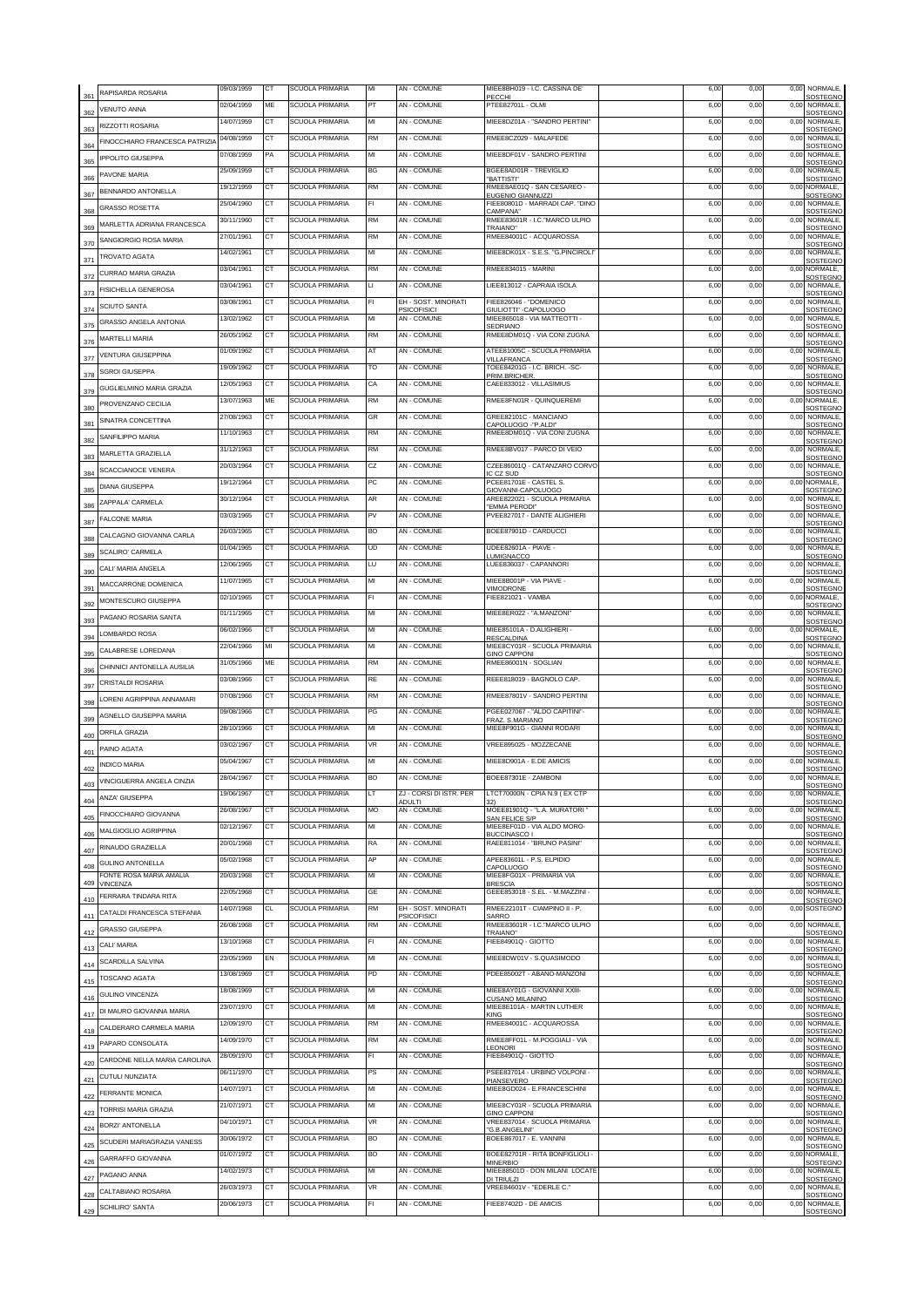| 361        | RAPISARDA ROSARIA                                  | 09/03/1959               | CT              | <b>SCUOLA PRIMARIA</b>                           | MI        | AN - COMUNE                               | MIEE8BH019 - I.C. CASSINA DE'<br>PECCHI                                       | 6,00         | 0,00         | 0,00 | NORMALE,<br>SOSTEGNO                           |
|------------|----------------------------------------------------|--------------------------|-----------------|--------------------------------------------------|-----------|-------------------------------------------|-------------------------------------------------------------------------------|--------------|--------------|------|------------------------------------------------|
| 362        | <b>VENUTO ANNA</b>                                 | 02/04/1959               | ME              | <b>SCUOLA PRIMARIA</b>                           | PT        | <b>AN - COMUNE</b>                        | PTEE82701L - OLMI                                                             | 6,00         | 0.00         | 0,00 | NORMALE,<br>SOSTEGNO                           |
| 363        | RIZZOTTI ROSARIA                                   | 14/07/1959               | CT              | <b>SCUOLA PRIMARIA</b>                           | MI        | <b>AN - COMUNE</b>                        | MIEE8DZ01A - "SANDRO PERTINI"                                                 | 6,00         | 0,00         | 0,00 | NORMALE.<br>SOSTEGNO                           |
| 364        | FINOCCHIARO FRANCESCA PATRIZI/                     | 04/08/1959               | CТ              | SCUOLA PRIMARIA                                  | RM        | AN - COMUNE                               | RMEE8CZ029 - MALAFEDE                                                         | 6,00         | 0,00         | 0,00 | NORMALE,<br>SOSTEGNO                           |
| 365        | <b>IPPOLITO GIUSEPPA</b>                           | 07/08/1959               | PA              | <b>SCUOLA PRIMARIA</b>                           | MI        | AN - COMUNE                               | MIEE8DF01V - SANDRO PERTINI                                                   | 6,00         | 0,00         | 0,00 | NORMALE,<br>SOSTEGNO                           |
| 366        | PAVONE MARIA                                       | 25/09/1959               | СT              | <b>SCUOLA PRIMARIA</b>                           | BG        | AN - COMUNE                               | BGEE8AD01R - TREVIGLIO<br><b>BATTISTI</b>                                     | 6,00         | 0,00         | 0,00 | NORMALE,<br>SOSTEGNO                           |
| 367        | BENNARDO ANTONELLA                                 | 19/12/1959               | <b>CT</b>       | SCUOLA PRIMARIA                                  | RM        | AN - COMUNE                               | RMEE8AE01Q - SAN CESAREO -<br>EUGENIO GIANNUZZI                               | 6,00         | 0,00         |      | 0,00 NORMALE,<br>SOSTEGNO                      |
| 368        | <b>GRASSO ROSETTA</b>                              | 25/04/1960               | СT              | SCUOLA PRIMARIA                                  | FI        | AN - COMUNE                               | FIEE80801D - MARRADI CAP. "DINO<br>CAMPANA*                                   | 6,00         | 0,00         | 0,00 | NORMALE,<br>SOSTEGNO                           |
| 369        | MARLETTA ADRIANA FRANCESCA                         | 30/11/1960               | СT              | SCUOLA PRIMARIA                                  | RM        | AN - COMUNE                               | RMEE83601R - I.C."MARCO ULPIO<br>TRAIANO"                                     | 6,00         | 0,00         | 0,00 | NORMALE,<br>SOSTEGNO                           |
| 370        | SANGIORGIO ROSA MARIA                              | 27/01/1961               | СT              | SCUOLA PRIMARIA                                  | <b>RM</b> | AN - COMUNE                               | RMEE84001C - ACQUAROSSA                                                       | 6,00         | 0,00         | 0,00 | NORMALE,<br>SOSTEGNO                           |
| 371        | TROVATO AGATA                                      | 14/02/1961               | CT              | SCUOLA PRIMARIA                                  | MI        | AN - COMUNE                               | MIEE8DK01X - S.E.S. "G.PINCIROLI"                                             | 6,00         | 0,00         | 0,00 | NORMALE,<br>SOSTEGNO                           |
| 372        | CURRAO MARIA GRAZIA                                | 03/04/1961               | <b>CT</b>       | SCUOLA PRIMARIA                                  | RM        | AN - COMUNE                               | RMEE834015 - MARINI                                                           | 6,00         | 0,00         |      | 0,00 NORMALE,<br>SOSTEGNO                      |
| 373        | <b>FISICHELLA GENEROSA</b>                         | 03/04/1961               | <b>CT</b>       | <b>SCUOLA PRIMARIA</b>                           | П         | AN - COMUNE                               | LIEE813012 - CAPRAIA ISOLA                                                    | 6,00         | 0,00         | 0.00 | NORMALE.<br>SOSTEGNO                           |
| 374        | SCIUTO SANTA                                       | 03/08/1961               | CT              | SCUOLA PRIMARIA                                  | FI        | EH - SOST. MINORATI<br><b>PSICOFISICI</b> | FIEE826046 - "DOMENICO<br>GIULIOTTI" -CAPOLUOGO                               | 6,00         | 0,00         | 0,00 | NORMALE<br>SOSTEGNO                            |
| 375        | GRASSO ANGELA ANTONIA                              | 3/02/1962                | СT              | SCUOLA PRIMARIA                                  | МІ        | <b>AN - COMUNE</b>                        | MIEE865018 - VIA MATTEOTTI -<br><b>SEDRIANO</b>                               | 6,00         | 0,00         | 0,00 | NORMALE<br>SOSTEGNO                            |
| 376        | <b>MARTELLI MARIA</b>                              | 26/05/1962               | CT              | SCUOLA PRIMARIA                                  | <b>RM</b> | AN - COMUNE                               | RMEE8DM01Q - VIA CONI ZUGNA                                                   | 6,00         | 0,00         | 0,00 | NORMALE,<br><b>SOSTEGNO</b>                    |
| 377        | <b>VENTURA GIUSEPPINA</b>                          | 01/09/1962               | СT              | <b>SCUOLA PRIMARIA</b>                           | AT        | AN - COMUNE                               | ATEE81005C - SCUOLA PRIMARIA<br>/ILLAFRANCA                                   | 6,00         | 0,00         | 0,00 | NORMALE,<br><b>SOSTEGNO</b>                    |
| 378        | <b>SGROI GIUSEPPA</b>                              | 19/09/1962               | CT              | <b>SCUOLA PRIMARIA</b>                           | TO        | AN - COMUNE                               | TOEE84201G - I.C. BRICH. - SC-<br><b>PRIM.BRICHER</b>                         | 6,00         | 0,00         | 0,00 | NORMALE,<br><b>SOSTEGNO</b>                    |
| 379        | GUGLIELMINO MARIA GRAZIA                           | 12/05/1963               | СT              | <b>SCUOLA PRIMARIA</b>                           | CA        | AN - COMUNE                               | CAEE833012 - VILLASIMIUS                                                      | 6,00         | 0,00         | 0,00 | NORMALE,<br>SOSTEGNO                           |
| 380        | PROVENZANO CECILIA                                 | 13/07/1963               | ME              | <b>SCUOLA PRIMARIA</b>                           | RM        | AN - COMUNE                               | RMEE8FN01R - QUINQUEREMI                                                      | 6,00         | 0,00         |      | 0,00 NORMALE,<br>SOSTEGNO                      |
| 381        | SINATRA CONCETTINA                                 | 27/08/1963               | СT              | <b>SCUOLA PRIMARIA</b>                           | GR        | AN - COMUNE                               | GREE82101C - MANCIANO<br>APOLUOGO -"P.ALDI"                                   | 6,00         | 0,00         | 0.00 | NORMALE,<br>SOSTEGNO                           |
| 382        | SANFILIPPO MARIA                                   | 11/10/1963               | CT              | <b>SCUOLA PRIMARIA</b>                           | <b>RM</b> | AN - COMUNE                               | RMEE8DM01Q - VIA CONI ZUGNA                                                   | 6,00         | 0,00         | 0,00 | NORMALE<br>SOSTEGNO                            |
| 383        | MARLETTA GRAZIELLA                                 | 31/12/1963               | <b>CT</b>       | <b>SCUOLA PRIMARIA</b>                           | <b>RM</b> | <b>AN - COMUNE</b>                        | RMEE8BV017 - PARCO DI VEIO                                                    | 6.00         | 0.00         | 0,00 | <b>NORMALE</b><br>SOSTEGNO                     |
| 384        | SCACCIANOCE VENERA                                 | 20/03/1964               | CT              | <b>SCUOLA PRIMARIA</b>                           | CZ        | AN - COMUNE                               | CZEE86001Q - CATANZARO CORVO<br>C CZ SUD                                      | 6,00         | 0,00         | 0,00 | NORMALE,<br>SOSTEGNO                           |
| 385        | <b>DIANA GIUSEPPA</b>                              | 19/12/1964               | CТ              | SCUOLA PRIMARIA                                  | PC        | AN - COMUNE                               | PCEE81701E - CASTEL S.<br>GIOVANNI-CAPOLUOGO                                  | 6,00         | 0,00         |      | 0,00 NORMALE,<br>SOSTEGNO                      |
| 386        | ZAPPALA' CARMELA                                   | 30/12/1964               | CT              | <b>SCUOLA PRIMARIA</b>                           | AR        | AN - COMUNE                               | AREE822021 - SCUOLA PRIMARIA<br><b>EMMA PERODI*</b>                           | 6,00         | 0,00         |      | 0,00 NORMALE,<br>SOSTEGNO                      |
| 387        | <b>FALCONE MARIA</b>                               | 03/03/1965               | CТ              | SCUOLA PRIMARIA                                  | PV        | AN - COMUNE                               | PVEE827017 - DANTE ALIGHIERI                                                  | 6,00         | 0,00         | 0,00 | <b>NORMALE</b><br>SOSTEGNO                     |
| 388        | CALCAGNO GIOVANNA CARLA                            | 26/03/1965               | CT              | SCUOLA PRIMARIA                                  | BO        | AN - COMUNE                               | BOEE87901D - CARDUCCI                                                         | 6,00         | 0,00         | 0,00 | NORMALE,<br>SOSTEGNO                           |
| 389        | <b>SCALIRO' CARMELA</b>                            | 01/04/1965               | СT              | SCUOLA PRIMARIA                                  | UD        | AN - COMUNE                               | UDEE82601A - PIAVE -<br><b>UMIGNACCO</b>                                      | 6,00         | 0,00         | 0,00 | NORMALE,<br>SOSTEGNO                           |
| 390        | CALI' MARIA ANGELA                                 | 12/06/1965               | CT              | SCUOLA PRIMARIA                                  | LU        | AN - COMUNE                               | LUEE836037 - CAPANNORI                                                        | 6,00         | 0,00         | 0,00 | NORMALE,<br>SOSTEGNO                           |
| 39'        | MACCARRONE DOMENICA                                | 11/07/1965               | СT              | SCUOLA PRIMARIA                                  | MI        | AN - COMUNE                               | MIEE8B001P - VIA PIAVE -<br>/IMODRONE                                         | 6,00         | 0,00         | 0,00 | NORMALE,<br>SOSTEGNO                           |
| 392        | MONTESCURO GIUSEPPA                                | 02/10/1965               | CT              | SCUOLA PRIMARIA                                  | FI        | AN - COMUNE                               | FIEE821021 - VAMBA                                                            | 6,00         | 0,00         |      | 0,00 NORMALE<br>SOSTEGNO                       |
| 393        | PAGANO ROSARIA SANTA                               | 01/11/1965               | СT              | SCUOLA PRIMARIA                                  | МІ        | AN - COMUNE                               | MIEE8ER022 - "A.MANZONI"                                                      | 6,00         | 0,00         | 0,00 | NORMALE,<br>SOST <u>EGNO</u>                   |
| 394        | LOMBARDO ROSA                                      | 06/02/1966               | СT              | SCUOLA PRIMARIA                                  | MI        | AN - COMUNE                               | MIEE85101A - D.ALIGHIERI -<br>RESCAI DINA                                     | 6,00         | 0,00         |      | 0,00 NORMALE,<br>SOSTEGNO                      |
| 395        | CALABRESE LOREDANA                                 | 22/04/1966               | MI              | SCUOLA PRIMARIA                                  | MI        | AN - COMUNE                               | MIEE8CY01R - SCUOLA PRIMARIA<br><b>GINO CAPPONI</b>                           | 6,00         | 0,00         | 0,00 | <b>NORMALE</b><br>SOSTEGNO                     |
| 396        | CHINNICI ANTONELLA AUSILIA                         | 31/05/1966               | ME              | SCUOLA PRIMARIA                                  | <b>RM</b> | AN - COMUNE                               | RMEE86001N - SOGLIAN                                                          | 6,00         | 0,00         | 0,00 | NORMALE,<br>SOSTEGNO                           |
| 397        | CRISTALDI ROSARIA                                  | 03/08/1966               | СT              | SCUOLA PRIMARIA                                  | RE        | <b>AN - COMUNE</b>                        | REEE818019 - BAGNOLO CAP.                                                     | 6,00         | 0,00         | 0,00 | <b>NORMALE</b><br>SOSTEGNO                     |
| 398        | LORENI AGRIPPINA ANNAMARI                          | 07/08/1966               | СT              | SCUOLA PRIMARIA                                  | <b>RM</b> | AN - COMUNE                               | RMEE87801V - SANDRO PERTINI                                                   | 6,00         | 0,00         | 0.00 | NORMALE<br>SOSTEGNO                            |
| 399        | AGNELLO GIUSEPPA MARIA                             | 09/08/1966               | СT              | <b>SCUOLA PRIMARIA</b>                           | PG        | AN - COMUNE                               | PGEE027067 - "ALDO CAPITINI"-<br><b>FRAZ. S.MARIANO</b>                       | 6,00         | 0,00         | 0.00 | NORMALE,<br><b>SOSTEGNO</b>                    |
| 400        | ORFILA GRAZIA                                      | 28/10/1966               | СT              | SCUOLA PRIMARIA                                  | MI        | AN - COMUNE                               | MIEE8F901G - GIANNI RODARI                                                    | 6,00         | 0,00         | 0.00 | <b>NORMALE</b><br><b>SOSTEGNO</b>              |
| 401        | PAINO AGATA                                        | 03/02/1967               | CT              | <b>SCUOLA PRIMARIA</b>                           | VR        | AN - COMUNE<br>AN - COMUNE                | VREE895025 - MOZZECANE<br>MIEE8D901A - E.DE AMICIS                            | 6,00         | 0,00         | 0,00 | NORMALE,<br>SOSTEGNO                           |
| 402        | <b>INDICO MARIA</b>                                | 05/04/1967<br>8/04/1967  | <b>CT</b><br>CT | <b>SCUOLA PRIMARIA</b><br>SCIIOLA PR             | МІ        | AN - COI                                  | <b>BOFF87301F - ZAMB</b>                                                      | 6,00         | 0,00         | 0.0  | NORMALE,<br>SOSTEGNO<br>NORMALE.               |
| 403        | VINCIGUERRA ANGELA CINZIA                          |                          |                 | SCUOLA PRIMARIA                                  |           |                                           |                                                                               |              |              |      | SOSTEGNO                                       |
| 404        | ANZA' GIUSEPPA                                     | 19/06/1967               | CТ              |                                                  | LT        | ZJ - CORSI DI ISTR. PER<br>ADULTI         | LTCT70000N - CPIA N.9 (EX CTP                                                 | 6.00         | 0,00         | 0,00 | NORMALE,<br>SOSTEGNO                           |
| 405        | FINOCCHIARO GIOVANNA                               | 26/08/1967               | CT              | SCUOLA PRIMARIA                                  | MO        | AN - COMUNE                               | MOEE81901Q - "L.A. MURATORI"<br>SAN FELICE S/P<br>MIEE8EF01D - VIA ALDO MORO- | 6,00         | 0,00         | 0,00 | NORMALE.<br><b>SOSTEGNO</b>                    |
| 406        | MALGIOGLIO AGRIPPINA                               | 02/12/1967               | СT<br>CT        | <b>SCUOLA PRIMARIA</b><br><b>SCUOLA PRIMARIA</b> | MI<br>RA  | AN - COMUNE<br>AN - COMUNE                | <b>BUCCINASCO I</b><br>RAEE811014 - "BRUNO PASINI"                            | 6,00         | 0.00         | 0,00 | NORMALE.<br>SOSTEGNO<br>NORMALE.               |
| 407        | RINAUDO GRAZIELLA                                  | 20/01/1968               |                 |                                                  | АP        | AN - COMUNE                               | APEE83601L - P.S. ELPIDIO                                                     | 6,00         | 0,00<br>0.00 | 0,00 | SOSTEGNO<br>NORMALE.                           |
| 408        | <b>GULINO ANTONELLA</b><br>FONTE ROSA MARIA AMALIA | 05/02/1968<br>20/03/1968 | CТ<br><b>CT</b> | SCUOLA PRIMARIA<br>SCUOLA PRIMARIA               | MI        | AN - COMUNE                               | CAPOLUOGO<br>MIEE8FG01X - PRIMARIA VIA                                        | 6,00<br>6,00 | 0,00         | 0,00 | SOSTEGNO<br>0,00 NORMALE,                      |
| 409        | <b>VINCENZA</b>                                    | 22/05/1968               | CТ              | SCUOLA PRIMARIA                                  | GE        | AN - COMUNE                               | <b>BRESCIA</b><br>GEEE853018 - S.EL. - M.MAZZINI -                            | 6,00         | 0,00         | 0,00 | SOSTEGNO<br>NORMALE,                           |
| 410        | FERRARA TINDARA RITA                               | 14/07/1968               | <b>CL</b>       | <b>SCUOLA PRIMARIA</b>                           | <b>RM</b> | EH - SOST. MINORATI                       | RMEE22101T - CIAMPINO II - P.                                                 | 6,00         | 0,00         |      | SOSTEGNO<br>0,00 SOSTEGNO                      |
| 411        | CATALDI FRANCESCA STEFANIA                         | 26/08/1968               | СT              | <b>SCUOLA PRIMARIA</b>                           | <b>RM</b> | <b>PSICOFISICI</b><br>AN - COMUNE         | SARRO<br>RMEE83601R - I.C. "MARCO ULPIO                                       | 6,00         | 0,00         | 0,00 | NORMALE,                                       |
| 412        | <b>GRASSO GIUSEPPA</b>                             | 13/10/1968               | <b>CT</b>       | <b>SCUOLA PRIMARIA</b>                           | FI        | AN - COMUNE                               | TRAIANO <sup>®</sup><br>FIEE84901Q - GIOTTO                                   | 6,00         | 0,00         | 0,00 | SOSTEGNO<br>NORMALE,                           |
| 413        | CAI I' MARIA                                       | 23/05/1969               | EN              | <b>SCUOLA PRIMARIA</b>                           | МІ        | AN - COMUNE                               | MIEE8DW01V - S.QUASIMODO                                                      | 6,00         | 0,00         | 0,00 | SOSTEGNO<br>NORMALE,                           |
| 414        | SCARDILLA SALVINA                                  | 13/08/1969               | CТ              | <b>SCUOLA PRIMARIA</b>                           | PD        | AN - COMUNE                               | PDEE85002T - ABANO-MANZONI                                                    | 6,00         | 0,00         | 0,00 | SOSTEGNO<br>NORMALE,                           |
| 415        | TOSCANO AGATA                                      | 18/08/1969               | <b>CT</b>       | <b>SCUOLA PRIMARIA</b>                           | MI        | AN - COMUNE                               | MIEE8AY01G - GIOVANNI XXIII-                                                  | 6,00         | 0,00         | 0,00 | SOSTEGNO<br>NORMALE,                           |
| 416        | <b>GULINO VINCENZA</b>                             | 23/07/1970               | CT              | SCUOLA PRIMARIA                                  | MI        | AN - COMUNE                               | CUSANO MILANINO<br>MIEE8E101A - MARTIN LUTHER                                 | 6,00         | 0,00         | 0,00 | <b>SOSTEGNO</b><br>NORMALE,                    |
| 417        | DI MAURO GIOVANNA MARIA                            | 12/09/1970               | CT              | SCUOLA PRIMARIA                                  | RM        | AN - COMUNE                               | KING<br>RMEE84001C - ACQUAROSSA                                               | 6,00         | 0,00         | 0,00 | SOSTEGNO<br>NORMALE,                           |
| 418        | CALDERARO CARMELA MARIA                            | 14/09/1970               | СT              | SCUOLA PRIMARIA                                  | <b>RM</b> | AN - COMUNE                               | RMEE8FF01L - M.POGGIALI - VIA                                                 | 6,00         | 0,00         | 0.00 | SOSTEGNO<br>NORMALE,                           |
| 419        | PAPARO CONSOLATA                                   | 28/09/1970               | СT              | SCUOLA PRIMARIA                                  | FI        | AN - COMUNE                               | <b>FONORI</b><br>FIEE84901Q - GIOTTO                                          | 6,00         | 0,00         | 0,00 | SOSTEGNO<br>NORMALE,                           |
| 420        | CARDONE NELLA MARIA CAROLINA                       | 06/11/1970               | СT              | SCUOLA PRIMARIA                                  | PS        | AN - COMUNE                               | PSEE837014 - URBINO VOLPONI -                                                 | 6,00         | 0,00         | 0.00 | SOSTEGNO<br><b>NORMALE</b>                     |
| 421        | CUTULI NUNZIATA                                    | 14/07/1971               | CT              | SCUOLA PRIMARIA                                  | MI        | AN - COMUNE                               | PIANSEVERO<br>MIEE8GD024 - E.FRANCESCHINI                                     | 6,00         | 0,00         | 0,00 | SOSTEGNO<br>NORMALE,                           |
| 422        | <b>FERRANTE MONICA</b><br>TORRISI MARIA GRAZIA     | 21/07/1971               | СT              | SCUOLA PRIMARIA                                  | MI        | AN - COMUNE                               | MIEE8CY01R - SCUOLA PRIMARIA                                                  | 6,00         | 0,00         | 0,00 | <b>SOSTEGNO</b><br>NORMALE,                    |
| 423        |                                                    |                          |                 | <b>SCUOLA PRIMARIA</b>                           | VR        | AN - COMUNE                               | <b>GINO CAPPONI</b><br>VREE837014 - SCUOLA PRIMARIA                           | 6,00         | 0,00         | 0.00 | <b>SOSTEGNO</b><br>NORMALE,                    |
|            |                                                    | 04/10/1971               | CT              |                                                  |           |                                           |                                                                               |              |              |      |                                                |
| 424        | <b>BORZI' ANTONELLA</b>                            | 30/06/1972               | CТ              | SCUOLA PRIMARIA                                  | BO        | AN - COMUNE                               | 'G.B.ANGELINI"<br>BOEE867017 - E. VANNINI                                     | 6,00         | 0,00         | 0,00 | SOSTEGNO<br>NORMALE,                           |
| 425        | SCUDERI MARIAGRAZIA VANESS                         | 01/07/1972               | <b>CT</b>       | <b>SCUOLA PRIMARIA</b>                           | BO        | AN - COMUNE                               | BOEE82701R - RITA BONFIGLIOLI -                                               | 6,00         | 0,00         |      | SOSTEGNO<br>0,00 NORMALE,                      |
| 426        | GARRAFFO GIOVANNA                                  | 14/02/1973               | ст              | <b>SCUOLA PRIMARIA</b>                           | MI        | AN - COMUNE                               | MINERBIO<br>MIEE88501D - DON MILANI LOCATE                                    | 6.00         | 0,00         | 0,00 | SOSTEGNO<br>NORMALE,                           |
| 427        | PAGANO ANNA                                        | 26/03/1973               | CT              | SCUOLA PRIMARIA                                  | VR        | AN - COMUNE                               | DI TRIULZI<br>VREE84601V - "EDERLE C."                                        | 6,00         | 0,00         | 0,00 | SOSTEGNO<br>NORMALE.                           |
| 428<br>429 | CALTABIANO ROSARIA<br>SCHILIRO' SANTA              | 20/06/1973               | СT              | <b>SCUOLA PRIMARIA</b>                           | FI        | AN - COMUNE                               | FIEE87402D - DE AMICIS                                                        | 6,00         | 0.00         | 0.00 | <b>SOSTEGNO</b><br>NORMALE,<br><b>SOSTEGNO</b> |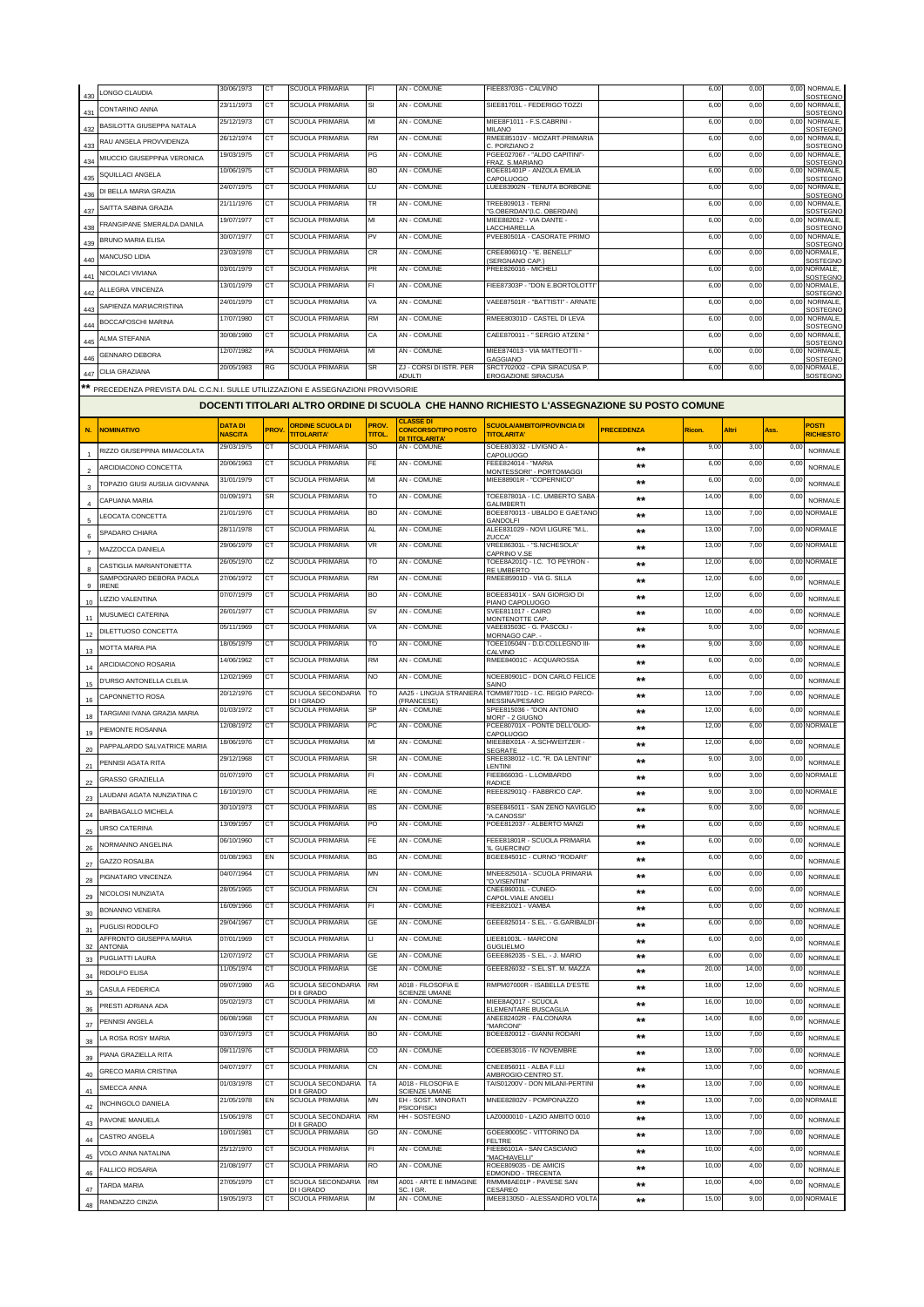| 430 | LONGO CLAUDIA                                                                   | 30/06/1973               | СT          | SCUOLA PRIMARIA                                    | FI              | AN - COMUNE                                        | FIEE83703G - CALVINO                                                                       |                   | 6,00           | 0,00          | 0,00         | <b>NORMALE</b><br>SOSTEGNO        |
|-----|---------------------------------------------------------------------------------|--------------------------|-------------|----------------------------------------------------|-----------------|----------------------------------------------------|--------------------------------------------------------------------------------------------|-------------------|----------------|---------------|--------------|-----------------------------------|
| 431 | CONTARINO ANNA                                                                  | 23/11/1973               | СT          | SCUOLA PRIMARIA                                    | SI              | AN - COMUNE                                        | SIEE81701L - FEDERIGO TOZZI                                                                |                   | 6,00           | 0,00          | 0.00         | <b>NORMALE</b><br>SOSTEGNO        |
| 432 | BASILOTTA GIUSEPPA NATALA                                                       | 25/12/1973               | CТ          | <b>SCUOLA PRIMARIA</b>                             | MI              | AN - COMUNE                                        | MIEE8F1011 - F.S.CABRINI -<br>MII ANO                                                      |                   | 6,00           | 0,00          | 0,00         | <b>NORMALE</b><br>SOSTEGNO        |
| 433 | RAU ANGELA PROVVIDENZA                                                          | 26/12/1974               | СT          | SCUOLA PRIMARIA                                    | <b>RM</b>       | AN - COMUNE                                        | RMEE85101V - MOZART-PRIMARIA<br>C. PORZIANO 2                                              |                   | 6,00           | 0,00          | 0,00         | <b>NORMALE</b><br><b>SOSTEGNO</b> |
| 434 | MIUCCIO GIUSEPPINA VERONICA                                                     | 19/03/1975               | СT          | <b>SCUOLA PRIMARIA</b>                             | PG              | AN - COMUNE                                        | PGEE027067 - "ALDO CAPITINI"-<br>FRAZ. S.MARIANO                                           |                   | 6,00           | 0,00          | 0,00         | NORMALE,<br><b>SOSTEGNO</b>       |
| 435 | SQUILLACI ANGELA                                                                | 10/06/1975               | CT          | SCUOLA PRIMARIA                                    | BO              | AN - COMUNE                                        | BOEE81401P - ANZOLA EMILIA<br>CAPOLUOGO                                                    |                   | 6,00           | 0,00          | 0,00         | <b>NORMALE</b><br><b>SOSTEGNO</b> |
| 436 | DI BELLA MARIA GRAZIA                                                           | 24/07/1975               | CT          | <b>SCUOLA PRIMARIA</b>                             | LU              | AN - COMUNE                                        | LUEE83902N - TENUTA BORBONE                                                                |                   | 6,00           | 0,00          | 0,00         | <b>NORMALE</b><br>SOSTEGNC        |
| 437 | SAITTA SABINA GRAZIA                                                            | 21/11/1976               | СT          | <b>SCUOLA PRIMARIA</b>                             | TR              | AN - COMUNE                                        | TREE809013 - TERNI<br>'G.OBERDAN"(I.C. OBERDAN)                                            |                   | 6,00           | 0,00          | 0,00         | <b>NORMALE</b><br>SOSTEGNO        |
| 438 | FRANGIPANE SMERALDA DANILA                                                      | 19/07/1977               | CT          | <b>SCUOLA PRIMARIA</b>                             | MI              | AN - COMUNE                                        | MIEE882012 - VIA DANTE -<br>ACCHIARELLA                                                    |                   | 6,00           | 0,00          | 0,00         | NORMALE,<br>SOSTEGNO              |
| 439 | BRUNO MARIA ELISA                                                               | 30/07/1977               | СT          | <b>SCUOLA PRIMARIA</b>                             | PV              | AN - COMUNE                                        | PVEE80501A - CASORATE PRIMO                                                                |                   | 6,00           | 0,00          | 0,00         | <b>NORMALE</b><br>SOSTEGNO        |
| 440 | <b>MANCUSO LIDIA</b>                                                            | 23/03/1978               | СT          | <b>SCUOLA PRIMARIA</b>                             | <b>CR</b>       | <b>AN - COMUNE</b>                                 | CREE80601Q - "E. BENELLI"                                                                  |                   | 6,00           | 0,00          | 0,00         | NORMALE.<br>SOSTEGNO              |
| 441 | NICOLACI VIVIANA                                                                | 03/01/1979               | СT          | SCUOLA PRIMARIA                                    | PR              | AN - COMUNE                                        | SERGNANO CAP.)<br>PREE826016 - MICHELI                                                     |                   | 6,00           | 0,00          |              | 0,00 NORMALE,                     |
| 442 | ALLEGRA VINCENZA                                                                | 13/01/1979               | СT          | <b>SCUOLA PRIMARIA</b>                             | FI.             | AN - COMUNE                                        | FIEE87303P - "DON E.BORTOLOTTI'                                                            |                   | 6,00           | 0,00          | 0,00         | SOSTEGNO<br>NORMALE.              |
| 443 | SAPIENZA MARIACRISTINA                                                          | 24/01/1979               | CT          | <b>SCUOLA PRIMARIA</b>                             | VA              | <b>AN - COMUNE</b>                                 | VAEE87501R - "BATTISTI" - ARNATE                                                           |                   | 6,00           | 0,00          | 0,00         | SOSTEGNC<br>NORMAL F<br>SOSTEGNO  |
| 444 | BOCCAFOSCHI MARINA                                                              | 17/07/1980               | CТ          | SCUOLA PRIMARIA                                    | <b>RM</b>       | AN - COMUNE                                        | RMEE80301D - CASTEL DI LEVA                                                                |                   | 6,00           | 0,00          | 0,00         | <b>NORMALE</b><br>SOSTEGNO        |
| 445 | ALMA STEFANIA                                                                   | 30/08/1980               | <b>CT</b>   | <b>SCUOLA PRIMARIA</b>                             | CA              | <b>AN - COMUNE</b>                                 | CAEE870011 - "SERGIO ATZENI                                                                |                   | 6,00           | 0,00          |              | 0,00 NORMALE,                     |
| 446 | <b>GENNARO DEBORA</b>                                                           | 12/07/1982               | PA          | SCUOLA PRIMARIA                                    | МІ              | AN - COMUNE                                        | MIEE874013 - VIA MATTEOTTI -                                                               |                   | 6,00           | 0,00          | 0,00         | SOSTEGNO<br>NORMALE,              |
| 447 | <b>CILIA GRAZIANA</b>                                                           | 20/05/1983               | RG          | <b>SCUOLA PRIMARIA</b>                             | <b>SR</b>       | ZJ - CORSI DI ISTR. PER                            | <b>GAGGIANO</b><br>SRCT702002 - CPIA SIRACUSA P.                                           |                   | 6,00           | 0,00          | 0,00         | SOSTEGNO<br>NORMALE,              |
|     | PRECEDENZA PREVISTA DAL C.C.N.I. SULLE UTILIZZAZIONI E ASSEGNAZIONI PROVVISORIE |                          |             |                                                    |                 | ADUI TI                                            | EROGAZIONE SIRACUSA                                                                        |                   |                |               |              | SOSTEGNO                          |
|     |                                                                                 |                          |             |                                                    |                 |                                                    | DOCENTI TITOLARI ALTRO ORDINE DI SCUOLA CHE HANNO RICHIESTO L'ASSEGNAZIONE SU POSTO COMUNE |                   |                |               |              |                                   |
|     |                                                                                 | <b>DATA DI</b>           |             | <b>ORDINE SCUOLA DI</b>                            | PROV.           | <b>CLASSE DI</b>                                   | SCUOLA/AMBITO/PROVINCIA DI                                                                 |                   |                |               |              | <b>POSTI</b>                      |
| N.  | <b>NOMINATIVO</b>                                                               | <b>NASCITA</b>           | <b>PROV</b> | <b>TITOLARITA'</b>                                 | <b>TITOL</b>    | <b>CONCORSO/TIPO POSTO</b><br>DI TITOLARITA'       | <b>TITOLARITA'</b>                                                                         | <b>PRECEDENZA</b> | Ricon.         | Altri         | Ass.         | RICHIESTO                         |
|     | RIZZO GIUSEPPINA IMMACOLATA                                                     | 29/03/1975               | CТ          | <b>SCUOLA PRIMARIA</b>                             | SO              | AN - COMUNE                                        | SOEE803032 - LIVIGNO A -<br>CAPOLUOGO                                                      | $***$             | 9,00           | 3,00          | 0,00         | NORMALE                           |
|     | ARCIDIACONO CONCETTA                                                            | 20/06/1963               | CT          | <b>SCUOLA PRIMARIA</b>                             | <b>FE</b>       | AN - COMUNE                                        | FEEE824014 - "MARIA<br>MONTESSORI" - PORTOMAGGI                                            | $***$             | 6,00           | 0,00          | 0,00         | NORMALE                           |
|     | TOPAZIO GIUSI AUSILIA GIOVANNA                                                  | 31/01/1979               | СT          | SCUOLA PRIMARIA                                    | MI              | AN - COMUNE                                        | MIEE88901R - "COPERNICO"                                                                   | **                | 6,00           | 0,00          | 0,00         | <b>NORMALE</b>                    |
|     | CAPUANA MARIA                                                                   | 01/09/1971               | SR          | SCUOLA PRIMARIA                                    | TO              | AN - COMUNE                                        | TOEE87801A - I.C. UMBERTO SABA<br><b>GALIMRERTI</b>                                        | $**$              | 14,00          | 8,00          | 0,00         | NORMALE                           |
|     | LEOCATA CONCETTA                                                                | 21/01/1976               | CТ          | SCUOLA PRIMARIA                                    | BO              | AN - COMUNE                                        | BOEE870013 - UBALDO E GAETANC<br><b>GANDOLFI</b>                                           | $***$             | 13,00          | 7,00          | 0,00         | NORMALE                           |
| 6   | SPADARO CHIARA                                                                  | 28/11/1978               | CT          | <b>SCUOLA PRIMARIA</b>                             | AL              | AN - COMUNE                                        | ALEE831029 - NOVI LIGURE "M.L.<br>ZUCCA'                                                   | $***$             | 13,00          | 7,00          | 0,00         | <b>NORMALE</b>                    |
|     | MAZZOCCA DANIELA                                                                | 29/06/1979               | СT          | <b>SCUOLA PRIMARIA</b>                             | VR              | AN - COMUNE                                        | VREE86301L - "S.NICHESOLA"<br>CAPRINO V.SE                                                 | $***$             | 13,00          | 7,00          | 0,00         | <b>NORMALE</b>                    |
|     | CASTIGLIA MARIANTONIETTA                                                        | 26/05/1970               | CZ          | <b>SCUOLA PRIMARIA</b>                             | TO              | AN - COMUNE                                        | TOEE8A201Q - I.C. TO PEYRON<br><b>RE UMBERTO</b>                                           | $**$              | 12,00          | 6,00          | 0,00         | NORMALE                           |
| 9   | SAMPOGNARO DEBORA PAOLA<br><b>IRENE</b>                                         | 27/06/1972               | СT          | <b>SCUOLA PRIMARIA</b>                             | <b>RM</b>       | AN - COMUNE                                        | RMEE85901D - VIA G. SILLA                                                                  | $***$             | 12,00          | 6,00          | 0,00         | <b>NORMALE</b>                    |
| 10  | LIZZIO VALENTINA                                                                | 07/07/1979               | СT          | <b>SCUOLA PRIMARIA</b>                             | BO              | AN - COMUNE                                        | BOEE83401X - SAN GIORGIO DI<br>PIANO CAPOLUOGO                                             | $***$             | 12,00          | 6,00          | 0,00         | <b>NORMALE</b>                    |
| 11  | MUSUMECI CATERINA                                                               | 26/01/1977               | СT          | <b>SCUOLA PRIMARIA</b>                             | <b>SV</b>       | AN - COMUNE                                        | <b>SVEE811017 - CAIRO</b><br>MONTENOTTE CAP.                                               | $***$             | 10,00          | 4,00          | 0,00         | <b>NORMALE</b>                    |
| 12  | DILETTUOSO CONCETTA                                                             | 05/11/1969               | СT          | <b>SCUOLA PRIMARIA</b>                             | VA              | AN - COMUNE                                        | VAEE83503C - G. PASCOLI -<br>MORNAGO CAP.                                                  | $***$             | 9,00           | 3,00          | 0,00         | <b>NORMALE</b>                    |
| 13  | MOTTA MARIA PIA                                                                 | 18/05/1979               | CT          | <b>SCUOLA PRIMARIA</b>                             | TO              | AN - COMUNE                                        | TOEE10504N - D.D.COLLEGNO III-<br>CALVINO                                                  | $***$             | 9,00           | 3,00          | 0,00         | <b>NORMALE</b>                    |
| 14  | ARCIDIACONO ROSARIA                                                             | 14/06/1962               | СT          | SCUOLA PRIMARIA                                    | <b>RM</b>       | AN - COMUNE                                        | RMEE84001C - ACQUAROSSA                                                                    | $***$             | 6,00           | 0,00          | 0,00         | <b>NORMALE</b>                    |
| 15  | D'URSO ANTONELLA CLELIA                                                         | 12/02/1969               | CT          | <b>SCUOLA PRIMARIA</b>                             | NO              | AN - COMUNE                                        | NOEE80901C - DON CARLO FELICE<br>SAINO                                                     | $***$             | 6,00           | 0,00          | 0,00         | <b>NORMALE</b>                    |
| 16  | CAPONNETTO ROSA                                                                 | 20/12/1976               | СT          | SCUOLA SECONDARIA<br>DI I GRADO                    | TΩ              | AA25 - LINGUA STRANIER/<br>(FRANCESE)              | TOMM87701D - I.C. REGIO PARCO-<br><b>MESSINA/PESARO</b>                                    | $***$             | 13,00          | 7,00          | 0,00         | <b>NORMALE</b>                    |
| 18  | TARGIANI IVANA GRAZIA MARIA                                                     | 01/03/1972               | CТ          | <b>SCUOLA PRIMARIA</b>                             | SP              | <b>AN - COMUNE</b>                                 | SPFF815036 - "DON ANTONIO<br>MORI" - 2 GIUGNO                                              | $**$              | 12,00          | 6,00          | 0,00         | <b>NORMALE</b>                    |
| 19  | PIEMONTE ROSANNA                                                                | 12/08/1972               | CТ          | SCUOLA PRIMARIA                                    | PC              | AN - COMUNE                                        | PCEE80701X - PONTE DELL'OLIO-<br>CAPOLUOGO                                                 | $***$             | 12,00          | 6,00          |              | 0,00 NORMALE                      |
| 20  | PAPPALARDO SALVATRICE MARIA                                                     | 18/06/1976               | CТ          | <b>SCUOLA PRIMARIA</b>                             | МІ              | <b>AN - COMUNE</b>                                 | MIEE8BX01A - A.SCHWEITZER -<br>EGRATE                                                      | $**$              | 12,00          | 6,00          | 0,00         | NORMALE                           |
| 21  | PENNISI AGATA RITA                                                              | 29/12/1968               | СT          | <b>SCUOLA PRIMARIA</b>                             | <b>SR</b>       | AN - COMUNE                                        | SREE838012 - I.C. "R. DA LENTINI"<br>LENTINI                                               | $**$              | 9,00           | 3,00          | 0,00         | <b>NORMALE</b>                    |
| 22  | GRASSO GRAZIELLA                                                                | 01/07/1970               | CТ          | <b>SCUOLA PRIMARIA</b>                             | FI              | AN - COMUNE                                        | FIEE86603G - L.LOMBARDO<br><b>RADICE</b>                                                   |                   | 9,00           | 3,00          |              | 0,00 NORMALE                      |
| 23  | LAUDANI AGATA NUNZIATINA C                                                      | 16/10/1970               | ст          | SCUOLA PRIMARIA                                    | RE              | AN - COMUNE                                        | REEE82901Q - FABBRICO CAP.                                                                 | $**$              | 9,00           | 3,00          |              | 0,00 NORMALE                      |
| 24  | BARBAGALLO MICHELA                                                              | 30/10/1973               | ст          | SCUOLA PRIMARIA                                    | BS              | AN - COMUNE                                        | BSEE845011 - SAN ZENO NAVIGLIO<br>A.CANOSSI"                                               | $***$             | 9,00           | 3,00          | 0,00         | <b>NORMALE</b>                    |
| 25  | URSO CATERINA                                                                   | 13/09/1957               | СT          | SCUOLA PRIMARIA                                    | PO              | AN - COMUNE                                        | POEE812037 - ALBERTO MANZI                                                                 | **                | 6,00           | 0,00          | 0,00         | NORMALE                           |
| 26  | NORMANNO ANGELINA                                                               | 06/10/1960               | CT          | SCUOLA PRIMARIA                                    | FE              | AN - COMUNE                                        | FEEE81801R - SCUOLA PRIMARIA<br>IL GUERCINO'                                               | $***$             | 6,00           | 0,00          | 0,00         | NORMALE                           |
| 27  | GAZZO ROSALBA                                                                   | 01/08/1963               | EN          | SCUOLA PRIMARIA                                    | BG              | AN - COMUNE                                        | BGEE84501C - CURNO "RODARI"                                                                | $***$             | 6,00           | 0,00          | 0,00         | NORMALE                           |
| 28  | PIGNATARO VINCENZA                                                              | 04/07/1964               | СT          | <b>SCUOLA PRIMARIA</b>                             | MN              | AN - COMUNE                                        | MNEE82501A - SCUOLA PRIMARIA<br>'O.VISENTINI"                                              | $***$             | 6,00           | 0,00          | 0,00         | NORMALE                           |
| 29  | NICOLOSI NUNZIATA                                                               | 28/05/1965               | СT          | SCUOLA PRIMARIA                                    | <b>CN</b>       | AN - COMUNE                                        | CNEE86001L - CUNEO-<br>CAPOL.VIALE ANGELI                                                  | $***$             | 6,00           | 0,00          | 0,00         | NORMALE                           |
| 30  | BONANNO VENERA                                                                  | 16/09/1966               | СT          | SCUOLA PRIMARIA                                    | FI              | AN - COMUNE                                        | FIEE821021 - VAMBA                                                                         | $***$             | 6,00           | 0,00          | 0,00         | NORMALE                           |
| 31  | PUGLISI RODOLFO                                                                 | 29/04/1967               | CT          | <b>SCUOLA PRIMARIA</b>                             | GE              | AN - COMUNE                                        | GEEE825014 - S.EL. - G.GARIBALDI                                                           | $***$             | 6,00           | 0,00          | 0,00         | <b>NORMALE</b>                    |
| 32  | AFFRONTO GIUSEPPA MARIA<br><b>ANTONIA</b>                                       | 07/01/1969               | СT          | SCUOLA PRIMARIA                                    | П               | AN - COMUNE                                        | LIEE81003L - MARCONI<br><b>GULIELMO</b>                                                    | $***$             | 6,00           | 0,00          | 0,00         | <b>NORMALE</b>                    |
| 33  | PUGLIATTI LAURA                                                                 | 12/07/1972<br>11/05/1974 | СT<br>СT    | <b>SCUOLA PRIMARIA</b><br>SCUOLA PRIMARIA          | GE<br>GE        | AN - COMUNE<br>AN - COMUNE                         | GEEE862035 - S.EL. - J. MARIO<br>GEEE826032 - S.EL.ST. M. MAZZA                            | $**$              | 6,00<br>20,00  | 0,00<br>14,00 | 0,00<br>0,00 | <b>NORMALE</b>                    |
| 34  | RIDOLFO ELISA                                                                   | 09/07/1980               | AG          | SCUOLA SECONDARIA                                  | <b>RM</b>       | A018 - FILOSOFIA E                                 | RMPM07000R - ISABELLA D'ESTE                                                               | $***$<br>$***$    | 18,00          | 12,00         | 0,00         | NORMALE                           |
| 35  | CASULA FEDERICA                                                                 | 05/02/1973               | СT          | DI II GRADO<br><b>SCUOLA PRIMARIA</b>              | MI              | <b>SCIENZE UMANE</b><br>AN - COMUNE                | MIEE8AQ017 - SCUOLA                                                                        |                   | 16,00          | 10,00         | 0,00         | NORMALE                           |
| 36  | PRESTI ADRIANA ADA                                                              | 06/08/1968               | CT          | SCUOLA PRIMARIA                                    | AN              | AN - COMUNE                                        | ELEMENTARE BUSCAGLIA<br>ANEE82402R - FALCONARA                                             | $***$             | 14,00          | 8,00          | 0,00         | NORMALE                           |
| 37  | PENNISI ANGELA                                                                  | 03/07/1973               | CT          | <b>SCUOLA PRIMARIA</b>                             | BO              | AN - COMUNE                                        | "MARCONI"<br>BOEE820012 - GIANNI RODARI                                                    | $***$             | 13,00          | 7,00          |              | <b>NORMALE</b>                    |
| 38  | LA ROSA ROSY MARIA                                                              | 09/11/1976               | СT          | SCUOLA PRIMARIA                                    | CO              | AN - COMUNE                                        | COEE853016 - IV NOVEMBRE                                                                   | $***$             | 13,00          | 7,00          | 0,00<br>0,00 | <b>NORMALE</b>                    |
| 39  | PIANA GRAZIELLA RITA                                                            | 04/07/1977               | CT          | <b>SCUOLA PRIMARIA</b>                             | <b>CN</b>       | AN - COMUNE                                        | CNEE856011 - ALBA F.LLI                                                                    | $***$             | 13,00          | 7,00          | 0,00         | NORMALE                           |
| 40  | <b>GRECO MARIA CRISTINA</b>                                                     | 01/03/1978               | CT          | SCUOLA SECONDARIA                                  | <b>TA</b>       | A018 - FILOSOFIA E                                 | AMBROGIO-CENTRO ST<br>TAIS01200V - DON MILANI-PERTINI                                      | $***$             | 13,00          | 7,00          | 0,00         | NORMALE                           |
| 41  | SMECCA ANNA                                                                     | 21/05/1978               | EN          | DI II GRADO<br><b>SCUOLA PRIMARIA</b>              | MΝ              | SCIENZE UMANE<br>EH - SOST. MINORATI               | MNEE82802V - POMPONAZZO                                                                    | $***$             | 13,00          | 7,00          | 0,00         | <b>NORMALE</b><br>NORMALE         |
| 42  | INCHINGOLO DANIELA                                                              | 15/06/1978               | СT          | SCUOLA SECONDARIA                                  | <b>RM</b>       | <b>PSICOFISICI</b><br>HH - SOSTEGNO                | LAZ0000010 - LAZIO AMBITO 0010                                                             | $***$             | 13,00          | 7,00          | 0,00         |                                   |
| 43  | PAVONE MANUELA                                                                  | 10/01/1981               | СT          | <b>DI II GRADO</b><br>SCUOLA PRIMARIA              | GO              | AN - COMUNE                                        | GOEE80005C - VITTORINO DA                                                                  | $***$             | 13,00          | 7,00          | 0,00         | <b>NORMALE</b>                    |
| 44  | CASTRO ANGELA                                                                   |                          |             |                                                    |                 |                                                    | FELTRE                                                                                     | $***$             | 10,00          | 4,00          | 0,00         | <b>NORMALE</b>                    |
|     |                                                                                 |                          |             |                                                    | FI.             |                                                    |                                                                                            |                   |                |               |              |                                   |
| 45  | VOLO ANNA NATALINA                                                              | 25/12/1970               | СT<br>CТ    | SCUOLA PRIMARIA                                    | <b>RO</b>       | AN - COMUNE                                        | FIEE86101A - SAN CASCIANO<br>"MACHIAVELLI"                                                 | $***$             |                |               |              | <b>NORMALE</b>                    |
| 46  | <b>FALLICO ROSARIA</b>                                                          | 21/08/1977               | СT          | SCUOLA PRIMARIA                                    |                 | AN - COMUNE                                        | ROEE809035 - DE AMICIS<br>EDMONDO - TRECENTA                                               | $***$             | 10,00          | 4,00          | 0,00         | <b>NORMALE</b>                    |
| 47  | TARDA MARIA<br>RANDAZZO CINZIA                                                  | 27/05/1979<br>19/05/1973 | ст          | SCUOLA SECONDARIA<br>DI I GRADO<br>SCUOLA PRIMARIA | <b>RM</b><br>ΙM | A001 - ARTE E IMMAGINE<br>SC. I GR.<br>AN - COMUNE | RMMM8AE01P - PAVESE SAN<br>CESAREO<br>IMEE81305D - ALESSANDRO VOLTA                        | $***$<br>$***$    | 10,00<br>15,00 | 4,00<br>9,00  | 0,00         | <b>NORMALE</b><br>0,00 NORMALE    |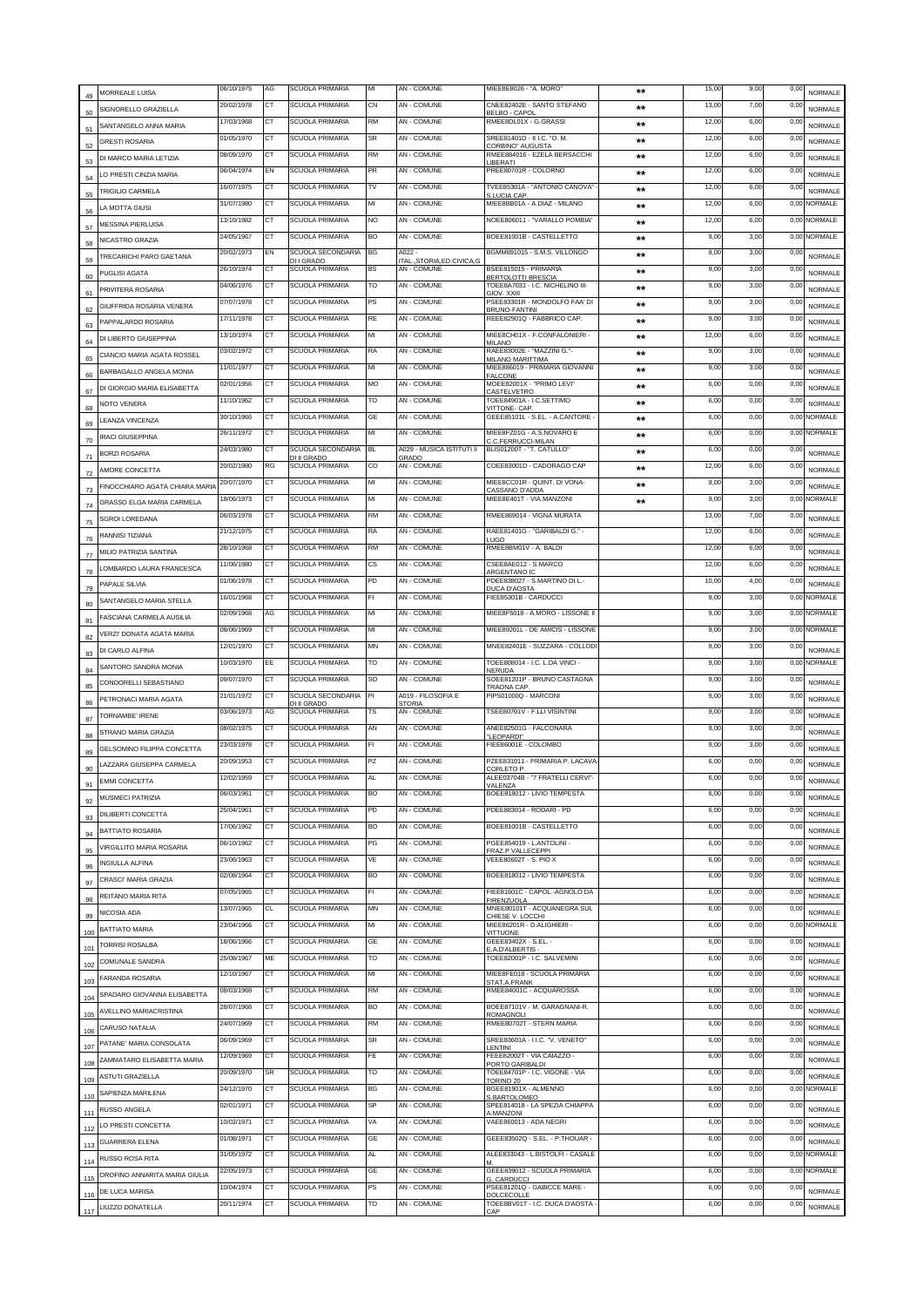| 49  | MORREALE LUISA                 | 06/10/1975 | AG        | <b>SCUOLA PRIMARIA</b>               | MI        | AN - COMUNE                            | MIEE8E8026 - "A. MORO"                                        | $***$        | 15,00 | 9,00 | 0,00         | <b>NORMALE</b>                   |
|-----|--------------------------------|------------|-----------|--------------------------------------|-----------|----------------------------------------|---------------------------------------------------------------|--------------|-------|------|--------------|----------------------------------|
| 50  | SIGNORELLO GRAZIELLA           | 20/02/1978 | СT        | SCUOLA PRIMARIA                      | СN        | <b>AN - COMUNE</b>                     | CNEE82402E - SANTO STEFANO<br>BELBO - CAPOL                   | $***$        | 13,00 | 7,00 | 0,0          | <b>NORMALE</b>                   |
| 51  | SANTANGELO ANNA MARIA          | 17/03/1968 | <b>CT</b> | SCUOLA PRIMARIA                      | <b>RM</b> | <b>AN - COMUNE</b>                     | RMEE8DL01X - G.GRASSI                                         | $\star\star$ | 12,00 | 6,00 | 0,0          | <b>NORMALE</b>                   |
| 52  | <b>GRESTI ROSARIA</b>          | 01/05/1970 | CТ        | <b>SCUOLA PRIMARIA</b>               | SR        | AN - COMUNE                            | SREE81401D - II I.C. "O. M.<br>CORBINO" AUGUSTA               | **           | 12,00 | 6,00 | 0,0          | <b>NORMALE</b>                   |
|     | DI MARCO MARIA I FTIZIA        | 08/09/1970 | CT        | <b>SCUOLA PRIMARIA</b>               | RM        | AN - COMUNE                            | RMEE884016 - EZELA BERSACCHI<br><b>IBERATI</b>                | **           | 12,00 | 6,00 | 0,0          | NORMALE                          |
|     | LO PRESTI CINZIA MARIA         | 06/04/1974 | EN        | <b>SCUOLA PRIMARIA</b>               | PR        | AN - COMUNE                            | PREE80701R - COLORNO                                          | $**$         | 12,00 | 6,00 | 0,0          | <b>NORMALE</b>                   |
| 55  | TRIGILIO CARMELA               | 16/07/1975 | CT        | SCUOLA PRIMARIA                      | TV        | AN - COMUNE                            | TVEE85301A - "ANTONIO CANOVA"<br>S.LUCIA CAP.                 | **           | 12,00 | 6,00 | 0,0          | <b>NORMALE</b>                   |
| 56  | LA MOTTA GIUSI                 | 31/07/1980 | СT        | <b>SCUOLA PRIMARIA</b>               | МІ        | AN - COMUNE                            | MIEE8BB01A - A.DIAZ - MILANO                                  | **           | 12,00 | 6,00 | 0,00         | <b>NORMALE</b>                   |
| 57  | <b>MESSINA PIERLUISA</b>       | 13/10/1982 | CT        | <b>SCUOLA PRIMARIA</b>               | NO        | AN - COMUNE                            | NOEE806011 - "VARALLO POMBIA"                                 | $***$        | 12,00 | 6,00 | 0,00         | NORMALE                          |
|     | NICASTRO GRAZIA                | 24/05/1967 | CT        | SCUOLA PRIMARIA                      | BO        | <b>AN - COMUNE</b>                     | BOEE81001B - CASTELLETTO                                      | $***$        | 9,00  | 3,00 | 0,00         | NORMALE                          |
| 58  | TRECARICHI PARO GAETANA        | 20/02/1973 | EN        | SCUOLA SECONDARIA                    | BG        | A022                                   | BGMM891015 - S.M.S. VILLONGO                                  | $***$        | 9,00  | 3,00 | 0,0          | <b>NORMALE</b>                   |
| 59  | PUGLISI AGATA                  | 26/10/1974 | CT        | DI I GRADO<br><b>SCUOLA PRIMARIA</b> | BS        | TALSTORIA, ED.CIVICA, G<br>AN - COMUNE | BSEE815015 - PRIMARIA                                         | **           | 9,00  | 3,00 | 0,0          | <b>NORMALE</b>                   |
| 60  | PRIVITERA ROSARIA              | 04/06/1976 | <b>CT</b> | <b>SCUOLA PRIMARIA</b>               | TO        | AN - COMUNE                            | <b>RERTOLOTTI BRESCIA</b><br>TOEE8A7031 - I.C. NICHELINO III- | $***$        | 9,00  | 3,00 | 0,0          | NORMALE                          |
| 61  | GIUFFRIDA ROSARIA VENERA       | 07/07/1978 | СT        | SCUOLA PRIMARIA                      | PS        | AN - COMUNE                            | GIOV XXIII<br>PSEE83301R - MONDOLFO FAA' DI                   | $***$        | 9,00  | 3,00 | 0,00         | <b>NORMALE</b>                   |
| 62  | PAPPALARDO ROSARIA             | 17/11/1978 | СT        | SCUOLA PRIMARIA                      | RE        | AN - COMUNE                            | <b>BRUNO-FANTINI</b><br>REEE82901Q - FABBRICO CAP.            | $***$        | 9,00  | 3,00 | 0,0          | <b>NORMALE</b>                   |
| 63  | DI LIBERTO GIUSEPPINA          | 13/10/1974 | CT        | SCUOLA PRIMARIA                      | MI        | AN - COMUNE                            | MIEE8CH01X - F.CONFALONIERI -                                 | $***$        | 12,00 | 6,00 | 0,0          | <b>NORMALE</b>                   |
| 64  | CIANCIO MARIA AGATA ROSSEL     | 03/02/1972 | CT        | <b>SCUOLA PRIMARIA</b>               | RA        | AN - COMUNE                            | <b>MILANO</b><br>RAEE83002E - "MAZZINI G."-                   | $***$        | 9,00  | 3,00 | 0,0          | <b>NORMALE</b>                   |
| 65  | BARBAGALLO ANGELA MONIA        | 11/01/1977 | СT        | <b>SCUOLA PRIMARIA</b>               | MI        | AN - COMUNE                            | <b>MILANO MARITTIMA</b><br>MIEE886019 - PRIMARIA GIOVANNI     | $***$        | 9,00  | 3,00 | 0,0          | <b>NORMALE</b>                   |
| 66  | DI GIORGIO MARIA ELISABETTA    | 02/01/1956 | СT        | <b>SCUOLA PRIMARIA</b>               | MO        | AN - COMUNE                            | <b>FALCONE</b><br>MOEE82001X - "PRIMO LEVI"                   | $***$        | 6,00  | 0,00 | 0,0          | <b>NORMALE</b>                   |
| 67  | NOTO VENERA                    | 11/10/1962 | <b>CT</b> | <b>SCUOLA PRIMARIA</b>               | то        | AN - COMUNE                            | CASTELVETRO<br>TOEE84901A - I.C.SETTIMO                       | $***$        | 6,00  | 0,00 | 0,0          | <b>NORMALE</b>                   |
| 68  | <b>LEANZA VINCENZA</b>         | 30/10/1966 | CT        | <b>SCUOLA PRIMARIA</b>               | GE        | AN - COMUNE                            | <b>VITTONE- CAP</b><br>GEEE85101L - S.EL. - A.CANTORE         | $***$        | 6.00  | 0,00 | 0,00         | <b>NORMALE</b>                   |
| 69  | <b>IRACI GIUSEPPINA</b>        | 26/11/1972 | CT        | <b>SCUOLA PRIMARIA</b>               | MI        | AN - COMUNE                            | MIFF8F701G - A.S.NOVARO F                                     | $***$        | 6,00  | 0,00 | 0,00         | <b>NORMALE</b>                   |
| 70  |                                | 24/03/1980 | CT        | <b>SCUOLA SECONDARIA</b>             | <b>BI</b> | A029 - MUSICA ISTITUTI II              | C.C.FERRUCCI-MILAN<br><b>BLIS01200T - "T. CATLILLO"</b>       | $\star\star$ | 6,00  | 0,00 | 0,0          |                                  |
| 71  | <b>BORZI ROSARIA</b>           | 20/02/1980 | RG        | DI II GRADO<br>SCUOLA PRIMARIA       | CO        | GRADO<br><b>AN - COMUNE</b>            | COFF83001D - CADORAGO CAP                                     | $\star\star$ | 12,00 | 6,00 | 0,0          | <b>NORMALE</b>                   |
| 72  | AMORE CONCETTA                 | 20/07/1970 | CТ        | <b>SCUOLA PRIMARIA</b>               | MI        | AN - COMUNE                            | MIEE8CC01R - QUINT. DI VONA-                                  | $***$        | 9,00  | 3,00 | 0,0          | <b>NORMALE</b>                   |
| 73  | FINOCCHIARO AGATA CHIARA MARIA | 18/06/1973 | <b>CT</b> | SCUOLA PRIMARIA                      | MI        | <b>AN - COMUNE</b>                     | CASSANO D'ADDA<br>MIFF8F401T - VIA MANZON                     | $**$         | 9,00  | 3,00 | 0,00         | <b>NORMALE</b><br><b>NORMALE</b> |
| 74  | GRASSO ELGA MARIA CARMELA      | 06/03/1978 | CТ        | <b>SCUOLA PRIMARIA</b>               | RM        | <b>AN - COMUNE</b>                     | RMEE869014 - VIGNA MURATA                                     |              | 13,00 | 7,00 | 0,0          |                                  |
|     | <b>SGROI LOREDANA</b>          | 21/12/1975 | CT        | SCUOLA PRIMARIA                      | RA        | AN - COMUNE                            | RAEE81401G - "GARIBALDI G." -                                 |              | 12,00 | 6,00 | 0,0          | <b>NORMALE</b>                   |
| 76  | RANNISI TIZIANA                | 28/10/1968 | CT        | <b>SCUOLA PRIMARIA</b>               | RM        | AN - COMUNE                            | UGO<br>RMEE8BM01V - A. BALDI                                  |              | 12,00 | 6,00 | 0,0          | <b>NORMALE</b>                   |
|     | MILIO PATRIZIA SANTINA         | 11/06/1980 | CT        | <b>SCUOLA PRIMARIA</b>               | СS        | AN - COMUNE                            | CSEE8AE012 - S.MARCO                                          |              | 12,00 | 6,00 | 0,0          | <b>NORMALE</b>                   |
| 78  | LOMBARDO LAURA FRANCESCA       | 01/06/1978 | CT        | SCUOLA PRIMARIA                      | PD        | AN - COMUNE                            | ARGENTANO IC<br>PDEE838027 - S.MARTINO DI L.-                 |              | 10,00 | 4,00 |              | <b>NORMALE</b>                   |
| 79  | PAPALE SILVIA                  | 16/01/1968 | CT        | SCUOLA PRIMARIA                      | FI        | AN - COMUNE                            | <b>DUCA D'AOSTA</b><br>FIEE85301B - CARDUCCI                  |              | 9,00  |      | 0,00<br>0,00 | NORMALE<br>NORMALE               |
| 80  | SANTANGELO MARIA STELLA        |            |           |                                      |           |                                        |                                                               |              |       | 3,00 |              |                                  |
| 81  | FASCIANA CARMELA AUSILIA       | 02/09/1968 | AG        | <b>SCUOLA PRIMARIA</b>               | MI        | AN - COMUNE                            | MIEE8F5018 - A.MORO - LISSONE II                              |              | 9,00  | 3,00 | 0,00         | <b>NORMALE</b>                   |
| 82  | VERZI' DONATA AGATA MARIA      | 08/06/1969 | <b>CT</b> | <b>SCUOLA PRIMARIA</b>               | MI        | AN - COMUNE                            | MIEE89201L - DE AMICIS - LISSONE                              |              | 9,00  | 3,00 | 0,00         | NORMALE                          |
| 83  | DI CARLO ALFINA                | 12/01/1970 | CT        | SCUOLA PRIMARIA                      | MN        | AN - COMUNE                            | MNEE82401E - SUZZARA - COLLOD                                 |              | 9,00  | 3,00 | 0,00         | NORMALE                          |
| 84  | SANTORO SANDRA MONIA           | 10/03/1970 | EE        | <b>SCUOLA PRIMARIA</b>               | TO        | AN - COMUNE                            | TOEE808014 - I.C. L.DA VINCI -<br>NERUDA                      |              | 9,00  | 3,00 | 0,00         | NORMALE                          |
| 85  | CONDORELLI SEBASTIANO          | 09/07/1970 | CT        | SCUOLA PRIMARIA                      | SO        | AN - COMUNE                            | SOEE81201P - BRUNO CASTAGNA<br>TRAONA CAP                     |              | 9,00  | 3,00 | 0,0          | <b>NORMALE</b>                   |
| 86  | PETRONACI MARIA AGATA          | 21/01/1972 | СT        | SCUOLA SECONDARIA<br>DI II GRADO     | PI        | A019 - FILOSOFIA E<br><b>STORIA</b>    | PIPS01000Q - MARCONI                                          |              | 9,00  | 3,00 | 0,0          | <b>NORMALE</b>                   |
| 87  | TORNAMBE' IRENE                | 03/06/1973 | AG        | <b>SCUOLA PRIMARIA</b>               | TS        | AN - COMUNE                            | TSEE80701V - F.LLI VISINTINI                                  |              | 9,00  | 3,00 | 0,00         | <b>NORMALE</b>                   |
| 88  | STRANO MARIA GRAZIA            | 08/02/1975 | СT        | SCUOLA PRIMARIA                      | AN        | AN - COMUNE                            | ANEE82501G - FALCONARA<br>'LEOPARDI'                          |              | 9,00  | 3,00 | 0,0          | NORMALE                          |
| 89  | GELSOMINO FILIPPA CONCETTA     | 23/03/1978 | CT        | <b>SCUOLA PRIMARIA</b>               | FI        | AN - COMUNE                            | FIEE86001E - COLOMBO                                          |              | 9,00  | 3,00 | 0,0          | <b>NORMALE</b>                   |
| 90  | LAZZARA GIUSEPPA CARMELA       | 20/09/1953 | CT        | <b>SCUOLA PRIMARIA</b>               | PZ        | AN - COMUNE                            | PZEE831011 - PRIMARIA P. LACAVA<br>CORLETO P.                 |              | 6,00  | 0,00 | 0,0          | NORMALE                          |
| 91  | <b>EMMI CONCETTA</b>           |            |           |                                      |           | AN - C                                 | VALENZA                                                       |              |       |      |              | <b>NORMALE</b>                   |
| 92  | MUSMECI PATRIZIA               | 06/03/1961 | CT        | <b>SCUOLA PRIMARIA</b>               | <b>BO</b> | AN - COMUNE                            | BOEE818012 - LIVIO TEMPESTA                                   |              | 6.00  | 0,00 | 0,00         | <b>NORMALE</b>                   |
| 93  | DILIBERTI CONCETTA             | 25/04/1961 | CT        | SCUOLA PRIMARIA                      | PD        | AN - COMUNE                            | PDEE883014 - RODARI - PD                                      |              | 6,00  | 0,00 | 0,0          | <b>NORMALE</b>                   |
| 94  | <b>BATTIATO ROSARIA</b>        | 17/06/1962 | <b>CT</b> | SCUOLA PRIMARIA                      | BO        | AN - COMUNE                            | BOEE81001B - CASTELLETTO                                      |              | 6,00  | 0,00 | 0,00         | <b>NORMALE</b>                   |
| 95  | VIRGILLITO MARIA ROSARIA       | 06/10/1962 | CT        | SCUOLA PRIMARIA                      | PG        | AN - COMUNE                            | PGEE854019 - L.ANTOLINI -<br>FRAZ.P.VALLECEPPI                |              | 6,00  | 0,00 | 0,00         | <b>NORMALE</b>                   |
| 96  | INGIULLA ALFINA                | 23/06/1963 | СT        | SCUOLA PRIMARIA                      | VE        | AN - COMUNE                            | VEEE80602T - S. PIO X                                         |              | 6,00  | 0,00 | 0,0          | <b>NORMALE</b>                   |
| 97  | CRASCI' MARIA GRAZIA           | 02/08/1964 | СT        | <b>SCUOLA PRIMARIA</b>               | BO        | AN - COMUNE                            | BOEE818012 - LIVIO TEMPESTA                                   |              | 6,00  | 0,00 | 0,00         | <b>NORMALE</b>                   |
| 98  | REITANO MARIA RITA             | 07/05/1965 | CТ        | SCUOLA PRIMARIA                      | FI        | AN - COMUNE                            | FIEE81601C - CAPOL.-AGNOLO DA<br>FIRENZUOLA                   |              | 6,00  | 0,00 | 0,0          | <b>NORMALE</b>                   |
| 99  | NICOSIA ADA                    | 13/07/1965 | <b>CL</b> | <b>SCUOLA PRIMARIA</b>               | <b>MN</b> | AN - COMUNE                            | MNEE80101T - ACQUANEGRA SUL<br>CHIESE V. LOCCHI               |              | 6,00  | 0,00 | 0,00         | <b>NORMALE</b>                   |
| 100 | <b>BATTIATO MARIA</b>          | 23/04/1966 | CT        | SCUOLA PRIMARIA                      | МІ        | AN - COMUNE                            | MIEE86201R - D.ALIGHIERI -<br><b>/ITTUONE</b>                 |              | 6,00  | 0,00 | 0,00         | NORMALE                          |
| 101 | <b>TORRISI ROSALBA</b>         | 18/06/1966 | CT        | <b>SCUOLA PRIMARIA</b>               | GE        | AN - COMUNE                            | GEEE83402X - S.EL. -<br>E.A.D'ALBERTIS -                      |              | 6,00  | 0,00 | 0,00         | NORMALE                          |
| 102 | COMUNALE SANDRA                | 25/08/1967 | ME        | <b>SCUOLA PRIMARIA</b>               | то        | AN - COMUNE                            | TOEE82001P - I.C. SALVEMINI                                   |              | 6,00  | 0,00 | 0,00         | <b>NORMALE</b>                   |
| 103 | <b>FARANDA ROSARIA</b>         | 12/10/1967 | СT        | <b>SCUOLA PRIMARIA</b>               | МІ        | AN - COMUNE                            | MIEE8FE018 - SCUOLA PRIMARIA<br>STAT.A.FRANK                  |              | 6,00  | 0,00 | 0,00         | NORMALE                          |
| 104 | SPADARO GIOVANNA ELISABETTA    | 08/03/1968 | <b>CT</b> | SCUOLA PRIMARIA                      | <b>RM</b> | AN - COMUNE                            | RMEE84001C - ACQUAROSSA                                       |              | 6,00  | 0,00 | 0,00         | NORMALE                          |
| 105 | AVELLINO MARIACRISTINA         | 28/07/1968 | CT        | SCUOLA PRIMARIA                      | ВO        | AN - COMUNE                            | BOEE87101V - M. GARAGNANI-R.<br><b>ROMAGNOLI</b>              |              | 6,00  | 0,00 | 0,00         | NORMALE                          |
| 106 | CARUSO NATALIA                 | 24/07/1969 | <b>CT</b> | <b>SCUOLA PRIMARIA</b>               | RM        | AN - COMUNE                            | RMEE80702T - STERN MARIA                                      |              | 6,00  | 0,00 | 0,00         | NORMALE                          |
| 107 | PATANE' MARIA CONSOLATA        | 06/09/1969 | СT        | SCUOLA PRIMARIA                      | SR        | AN - COMUNE                            | SREE83601A - I I.C. "V. VENETO"<br><b>FNTINI</b>              |              | 6,00  | 0,00 | 0,00         | NORMALE                          |
| 108 | ZAMMATARO ELISABETTA MARIA     | 12/09/1969 | СT        | SCUOLA PRIMARIA                      | FE        | AN - COMUNE                            | FEEE82002T - VIA CAIAZZO -<br>PORTO GARIBALDI                 |              | 6,00  | 0,00 | 0,00         | NORMALE                          |
| 109 | ASTUTI GRAZIELLA               | 20/09/1970 | <b>SR</b> | SCUOLA PRIMARIA                      | TO        | AN - COMUNE                            | TOEE84701P - I.C. VIGONE - VIA<br>TORINO <sub>20</sub>        |              | 6,00  | 0,00 | 0,0          | <b>NORMALE</b>                   |
| 110 | SAPIENZA MARILENA              | 24/12/1970 | CT        | SCUOLA PRIMARIA                      | BG        | AN - COMUNE                            | BGEE81901X - ALMENNO                                          |              | 6,00  | 0,00 | 0,00         | <b>NORMALE</b>                   |
| 111 | RUSSO ANGELA                   | 02/01/1971 | CT        | SCUOLA PRIMARIA                      | SP        | AN - COMUNE                            | S.BARTOLOMEO<br>SPEE814018 - LA SPEZIA CHIAPPA                |              | 6,00  | 0,00 | 0,0          | <b>NORMALE</b>                   |
| 112 | LO PRESTI CONCETTA             | 10/02/1971 | CT        | <b>SCUOLA PRIMARIA</b>               | VA        | AN - COMUNE                            | <b>MANZONI</b><br>VAEE860013 - ADA NEGRI                      |              | 6,00  | 0,00 | 0,00         | <b>NORMALE</b>                   |
| 113 | <b>GUARRERA ELENA</b>          | 01/08/1971 | СT        | <b>SCUOLA PRIMARIA</b>               | GE        | AN - COMUNE                            | GEEE83502Q - S.EL. - P.THOUAR -                               |              | 6,00  | 0,00 | 0,00         | <b>NORMALE</b>                   |
| 114 | RUSSO ROSA RITA                | 31/05/1972 | CT        | <b>SCUOLA PRIMARIA</b>               | AL        | AN - COMUNE                            | ALEE833043 - L.BISTOLFI - CASALE                              |              | 6,00  | 0,00 | 0,00         | <b>NORMALE</b>                   |
| 115 | OROFINO ANNARITA MARIA GIULIA  | 22/05/1973 | СT        | <b>SCUOLA PRIMARIA</b>               | GE        | AN - COMUNE                            | GEEE839012 - SCUOLA PRIMARIA                                  |              | 6.00  | 0,00 | 0,00         | <b>NORMALE</b>                   |
| 116 | DE LUCA MARISA                 | 10/04/1974 | CT        | SCUOLA PRIMARIA                      | PS        | AN - COMUNE                            | G. CARDUCCI<br>PSEE81201Q - GABICCE MARE -                    |              | 6,00  | 0,00 | 0,0          | <b>NORMALE</b>                   |
| 117 | LIUZZO DONATELLA               | 20/11/1974 | СT        | SCUOLA PRIMARIA                      | то        | AN - COMUNE                            | <b>DOLCECOLLE</b><br>TOEE8BV01T - I.C. DUCA D'AOSTA<br>CAP    |              | 6,00  | 0,00 | 0,00         | NORMALE                          |